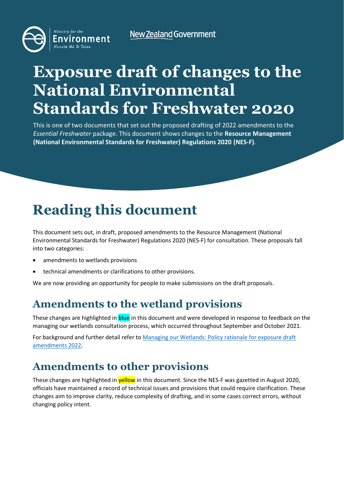**New Zealand Government** 



# **Exposure draft of changes to the National Environmental Standards for Freshwater 2020**

This is one of two documents that set out the proposed drafting of 2022 amendments to the *Essential Freshwater* package. This document shows changes to the **Resource Management (National Environmental Standards for Freshwater) Regulations 2020 (NES-F)**.

# **Reading this document**

This document sets out, in draft, proposed amendments to the Resource Management (National Environmental Standards for Freshwater) Regulations 2020 (NES-F) for consultation. These proposals fall into two categories:

- amendments to wetlands provisions
- technical amendments or clarifications to other provisions.

We are now providing an opportunity for people to make submissions on the draft proposals.

# **Amendments to the wetland provisions**

These changes are highlighted in **blue** in this document and were developed in response to feedback on the managing our wetlands consultation process, which occurred throughout September and October 2021.

For background and further detail refer to [Managing our Wetlands: Policy rationale for exposure draft](https://environment.govt.nz/publications/managing-our-wetlands-policy-rationale-for-exposure-draft-amendments-2022)  [amendments 2022.](https://environment.govt.nz/publications/managing-our-wetlands-policy-rationale-for-exposure-draft-amendments-2022)

# **Amendments to other provisions**

These changes are highlighted in yellow in this document. Since the NES-F was gazetted in August 2020, officials have maintained a record of technical issues and provisions that could require clarification. These changes aim to improve clarity, reduce complexity of drafting, and in some cases correct errors, without changing policy intent.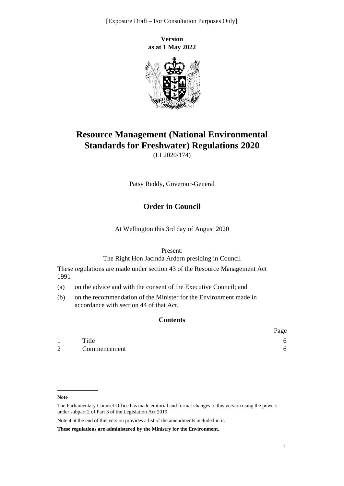[Exposure Draft – For Consultation Purposes Only]

**Version as at 1 May 2022**



# **Resource Management (National Environmental Standards for Freshwater) Regulations 2020**

(LI 2020/174)

Patsy Reddy, Governor-General

### **Order in Council**

At Wellington this 3rd day of August 2020

Present:

The Right Hon Jacinda Ardern presiding in Council

These regulations are made under [section 43](http://legislation.govt.nz/pdflink.aspx?id=DLM233303) of the [Resource Management Act](http://legislation.govt.nz/pdflink.aspx?id=DLM230264) [1991—](http://legislation.govt.nz/pdflink.aspx?id=DLM230264)

- (a) on the advice and with the consent of the Executive Council; and
- (b) on the recommendation of the Minister for the Environment made in accordance with [section 44](http://legislation.govt.nz/pdflink.aspx?id=DLM233335) of that Act.

#### **Contents**

|                |              | Page |
|----------------|--------------|------|
|                | Title        |      |
| $\overline{2}$ | Commencement |      |

**Note**

The Parliamentary Counsel Office has made editorial and format changes to this version using the powers under [subpart 2](http://legislation.govt.nz/pdflink.aspx?id=DLM7298371) of Part 3 of the Legislation Act 2019.

Note 4 at the end of this version provides a list of the amendments included in it.

**These regulations are administered by the Ministry for the Environment.**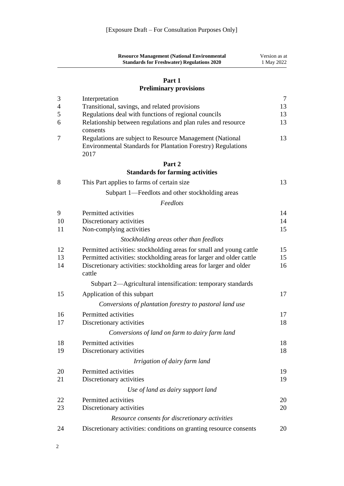|                     | <b>Resource Management (National Environmental</b><br><b>Standards for Freshwater) Regulations 2020</b>                                 | Version as at<br>1 May 2022 |
|---------------------|-----------------------------------------------------------------------------------------------------------------------------------------|-----------------------------|
|                     | Part 1<br><b>Preliminary provisions</b>                                                                                                 |                             |
|                     |                                                                                                                                         |                             |
| 3<br>$\overline{4}$ | Interpretation<br>Transitional, savings, and related provisions                                                                         | $\overline{7}$<br>13        |
| 5                   | Regulations deal with functions of regional councils                                                                                    | 13                          |
| 6                   | Relationship between regulations and plan rules and resource<br>consents                                                                | 13                          |
| 7                   | Regulations are subject to Resource Management (National<br><b>Environmental Standards for Plantation Forestry) Regulations</b><br>2017 | 13                          |
|                     | Part 2                                                                                                                                  |                             |
|                     | <b>Standards for farming activities</b>                                                                                                 |                             |
| 8                   | This Part applies to farms of certain size                                                                                              | 13                          |
|                     | Subpart 1—Feedlots and other stockholding areas                                                                                         |                             |
|                     | Feedlots                                                                                                                                |                             |
| 9                   | Permitted activities                                                                                                                    | 14                          |
| 10                  | Discretionary activities                                                                                                                | 14                          |
| 11                  | Non-complying activities                                                                                                                | 15                          |
|                     | Stockholding areas other than feedlots                                                                                                  |                             |
| 12                  | Permitted activities: stockholding areas for small and young cattle                                                                     | 15                          |
| 13                  | Permitted activities: stockholding areas for larger and older cattle                                                                    | 15                          |
| 14                  | Discretionary activities: stockholding areas for larger and older<br>cattle                                                             | 16                          |
|                     | Subpart 2—Agricultural intensification: temporary standards                                                                             |                             |
| 15                  | Application of this subpart                                                                                                             | 17                          |
|                     | Conversions of plantation forestry to pastoral land use                                                                                 |                             |
| 16                  | Permitted activities                                                                                                                    | 17                          |
| 17                  | Discretionary activities                                                                                                                | 18                          |
|                     | Conversions of land on farm to dairy farm land                                                                                          |                             |
| 18                  | Permitted activities                                                                                                                    | 18                          |
| 19                  | Discretionary activities                                                                                                                | 18                          |
|                     | Irrigation of dairy farm land                                                                                                           |                             |
| 20                  | Permitted activities                                                                                                                    | 19                          |
| 21                  | Discretionary activities                                                                                                                | 19                          |
|                     | Use of land as dairy support land                                                                                                       |                             |
| 22                  | Permitted activities                                                                                                                    | 20                          |
| 23                  | Discretionary activities                                                                                                                | 20                          |
|                     | Resource consents for discretionary activities                                                                                          |                             |
| 24                  | Discretionary activities: conditions on granting resource consents                                                                      | 20                          |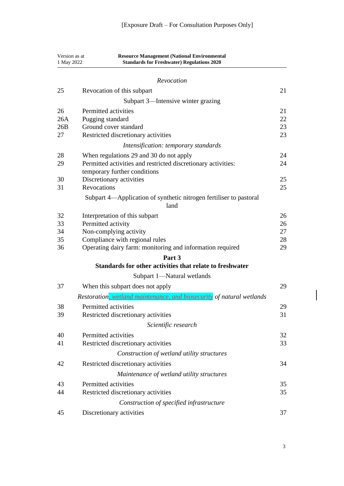| Version as at<br>1 May 2022 | <b>Resource Management (National Environmental</b><br><b>Standards for Freshwater) Regulations 2020</b> |    |
|-----------------------------|---------------------------------------------------------------------------------------------------------|----|
|                             | Revocation                                                                                              |    |
| 25                          | Revocation of this subpart                                                                              | 21 |
|                             | Subpart 3—Intensive winter grazing                                                                      |    |
| 26                          | Permitted activities                                                                                    | 21 |
| 26A                         | Pugging standard                                                                                        | 22 |
| 26B                         | Ground cover standard                                                                                   | 23 |
| 27                          | Restricted discretionary activities                                                                     | 23 |
|                             | Intensification: temporary standards                                                                    |    |
| 28                          | When regulations 29 and 30 do not apply                                                                 | 24 |
| 29                          | Permitted activities and restricted discretionary activities:                                           | 24 |
|                             | temporary further conditions                                                                            |    |
| 30                          | Discretionary activities                                                                                | 25 |
| 31                          | <b>Revocations</b>                                                                                      | 25 |
|                             | Subpart 4-Application of synthetic nitrogen fertiliser to pastoral<br>land                              |    |
| 32                          | Interpretation of this subpart                                                                          | 26 |
| 33                          | Permitted activity                                                                                      | 26 |
| 34                          | Non-complying activity                                                                                  | 27 |
| 35                          | Compliance with regional rules                                                                          | 28 |
| 36                          | Operating dairy farm: monitoring and information required                                               | 29 |
|                             | Part 3<br>Standards for other activities that relate to freshwater                                      |    |
|                             |                                                                                                         |    |
| 37                          | Subpart 1-Natural wetlands<br>When this subpart does not apply                                          | 29 |
|                             |                                                                                                         |    |
|                             | Restoration, wetland maintenance, and biosecurity of natural wetlands                                   |    |
| 38                          | Permitted activities                                                                                    | 29 |
| 39                          | Restricted discretionary activities                                                                     | 31 |
|                             | Scientific research                                                                                     |    |
| 40                          | Permitted activities                                                                                    | 32 |
| 41                          | Restricted discretionary activities                                                                     | 33 |
|                             | Construction of wetland utility structures                                                              |    |
| 42                          | Restricted discretionary activities                                                                     | 34 |
|                             | Maintenance of wetland utility structures                                                               |    |
| 43                          | Permitted activities                                                                                    | 35 |
| 44                          | Restricted discretionary activities                                                                     | 35 |
|                             | Construction of specified infrastructure                                                                |    |
| 45                          | Discretionary activities                                                                                | 37 |

 $\begin{array}{c} \hline \end{array}$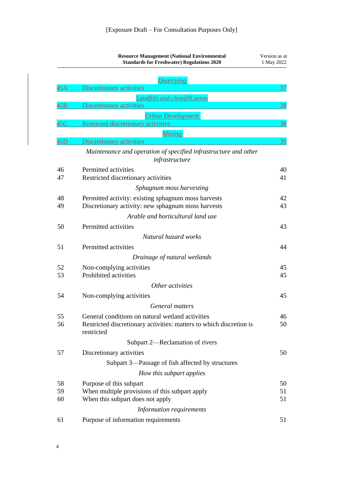|     | <b>Resource Management (National Environmental</b><br><b>Standards for Freshwater) Regulations 2020</b> | Version as at<br>1 May 2022 |
|-----|---------------------------------------------------------------------------------------------------------|-----------------------------|
|     | <i><u><b>Quarrying</b></u></i>                                                                          |                             |
| 45A | Discretionary activities                                                                                | 37                          |
|     | <b>Landfills and cleanfill areas</b>                                                                    |                             |
| 45B | Discretionary activities                                                                                | 38                          |
|     | <b>Urban Development</b>                                                                                |                             |
| 45C | <b>Restricted discretionary activities</b>                                                              | 38                          |
|     | <b>Mining</b>                                                                                           |                             |
| 45D | Discretionary activities                                                                                | 39                          |
|     | Maintenance and operation of specified infrastructure and other<br>infrastructure                       |                             |
| 46  | Permitted activities                                                                                    | 40                          |
| 47  | Restricted discretionary activities                                                                     | 41                          |
|     | Sphagnum moss harvesting                                                                                |                             |
| 48  | Permitted activity: existing sphagnum moss harvests                                                     | 42                          |
| 49  | Discretionary activity: new sphagnum moss harvests                                                      | 43                          |
|     | Arable and horticultural land use                                                                       |                             |
| 50  | Permitted activities                                                                                    | 43                          |
|     | Natural hazard works                                                                                    |                             |
| 51  | Permitted activities                                                                                    | 44                          |
|     | Drainage of natural wetlands                                                                            |                             |
| 52  | Non-complying activities                                                                                | 45                          |
| 53  | Prohibited activities                                                                                   | 45                          |
|     | Other activities                                                                                        |                             |
| 54  | Non-complying activities                                                                                | 45                          |
|     | General matters                                                                                         |                             |
| 55  | General conditions on natural wetland activities                                                        | 46                          |
| 56  | Restricted discretionary activities: matters to which discretion is                                     | 50                          |
|     | restricted                                                                                              |                             |
|     | Subpart 2-Reclamation of rivers                                                                         |                             |
| 57  | Discretionary activities                                                                                | 50                          |
|     | Subpart 3—Passage of fish affected by structures                                                        |                             |
|     | How this subpart applies                                                                                |                             |
| 58  | Purpose of this subpart                                                                                 | 50                          |
| 59  | When multiple provisions of this subpart apply                                                          | 51                          |
| 60  | When this subpart does not apply                                                                        | 51                          |
|     | Information requirements                                                                                |                             |
| 61  | Purpose of information requirements                                                                     | 51                          |
|     |                                                                                                         |                             |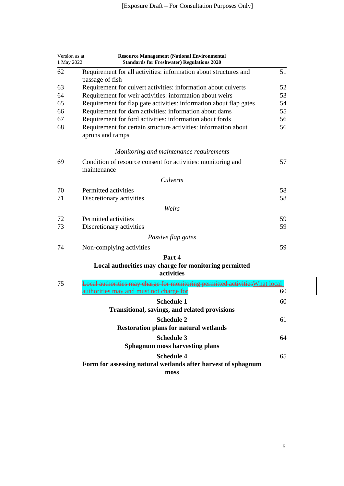| Version as at<br>1 May 2022 | <b>Resource Management (National Environmental</b><br><b>Standards for Freshwater) Regulations 2020</b> |    |
|-----------------------------|---------------------------------------------------------------------------------------------------------|----|
| 62                          | Requirement for all activities: information about structures and<br>passage of fish                     | 51 |
| 63                          | Requirement for culvert activities: information about culverts                                          | 52 |
| 64                          | Requirement for weir activities: information about weirs                                                | 53 |
| 65                          | Requirement for flap gate activities: information about flap gates                                      | 54 |
| 66                          | Requirement for dam activities: information about dams                                                  | 55 |
| 67                          | Requirement for ford activities: information about fords                                                | 56 |
| 68                          | Requirement for certain structure activities: information about<br>aprons and ramps                     | 56 |
|                             | Monitoring and maintenance requirements                                                                 |    |
| 69                          | Condition of resource consent for activities: monitoring and<br>maintenance                             | 57 |
|                             | Culverts                                                                                                |    |
| 70                          | Permitted activities                                                                                    | 58 |
| 71                          | Discretionary activities                                                                                | 58 |
|                             | Weirs                                                                                                   |    |
| 72                          | Permitted activities                                                                                    | 59 |
| 73                          | Discretionary activities                                                                                | 59 |
|                             | Passive flap gates                                                                                      |    |
| 74                          | Non-complying activities                                                                                | 59 |
|                             | Part 4<br>Local authorities may charge for monitoring permitted<br>activities                           |    |
| 75                          | Local authorities may charge for monitoring permitted activities What local                             | 60 |
|                             | authorities may and must not charge for                                                                 |    |
|                             | <b>Schedule 1</b>                                                                                       | 60 |
|                             | Transitional, savings, and related provisions                                                           |    |
|                             | <b>Schedule 2</b>                                                                                       | 61 |
|                             | <b>Restoration plans for natural wetlands</b>                                                           |    |
|                             | <b>Schedule 3</b>                                                                                       | 64 |
|                             | <b>Sphagnum moss harvesting plans</b>                                                                   |    |
|                             | <b>Schedule 4</b>                                                                                       | 65 |
|                             | Form for assessing natural wetlands after harvest of sphagnum                                           |    |
|                             | moss                                                                                                    |    |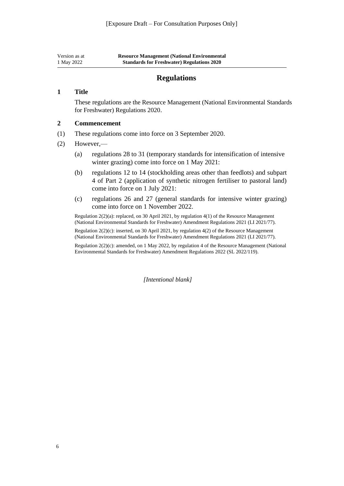<span id="page-6-0"></span>

| Version as at | <b>Resource Management (National Environmental)</b> |
|---------------|-----------------------------------------------------|
| 1 May 2022    | <b>Standards for Freshwater) Regulations 2020</b>   |

#### **Regulations**

#### **1 Title**

These regulations are the Resource Management (National Environmental Standards for Freshwater) Regulations 2020.

#### **2 Commencement**

- (1) These regulations come into force on 3 September 2020.
- (2) However,—
	- (a) [regulations 28 to 31](#page-24-1) (temporary standards for intensification of intensive winter grazing) come into force on 1 May 2021:
	- (b) [regulations 12 to 14](#page-15-2) (stockholding areas other than feedlots) and subpart 4 of Part 2 (application of synthetic nitrogen fertiliser to pastoral land) come into force on 1 July 2021:
	- (c) [regulations 26](#page-21-3) and [27](#page-23-1) (general standards for intensive winter grazing) come into force on 1 November 2022.

Regulation 2(2)(a): replaced, on 30 April 2021, by [regulation 4\(1\)](http://legislation.govt.nz/pdflink.aspx?id=LMS478216) of the Resource Management (National Environmental Standards for Freshwater) Amendment Regulations 2021 (LI 2021/77).

Regulation 2(2)(c): inserted, on 30 April 2021, by [regulation 4\(2\)](http://legislation.govt.nz/pdflink.aspx?id=LMS478216) of the Resource Management (National Environmental Standards for Freshwater) Amendment Regulations 2021 (LI 2021/77).

<span id="page-6-1"></span>Regulation 2(2)(c): amended, on 1 May 2022, by [regulation 4](http://legislation.govt.nz/pdflink.aspx?id=LMS674164) of the Resource Management (National Environmental Standards for Freshwater) Amendment Regulations 2022 (SL 2022/119).

*[Intentional blank]*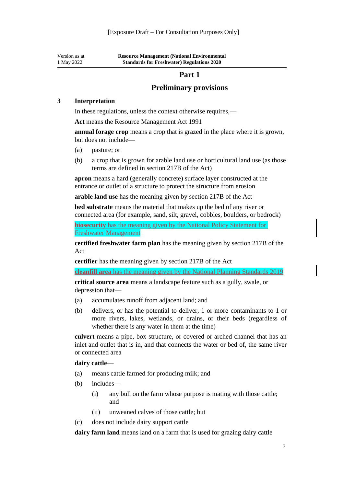Version as at 1 May 2022 **Resource Management (National Environmental Standards for Freshwater) Regulations 2020**

#### **Part 1**

#### **Preliminary provisions**

#### **3 Interpretation**

In these regulations, unless the context otherwise requires,—

**Act** means the [Resource Management Act 1991](http://legislation.govt.nz/pdflink.aspx?id=DLM230264)

**annual forage crop** means a crop that is grazed in the place where it is grown, but does not include—

- (a) pasture; or
- (b) a crop that is grown for arable land use or horticultural land use (as those terms are defined in [section 217B](http://legislation.govt.nz/pdflink.aspx?id=LMS375844) of the Act)

**apron** means a hard (generally concrete) surface layer constructed at the entrance or outlet of a structure to protect the structure from erosion

**arable land use** has the meaning given by [section 217B](http://legislation.govt.nz/pdflink.aspx?id=LMS375844) of the Act

**bed substrate** means the material that makes up the bed of any river or connected area (for example, sand, silt, gravel, cobbles, boulders, or bedrock)

**biosecurity** has the meaning given by the National Policy Statement for Freshwater Management

**certified freshwater farm plan** has the meaning given by [section 217B](http://legislation.govt.nz/pdflink.aspx?id=LMS375844) of the Act

**certifier** has the meaning given by [section 217B](http://legislation.govt.nz/pdflink.aspx?id=LMS375844) of the Act

**cleanfill area** has the meaning given by the National Planning Standards 2019

**critical source area** means a landscape feature such as a gully, swale, or depression that—

- (a) accumulates runoff from adjacent land; and
- (b) delivers, or has the potential to deliver, 1 or more contaminants to 1 or more rivers, lakes, wetlands, or drains, or their beds (regardless of whether there is any water in them at the time)

**culvert** means a pipe, box structure, or covered or arched channel that has an inlet and outlet that is in, and that connects the water or bed of, the same river or connected area

#### **dairy cattle**—

- (a) means cattle farmed for producing milk; and
- (b) includes—
	- (i) any bull on the farm whose purpose is mating with those cattle; and
	- (ii) unweaned calves of those cattle; but
- (c) does not include dairy support cattle

**dairy farm land** means land on a farm that is used for grazing dairy cattle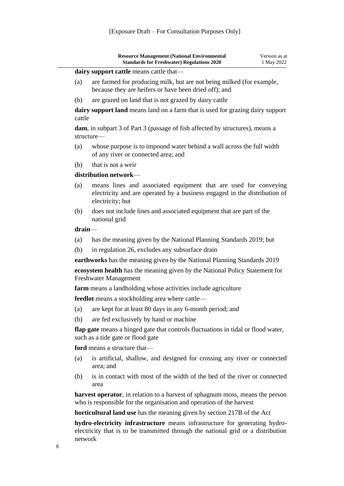| <b>Resource Management (National Environmental)</b><br><b>Standards for Freshwater) Regulations 2020</b>          | Version as at<br>1 May 2022 |
|-------------------------------------------------------------------------------------------------------------------|-----------------------------|
| <b>dairy support cattle means cattle that—</b>                                                                    |                             |
| $\ell$ . Note that is a constant of the constitution of the state of the state of $\ell$ . The constant of $\ell$ |                             |

- (a) are farmed for producing milk, but are not being milked (for example, because they are heifers or have been dried off); and
- (b) are grazed on land that is not grazed by dairy cattle

**dairy support land** means land on a farm that is used for grazing dairy support cattle

**dam**, in [subpart 3](#page-50-3) of Part 3 (passage of fish affected by structures), means a structure—

- (a) whose purpose is to impound water behind a wall across the full width of any river or connected area; and
- (b) that is not a weir

#### **distribution network**—

- (a) means lines and associated equipment that are used for conveying electricity and are operated by a business engaged in the distribution of electricity; but
- (b) does not include lines and associated equipment that are part of the national grid

#### **drain**—

- (a) has the meaning given by the National Planning Standards 2019; but
- (b) in [regulation 26,](#page-21-3) excludes any subsurface drain

**earthworks** has the meaning given by the National Planning Standards 2019

**ecosystem health** has the meaning given by the National Policy Statement for Freshwater Management

**farm** means a landholding whose activities include agriculture

**feedlot** means a stockholding area where cattle—

- (a) are kept for at least 80 days in any 6-month period; and
- (b) are fed exclusively by hand or machine

**flap gate** means a hinged gate that controls fluctuations in tidal or flood water, such as a tide gate or flood gate

**ford** means a structure that—

- (a) is artificial, shallow, and designed for crossing any river or connected area; and
- (b) is in contact with most of the width of the bed of the river or connected area

**harvest operator**, in relation to a harvest of sphagnum moss, means the person who is responsible for the organisation and operation of the harvest

**horticultural land use** has the meaning given by [section 217B](http://legislation.govt.nz/pdflink.aspx?id=LMS375844) of the Act

**hydro-electricity infrastructure** means infrastructure for generating hydroelectricity that is to be transmitted through the national grid or a distribution network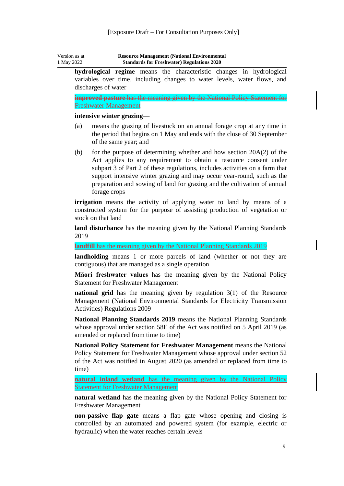| Version as at | <b>Resource Management (National Environmental)</b> |
|---------------|-----------------------------------------------------|
| 1 May 2022    | <b>Standards for Freshwater) Regulations 2020</b>   |

**hydrological regime** means the characteristic changes in hydrological variables over time, including changes to water levels, water flows, and discharges of water

**improved pasture** has the meaning given by the National Policy Statement for Freshwater Management

#### **intensive winter grazing**—

- (a) means the grazing of livestock on an annual forage crop at any time in the period that begins on 1 May and ends with the close of 30 September of the same year; and
- (b) for the purpose of determining whether and how [section 20A\(2\)](http://legislation.govt.nz/pdflink.aspx?id=DLM232526) of the Act applies to any requirement to obtain a resource consent under [subpart 3](#page-21-2) of Part 2 of these regulations, includes activities on a farm that support intensive winter grazing and may occur year-round, such as the preparation and sowing of land for grazing and the cultivation of annual forage crops

**irrigation** means the activity of applying water to land by means of a constructed system for the purpose of assisting production of vegetation or stock on that land

**land disturbance** has the meaning given by the National Planning Standards 2019

**landfill** has the meaning given by the National Planning Standards 2019

**landholding** means 1 or more parcels of land (whether or not they are contiguous) that are managed as a single operation

**Māori freshwater values** has the meaning given by the National Policy Statement for Freshwater Management

**national grid** has the meaning given by [regulation 3\(1\)](http://legislation.govt.nz/pdflink.aspx?id=DLM2626032) of the Resource Management (National Environmental Standards for Electricity Transmission Activities) Regulations 2009

**National Planning Standards 2019** means the National Planning Standards whose approval under [section 58E](http://legislation.govt.nz/pdflink.aspx?id=DLM7236200) of the Act was notified on 5 April 2019 (as amended or replaced from time to time)

**National Policy Statement for Freshwater Management** means the National Policy Statement for Freshwater Management whose approval under [section 52](http://legislation.govt.nz/pdflink.aspx?id=DLM233367) of the Act was notified in August 2020 (as amended or replaced from time to time)

**natural inland wetland** has the meaning given by the National Policy Statement for Freshwater Management

**natural wetland** has the meaning given by the National Policy Statement for Freshwater Management

**non-passive flap gate** means a flap gate whose opening and closing is controlled by an automated and powered system (for example, electric or hydraulic) when the water reaches certain levels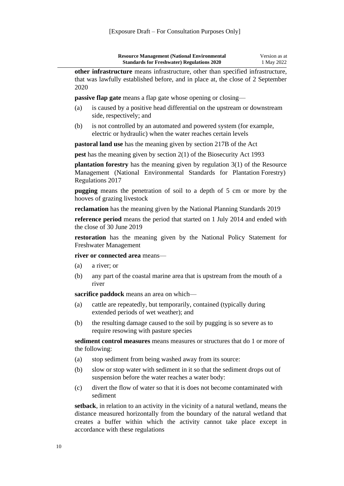| <b>Resource Management (National Environmental</b> | Version as at |
|----------------------------------------------------|---------------|
| <b>Standards for Freshwater) Regulations 2020</b>  | 1 May 2022    |

**other infrastructure** means infrastructure, other than specified infrastructure, that was lawfully established before, and in place at, the close of 2 September 2020

**passive flap gate** means a flap gate whose opening or closing—

- (a) is caused by a positive head differential on the upstream or downstream side, respectively; and
- (b) is not controlled by an automated and powered system (for example, electric or hydraulic) when the water reaches certain levels

**pastoral land use** has the meaning given by [section 217B](http://legislation.govt.nz/pdflink.aspx?id=LMS375844) of the Act

**pest** has the meaning given by [section 2\(1\)](http://legislation.govt.nz/pdflink.aspx?id=DLM314629) of the Biosecurity Act 1993

**plantation forestry** has the meaning given by [regulation 3\(1\)](http://legislation.govt.nz/pdflink.aspx?id=DLM7373522) of the Resource Management (National Environmental Standards for Plantation Forestry) Regulations 2017

**pugging** means the penetration of soil to a depth of 5 cm or more by the hooves of grazing livestock

**reclamation** has the meaning given by the National Planning Standards 2019

**reference period** means the period that started on 1 July 2014 and ended with the close of 30 June 2019

**restoration** has the meaning given by the National Policy Statement for Freshwater Management

**river or connected area** means—

- (a) a river; or
- (b) any part of the coastal marine area that is upstream from the mouth of a river

**sacrifice paddock** means an area on which—

- (a) cattle are repeatedly, but temporarily, contained (typically during extended periods of wet weather); and
- (b) the resulting damage caused to the soil by pugging is so severe as to require resowing with pasture species

**sediment control measures** means measures or structures that do 1 or more of the following:

- (a) stop sediment from being washed away from its source:
- (b) slow or stop water with sediment in it so that the sediment drops out of suspension before the water reaches a water body:
- (c) divert the flow of water so that it is does not become contaminated with sediment

**setback**, in relation to an activity in the vicinity of a natural wetland, means the distance measured horizontally from the boundary of the natural wetland that creates a buffer within which the activity cannot take place except in accordance with these regulations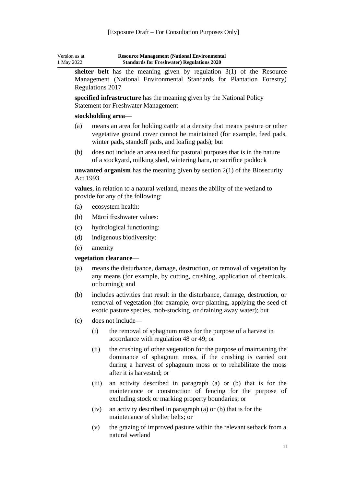| Version as at | <b>Resource Management (National Environmental</b> |
|---------------|----------------------------------------------------|
| 1 May 2022    | <b>Standards for Freshwater) Regulations 2020</b>  |

**shelter belt** has the meaning given by [regulation 3\(1\)](http://legislation.govt.nz/pdflink.aspx?id=DLM7373522) of the Resource Management (National Environmental Standards for Plantation Forestry) Regulations 2017

**specified infrastructure** has the meaning given by the National Policy Statement for Freshwater Management

#### **stockholding area**—

- (a) means an area for holding cattle at a density that means pasture or other vegetative ground cover cannot be maintained (for example, feed pads, winter pads, standoff pads, and loafing pads); but
- (b) does not include an area used for pastoral purposes that is in the nature of a stockyard, milking shed, wintering barn, or sacrifice paddock

**unwanted organism** has the meaning given by [section 2\(1\)](http://legislation.govt.nz/pdflink.aspx?id=DLM314629) of the Biosecurity Act 1993

**values**, in relation to a natural wetland, means the ability of the wetland to provide for any of the following:

- (a) ecosystem health:
- (b) Māori freshwater values:
- (c) hydrological functioning:
- (d) indigenous biodiversity:
- (e) amenity

#### **vegetation clearance**—

- (a) means the disturbance, damage, destruction, or removal of vegetation by any means (for example, by cutting, crushing, application of chemicals, or burning); and
- (b) includes activities that result in the disturbance, damage, destruction, or removal of vegetation (for example, over-planting, applying the seed of exotic pasture species, mob-stocking, or draining away water); but
- (c) does not include—
	- (i) the removal of sphagnum moss for the purpose of a harvest in accordance with [regulation 48](#page-42-1) or [49;](#page-43-0) or
	- (ii) the crushing of other vegetation for the purpose of maintaining the dominance of sphagnum moss, if the crushing is carried out during a harvest of sphagnum moss or to rehabilitate the moss after it is harvested; or
	- (iii) an activity described in paragraph (a) or (b) that is for the maintenance or construction of fencing for the purpose of excluding stock or marking property boundaries; or
	- (iv) an activity described in paragraph (a) or (b) that is for the maintenance of shelter belts; or
	- (v) the grazing of improved pasture within the relevant setback from a natural wetland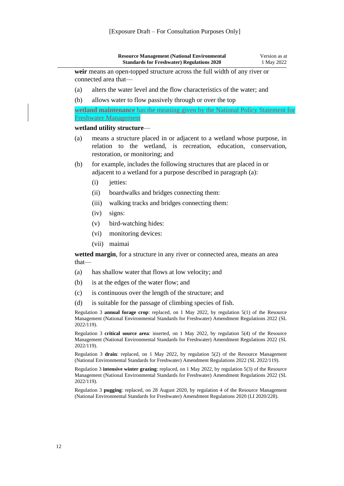|            |       | <b>Resource Management (National Environmental</b><br><b>Standards for Freshwater) Regulations 2020</b>                                                                                               | Version as at<br>1 May 2022 |
|------------|-------|-------------------------------------------------------------------------------------------------------------------------------------------------------------------------------------------------------|-----------------------------|
|            |       | weir means an open-topped structure across the full width of any river or<br>connected area that-                                                                                                     |                             |
| (a)        |       | alters the water level and the flow characteristics of the water; and                                                                                                                                 |                             |
| (b)        |       | allows water to flow passively through or over the top                                                                                                                                                |                             |
|            |       | wetland maintenance has the meaning given by the National Policy Statement for                                                                                                                        |                             |
|            |       | <b>Freshwater Management</b>                                                                                                                                                                          |                             |
|            |       | wetland utility structure-                                                                                                                                                                            |                             |
| (a)        |       | means a structure placed in or adjacent to a wetland whose purpose, in<br>relation to the wetland, is recreation, education, conservation,<br>restoration, or monitoring; and                         |                             |
| (b)        |       | for example, includes the following structures that are placed in or<br>adjacent to a wetland for a purpose described in paragraph (a):                                                               |                             |
|            | (i)   | jetties:                                                                                                                                                                                              |                             |
|            | (ii)  | boardwalks and bridges connecting them:                                                                                                                                                               |                             |
|            | (iii) | walking tracks and bridges connecting them:                                                                                                                                                           |                             |
|            | (iv)  | signs:                                                                                                                                                                                                |                             |
|            | (v)   | bird-watching hides:                                                                                                                                                                                  |                             |
|            | (vi)  | monitoring devices:                                                                                                                                                                                   |                             |
|            | (vii) | maimai                                                                                                                                                                                                |                             |
| $that$ —   |       | wetted margin, for a structure in any river or connected area, means an area                                                                                                                          |                             |
| (a)        |       | has shallow water that flows at low velocity; and                                                                                                                                                     |                             |
| (b)        |       | is at the edges of the water flow; and                                                                                                                                                                |                             |
| (c)        |       | is continuous over the length of the structure; and                                                                                                                                                   |                             |
| (d)        |       | is suitable for the passage of climbing species of fish.                                                                                                                                              |                             |
| 2022/119). |       | Regulation 3 <b>annual forage crop</b> : replaced, on 1 May 2022, by regulation $5(1)$ of the Resource<br>Management (National Environmental Standards for Freshwater) Amendment Regulations 2022 (SL |                             |
|            |       | Regulation 3 critical source area: inserted, on 1 May 2022, by regulation 5(4) of the Resource<br>Management (National Environmental Standards for Freshwater) Amendment Regulations 2022 (SL         |                             |
| 2022/119). |       |                                                                                                                                                                                                       |                             |
|            |       | Regulation 3 drain: replaced, on 1 May 2022, by regulation 5(2) of the Resource Management<br>(National Environmental Standards for Freshwater) Amendment Regulations 2022 (SL 2022/119).             |                             |
| 2022/119). |       | Regulation 3 intensive winter grazing: replaced, on 1 May 2022, by regulation 5(3) of the Resource<br>Management (National Environmental Standards for Freshwater) Amendment Regulations 2022 (SL     |                             |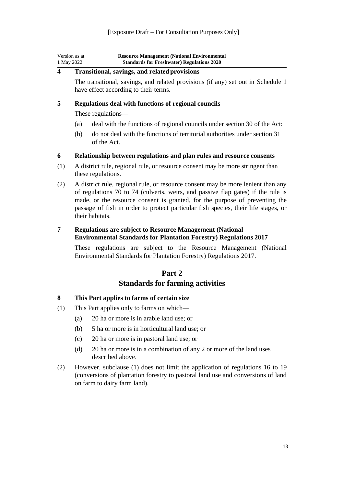| Version as at | <b>Resource Management (National Environmental</b> |
|---------------|----------------------------------------------------|
| 1 May 2022    | <b>Standards for Freshwater) Regulations 2020</b>  |

#### <span id="page-13-0"></span>**4 Transitional, savings, and related provisions**

The transitional, savings, and related provisions (if any) set out in [Schedule 1](#page-60-2) have effect according to their terms.

#### <span id="page-13-1"></span>**5 Regulations deal with functions of regional councils**

These regulations—

- (a) deal with the functions of regional councils under [section 30](http://legislation.govt.nz/pdflink.aspx?id=DLM232560) of the Act:
- (b) do not deal with the functions of territorial authorities under [section](http://legislation.govt.nz/pdflink.aspx?id=DLM232574) 31 of the Act.

#### <span id="page-13-2"></span>**6 Relationship between regulations and plan rules and resource consents**

- (1) A district rule, regional rule, or resource consent may be more stringent than these regulations.
- (2) A district rule, regional rule, or resource consent may be more lenient than any of [regulations 70](#page-58-1) to [74](#page-59-4) (culverts, weirs, and passive flap gates) if the rule is made, or the resource consent is granted, for the purpose of preventing the passage of fish in order to protect particular fish species, their life stages, or their habitats.

#### <span id="page-13-3"></span>**7 Regulations are subject to Resource Management (National Environmental Standards for Plantation Forestry) Regulations 2017**

These regulations are subject to the [Resource Management \(National](http://legislation.govt.nz/pdflink.aspx?id=DLM7373516)  [Environmental Standards for Plantation Forestry\) Regulations 2017.](http://legislation.govt.nz/pdflink.aspx?id=DLM7373516)

#### **Part 2**

#### **Standards for farming activities**

#### <span id="page-13-5"></span><span id="page-13-4"></span>**8 This Part applies to farms of certain size**

- (1) This Part applies only to farms on which—
	- (a) 20 ha or more is in arable land use; or
	- (b) 5 ha or more is in horticultural land use; or
	- (c) 20 ha or more is in pastoral land use; or
	- (d) 20 ha or more is in a combination of any 2 or more of the land uses described above.
- <span id="page-13-6"></span>(2) However, subclause (1) does not limit the application of [regulations 16](#page-17-3) to [19](#page-18-3) (conversions of plantation forestry to pastoral land use and conversions of land on farm to dairy farm land).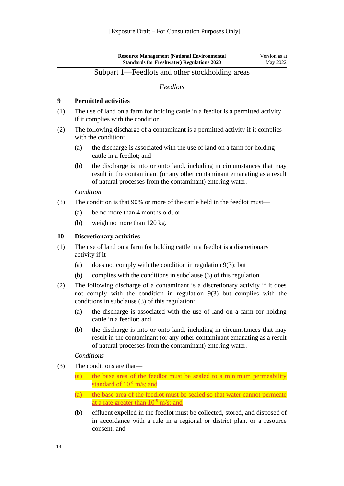#### Subpart 1—Feedlots and other stockholding areas

#### *Feedlots*

#### <span id="page-14-1"></span><span id="page-14-0"></span>**9 Permitted activities**

- (1) The use of land on a farm for holding cattle in a feedlot is a permitted activity if it complies with the condition.
- (2) The following discharge of a contaminant is a permitted activity if it complies with the condition:
	- (a) the discharge is associated with the use of land on a farm for holding cattle in a feedlot; and
	- (b) the discharge is into or onto land, including in circumstances that may result in the contaminant (or any other contaminant emanating as a result of natural processes from the contaminant) entering water.

#### *Condition*

- (3) The condition is that 90% or more of the cattle held in the feedlot must—
	- (a) be no more than 4 months old; or
	- (b) weigh no more than 120 kg.

#### <span id="page-14-2"></span>**10 Discretionary activities**

- (1) The use of land on a farm for holding cattle in a feedlot is a discretionary activity if it—
	- (a) does not comply with the condition in regulation  $9(3)$ ; but
	- (b) complies with the conditions in subclause (3) of this regulation.
- (2) The following discharge of a contaminant is a discretionary activity if it does not comply with the condition in [regulation 9\(3\)](#page-14-1) but complies with the conditions in subclause (3) of this regulation:
	- (a) the discharge is associated with the use of land on a farm for holding cattle in a feedlot; and
	- (b) the discharge is into or onto land, including in circumstances that may result in the contaminant (or any other contaminant emanating as a result of natural processes from the contaminant) entering water.

#### *Conditions*

- (3) The conditions are that—
	- $(a)$  the base area of the feedlot must be sealed to a minimum permeability standard of  $10^{-9}$  m/s; and
	- (a) the base area of the feedlot must be sealed so that water cannot permeate at a rate greater than  $10^{-9}$  m/s; and
	- (b) effluent expelled in the feedlot must be collected, stored, and disposed of in accordance with a rule in a regional or district plan, or a resource consent; and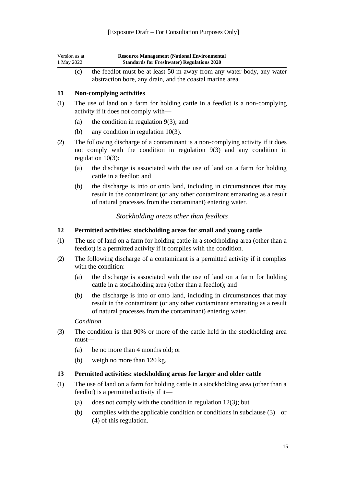| Version as at | <b>Resource Management (National Environmental)</b> |
|---------------|-----------------------------------------------------|
| 1 May 2022    | <b>Standards for Freshwater) Regulations 2020</b>   |
|               |                                                     |

(c) the feedlot must be at least 50 m away from any water body, any water abstraction bore, any drain, and the coastal marine area.

#### <span id="page-15-0"></span>**11 Non-complying activities**

- (1) The use of land on a farm for holding cattle in a feedlot is a non-complying activity if it does not comply with—
	- (a) the condition in regulation  $9(3)$ ; and
	- (b) any condition in [regulation](#page-14-2) 10(3).
- (2) The following discharge of a contaminant is a non-complying activity if it does not comply with the condition in [regulation 9\(3\)](#page-14-1) and any condition in [regulation 10\(3\):](#page-14-2)
	- (a) the discharge is associated with the use of land on a farm for holding cattle in a feedlot; and
	- (b) the discharge is into or onto land, including in circumstances that may result in the contaminant (or any other contaminant emanating as a result of natural processes from the contaminant) entering water.

#### *Stockholding areas other than feedlots*

#### <span id="page-15-2"></span><span id="page-15-1"></span>**12 Permitted activities: stockholding areas for small and young cattle**

- (1) The use of land on a farm for holding cattle in a stockholding area (other than a feedlot) is a permitted activity if it complies with the condition.
- (2) The following discharge of a contaminant is a permitted activity if it complies with the condition:
	- (a) the discharge is associated with the use of land on a farm for holding cattle in a stockholding area (other than a feedlot); and
	- (b) the discharge is into or onto land, including in circumstances that may result in the contaminant (or any other contaminant emanating as a result of natural processes from the contaminant) entering water.

#### *Condition*

- (3) The condition is that 90% or more of the cattle held in the stockholding area must—
	- (a) be no more than 4 months old; or
	- (b) weigh no more than 120 kg.

#### <span id="page-15-3"></span>**13 Permitted activities: stockholding areas for larger and older cattle**

- (1) The use of land on a farm for holding cattle in a stockholding area (other than a feedlot) is a permitted activity if it—
	- (a) does not comply with the condition in regulation  $12(3)$ ; but
	- (b) complies with the applicable condition or conditions in subclause (3) or (4) of this regulation.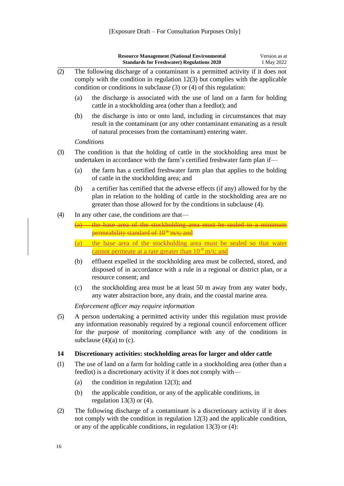|     |                                                                                                                                                                                                                                                                          | <b>Resource Management (National Environmental</b><br><b>Standards for Freshwater) Regulations 2020</b>                                                                                                                                        | Version as at<br>1 May 2022 |
|-----|--------------------------------------------------------------------------------------------------------------------------------------------------------------------------------------------------------------------------------------------------------------------------|------------------------------------------------------------------------------------------------------------------------------------------------------------------------------------------------------------------------------------------------|-----------------------------|
| (2) |                                                                                                                                                                                                                                                                          | The following discharge of a contaminant is a permitted activity if it does not<br>comply with the condition in regulation $12(3)$ but complies with the applicable<br>condition or conditions in subclause $(3)$ or $(4)$ of this regulation: |                             |
|     | (a)                                                                                                                                                                                                                                                                      | the discharge is associated with the use of land on a farm for holding<br>cattle in a stockholding area (other than a feedlot); and                                                                                                            |                             |
|     | (b)                                                                                                                                                                                                                                                                      | the discharge is into or onto land, including in circumstances that may<br>result in the contaminant (or any other contaminant emanating as a result<br>of natural processes from the contaminant) entering water.                             |                             |
|     |                                                                                                                                                                                                                                                                          | Conditions                                                                                                                                                                                                                                     |                             |
| (3) |                                                                                                                                                                                                                                                                          | The condition is that the holding of cattle in the stockholding area must be<br>undertaken in accordance with the farm's certified freshwater farm plan if-                                                                                    |                             |
|     | (a)                                                                                                                                                                                                                                                                      | the farm has a certified freshwater farm plan that applies to the holding<br>of cattle in the stockholding area; and                                                                                                                           |                             |
|     | (b)                                                                                                                                                                                                                                                                      | a certifier has certified that the adverse effects (if any) allowed for by the<br>plan in relation to the holding of cattle in the stockholding area are no<br>greater than those allowed for by the conditions in subclause (4).              |                             |
| (4) |                                                                                                                                                                                                                                                                          | In any other case, the conditions are that—                                                                                                                                                                                                    |                             |
|     |                                                                                                                                                                                                                                                                          | (a) the base area of the stockholding area must be sealed to a minimu                                                                                                                                                                          |                             |
|     |                                                                                                                                                                                                                                                                          | permeability standard of 10 <sup>+</sup> m/s; and                                                                                                                                                                                              |                             |
|     | (a)                                                                                                                                                                                                                                                                      | the base area of the stockholding area must be sealed so that water                                                                                                                                                                            |                             |
|     |                                                                                                                                                                                                                                                                          | cannot permeate at a rate greater than $10^{-9}$ m/s; and                                                                                                                                                                                      |                             |
|     | (b)                                                                                                                                                                                                                                                                      | effluent expelled in the stockholding area must be collected, stored, and<br>disposed of in accordance with a rule in a regional or district plan, or a<br>resource consent; and                                                               |                             |
|     | (c)                                                                                                                                                                                                                                                                      | the stockholding area must be at least 50 m away from any water body,<br>any water abstraction bore, any drain, and the coastal marine area.                                                                                                   |                             |
|     |                                                                                                                                                                                                                                                                          | Enforcement officer may require information                                                                                                                                                                                                    |                             |
| (5) | A person undertaking a permitted activity under this regulation must provide<br>any information reasonably required by a regional council enforcement officer<br>for the purpose of monitoring compliance with any of the conditions in<br>subclause $(4)(a)$ to $(c)$ . |                                                                                                                                                                                                                                                |                             |
| 14  |                                                                                                                                                                                                                                                                          | Discretionary activities: stockholding areas for larger and older cattle                                                                                                                                                                       |                             |
| (1) |                                                                                                                                                                                                                                                                          | The use of land on a farm for holding cattle in a stockholding area (other than a<br>feedlot) is a discretionary activity if it does not comply with—                                                                                          |                             |
|     | (a)                                                                                                                                                                                                                                                                      | the condition in regulation $12(3)$ ; and                                                                                                                                                                                                      |                             |
|     | (b)                                                                                                                                                                                                                                                                      | the applicable condition, or any of the applicable conditions, in<br>regulation $13(3)$ or (4).                                                                                                                                                |                             |
| (2) |                                                                                                                                                                                                                                                                          | The following discharge of a contaminant is a discretionary activity if it does                                                                                                                                                                |                             |

<span id="page-16-0"></span>not comply with the condition in [regulation 12\(3\)](#page-15-2) and the applicable condition, or any of the applicable conditions, in [regulation 13\(3\) or](#page-15-3) (4):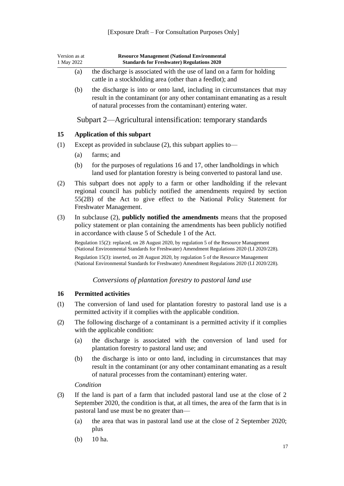#### [Exposure Draft – For Consultation Purposes Only]

<span id="page-17-1"></span><span id="page-17-0"></span>

| Version as at<br>1 May 2022<br>(a) |                                                                                                                                                                                                                      | <b>Resource Management (National Environmental</b><br><b>Standards for Freshwater) Regulations 2020</b>                                                                                                                                                    |  |  |
|------------------------------------|----------------------------------------------------------------------------------------------------------------------------------------------------------------------------------------------------------------------|------------------------------------------------------------------------------------------------------------------------------------------------------------------------------------------------------------------------------------------------------------|--|--|
|                                    |                                                                                                                                                                                                                      | the discharge is associated with the use of land on a farm for holding<br>cattle in a stockholding area (other than a feedlot); and                                                                                                                        |  |  |
|                                    | (b)                                                                                                                                                                                                                  | the discharge is into or onto land, including in circumstances that may<br>result in the contaminant (or any other contaminant emanating as a result<br>of natural processes from the contaminant) entering water.                                         |  |  |
|                                    |                                                                                                                                                                                                                      | Subpart 2—Agricultural intensification: temporary standards                                                                                                                                                                                                |  |  |
| 15                                 |                                                                                                                                                                                                                      | <b>Application of this subpart</b>                                                                                                                                                                                                                         |  |  |
| (1)                                |                                                                                                                                                                                                                      | Except as provided in subclause $(2)$ , this subpart applies to —                                                                                                                                                                                          |  |  |
|                                    | (a)                                                                                                                                                                                                                  | farms; and                                                                                                                                                                                                                                                 |  |  |
|                                    | (b)                                                                                                                                                                                                                  | for the purposes of regulations 16 and 17, other landholdings in which<br>land used for plantation forestry is being converted to pastoral land use.                                                                                                       |  |  |
| (2)                                |                                                                                                                                                                                                                      | This subpart does not apply to a farm or other landholding if the relevant<br>regional council has publicly notified the amendments required by section<br>55(2B) of the Act to give effect to the National Policy Statement for<br>Freshwater Management. |  |  |
| (3)                                | In subclause (2), publicly notified the amendments means that the proposed<br>policy statement or plan containing the amendments has been publicly notified<br>in accordance with clause 5 of Schedule 1 of the Act. |                                                                                                                                                                                                                                                            |  |  |
|                                    |                                                                                                                                                                                                                      | Regulation 15(2): replaced, on 28 August 2020, by regulation 5 of the Resource Management<br>(National Environmental Standards for Freshwater) Amendment Regulations 2020 (LI 2020/228).                                                                   |  |  |
|                                    |                                                                                                                                                                                                                      | Regulation 15(3): inserted, on 28 August 2020, by regulation 5 of the Resource Management<br>(National Environmental Standards for Freshwater) Amendment Regulations 2020 (LI 2020/228).                                                                   |  |  |
|                                    |                                                                                                                                                                                                                      | Conversions of plantation forestry to pastoral land use                                                                                                                                                                                                    |  |  |
| 16                                 |                                                                                                                                                                                                                      | <b>Permitted activities</b>                                                                                                                                                                                                                                |  |  |

- <span id="page-17-3"></span><span id="page-17-2"></span>(1) The conversion of land used for plantation forestry to pastoral land use is a permitted activity if it complies with the applicable condition.
- (2) The following discharge of a contaminant is a permitted activity if it complies with the applicable condition:
	- (a) the discharge is associated with the conversion of land used for plantation forestry to pastoral land use; and
	- (b) the discharge is into or onto land, including in circumstances that may result in the contaminant (or any other contaminant emanating as a result of natural processes from the contaminant) entering water.

*Condition*

- (3) If the land is part of a farm that included pastoral land use at the close of 2 September 2020, the condition is that, at all times, the area of the farm that is in pastoral land use must be no greater than—
	- (a) the area that was in pastoral land use at the close of 2 September 2020; plus
	- (b) 10 ha.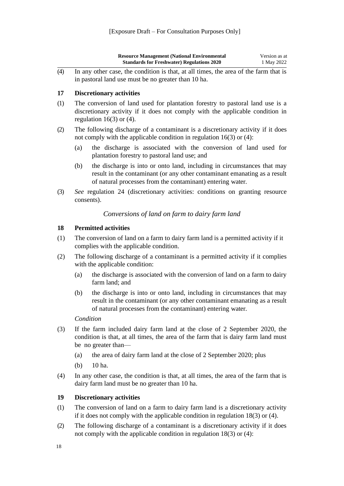|     | <b>Resource Management (National Environmental)</b><br><b>Standards for Freshwater) Regulations 2020</b> | Version as at<br>1 May 2022 |
|-----|----------------------------------------------------------------------------------------------------------|-----------------------------|
| (4) | In any other case, the condition is that, at all times, the area of the farm that is                     |                             |

in pastoral land use must be no greater than 10 ha.

#### <span id="page-18-0"></span>**17 Discretionary activities**

- (1) The conversion of land used for plantation forestry to pastoral land use is a discretionary activity if it does not comply with the applicable condition in regulation  $16(3)$  or  $(4)$ .
- (2) The following discharge of a contaminant is a discretionary activity if it does not comply with the applicable condition in [regulation 16\(3\) or](#page-17-3) (4):
	- (a) the discharge is associated with the conversion of land used for plantation forestry to pastoral land use; and
	- (b) the discharge is into or onto land, including in circumstances that may result in the contaminant (or any other contaminant emanating as a result of natural processes from the contaminant) entering water.
- (3) *See* [regulation 24](#page-20-4) (discretionary activities: conditions on granting resource consents).

#### *Conversions of land on farm to dairy farm land*

#### <span id="page-18-2"></span><span id="page-18-1"></span>**18 Permitted activities**

- (1) The conversion of land on a farm to dairy farm land is a permitted activity if it complies with the applicable condition.
- (2) The following discharge of a contaminant is a permitted activity if it complies with the applicable condition:
	- (a) the discharge is associated with the conversion of land on a farm to dairy farm land; and
	- (b) the discharge is into or onto land, including in circumstances that may result in the contaminant (or any other contaminant emanating as a result of natural processes from the contaminant) entering water.

#### *Condition*

- (3) If the farm included dairy farm land at the close of 2 September 2020, the condition is that, at all times, the area of the farm that is dairy farm land must be no greater than—
	- (a) the area of dairy farm land at the close of 2 September 2020; plus
	- (b) 10 ha.
- (4) In any other case, the condition is that, at all times, the area of the farm that is dairy farm land must be no greater than 10 ha.

#### <span id="page-18-3"></span>**19 Discretionary activities**

- (1) The conversion of land on a farm to dairy farm land is a discretionary activity if it does not comply with the applicable condition in [regulation 18\(3\) or](#page-18-2) (4).
- (2) The following discharge of a contaminant is a discretionary activity if it does not comply with the applicable condition in [regulation 18\(3\) or](#page-18-2) (4):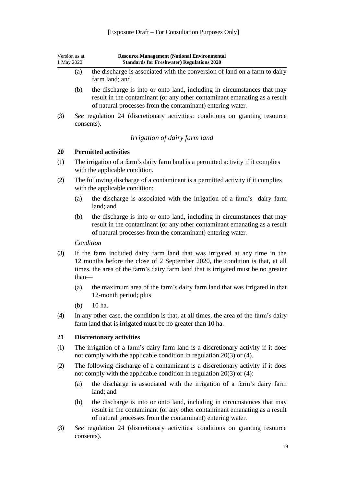| Version as at<br>1 May 2022 | <b>Resource Management (National Environmental</b><br><b>Standards for Freshwater) Regulations 2020</b>                                                                                                            |
|-----------------------------|--------------------------------------------------------------------------------------------------------------------------------------------------------------------------------------------------------------------|
| (a)                         | the discharge is associated with the conversion of land on a farm to dairy<br>farm land; and                                                                                                                       |
| (b)                         | the discharge is into or onto land, including in circumstances that may<br>result in the contaminant (or any other contaminant emanating as a result<br>of natural processes from the contaminant) entering water. |
|                             | See regulation 24 (discretionary estivities: conditions on graphic resource                                                                                                                                        |

(3) *See* [regulation 24](#page-20-4) (discretionary activities: conditions on granting resource consents).

#### *Irrigation of dairy farm land*

#### <span id="page-19-1"></span><span id="page-19-0"></span>**20 Permitted activities**

- (1) The irrigation of a farm's dairy farm land is a permitted activity if it complies with the applicable condition.
- (2) The following discharge of a contaminant is a permitted activity if it complies with the applicable condition:
	- (a) the discharge is associated with the irrigation of a farm's dairy farm land; and
	- (b) the discharge is into or onto land, including in circumstances that may result in the contaminant (or any other contaminant emanating as a result of natural processes from the contaminant) entering water.

*Condition*

- (3) If the farm included dairy farm land that was irrigated at any time in the 12 months before the close of 2 September 2020, the condition is that, at all times, the area of the farm's dairy farm land that is irrigated must be no greater than—
	- (a) the maximum area of the farm's dairy farm land that was irrigated in that 12-month period; plus
	- (b) 10 ha.
- (4) In any other case, the condition is that, at all times, the area of the farm's dairy farm land that is irrigated must be no greater than 10 ha.

#### <span id="page-19-2"></span>**21 Discretionary activities**

- (1) The irrigation of a farm's dairy farm land is a discretionary activity if it does not comply with the applicable condition in [regulation 20\(3\) or](#page-19-1) (4).
- (2) The following discharge of a contaminant is a discretionary activity if it does not comply with the applicable condition in [regulation 20\(3\) or](#page-19-1) (4):
	- (a) the discharge is associated with the irrigation of a farm's dairy farm land; and
	- (b) the discharge is into or onto land, including in circumstances that may result in the contaminant (or any other contaminant emanating as a result of natural processes from the contaminant) entering water.
- (3) *See* [regulation 24](#page-20-4) (discretionary activities: conditions on granting resource consents).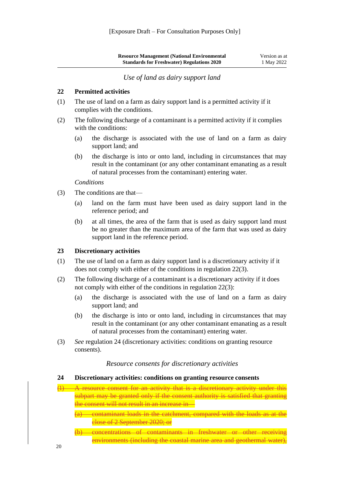*Use of land as dairy support land*

#### <span id="page-20-1"></span><span id="page-20-0"></span>**22 Permitted activities**

- (1) The use of land on a farm as dairy support land is a permitted activity if it complies with the conditions.
- (2) The following discharge of a contaminant is a permitted activity if it complies with the conditions:
	- (a) the discharge is associated with the use of land on a farm as dairy support land; and
	- (b) the discharge is into or onto land, including in circumstances that may result in the contaminant (or any other contaminant emanating as a result of natural processes from the contaminant) entering water.

*Conditions*

- (3) The conditions are that—
	- (a) land on the farm must have been used as dairy support land in the reference period; and
	- (b) at all times, the area of the farm that is used as dairy support land must be no greater than the maximum area of the farm that was used as dairy support land in the reference period.

#### <span id="page-20-2"></span>**23 Discretionary activities**

- (1) The use of land on a farm as dairy support land is a discretionary activity if it does not comply with either of the conditions in [regulation](#page-20-1) 22(3).
- (2) The following discharge of a contaminant is a discretionary activity if it does not comply with either of the conditions in [regulation](#page-20-1) 22(3):
	- (a) the discharge is associated with the use of land on a farm as dairy support land; and
	- (b) the discharge is into or onto land, including in circumstances that may result in the contaminant (or any other contaminant emanating as a result of natural processes from the contaminant) entering water.
- <span id="page-20-3"></span>(3) *See* [regulation 24](#page-20-4) (discretionary activities: conditions on granting resource consents).

#### *Resource consents for discretionary activities*

#### <span id="page-20-4"></span>**24 Discretionary activities: conditions on granting resource consents**

- (1) A resource consent for an activity that is a discretionary activity under this subpart may be granted only if the consent authority is satisfied that granting the consent will not result in an increase in—
	- (a) contaminant loads in the catchment, compared with the loads as at the close of 2 September 2020; or
	- (b) concentrations of contaminants in freshwater or other receiving environments (including the coastal marine area and geothermal water),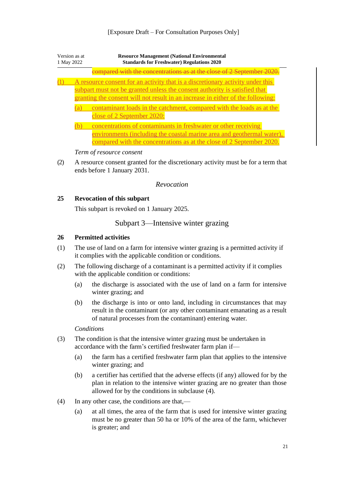#### [Exposure Draft – For Consultation Purposes Only]

| Version as at<br>1 May 2022 |  | <b>Resource Management (National Environmental</b><br><b>Standards for Freshwater) Regulations 2020</b>                                                                                                                                         |  |
|-----------------------------|--|-------------------------------------------------------------------------------------------------------------------------------------------------------------------------------------------------------------------------------------------------|--|
|                             |  | compared with the concentrations as at the close of 2 September                                                                                                                                                                                 |  |
|                             |  | A resource consent for an activity that is a discretionary activity under this<br>subpart must not be granted unless the consent authority is satisfied that<br>granting the consent will not result in an increase in either of the following: |  |
|                             |  | contaminant loads in the catchment, compared with the loads as at the<br>close of 2 September 2020:                                                                                                                                             |  |
|                             |  | concentrations of contaminants in freshwater or other receiving<br>environments (including the coastal marine area and geothermal water),<br>compared with the concentrations as at the close of 2 September 2020.                              |  |
|                             |  | Term of resource consent                                                                                                                                                                                                                        |  |

(2) A resource consent granted for the discretionary activity must be for a term that ends before 1 January 2031.

#### *Revocation*

#### <span id="page-21-2"></span><span id="page-21-1"></span><span id="page-21-0"></span>**25 Revocation of this subpart**

This subpart is revoked on 1 January 2025.

#### Subpart 3—Intensive winter grazing

#### <span id="page-21-3"></span>**26 Permitted activities**

- (1) The use of land on a farm for intensive winter grazing is a permitted activity if it complies with the applicable condition or conditions.
- (2) The following discharge of a contaminant is a permitted activity if it complies with the applicable condition or conditions:
	- (a) the discharge is associated with the use of land on a farm for intensive winter grazing; and
	- (b) the discharge is into or onto land, including in circumstances that may result in the contaminant (or any other contaminant emanating as a result of natural processes from the contaminant) entering water.

*Conditions*

- (3) The condition is that the intensive winter grazing must be undertaken in accordance with the farm's certified freshwater farm plan if—
	- (a) the farm has a certified freshwater farm plan that applies to the intensive winter grazing; and
	- (b) a certifier has certified that the adverse effects (if any) allowed for by the plan in relation to the intensive winter grazing are no greater than those allowed for by the conditions in subclause (4).
- (4) In any other case, the conditions are that,—
	- (a) at all times, the area of the farm that is used for intensive winter grazing must be no greater than 50 ha or 10% of the area of the farm, whichever is greater; and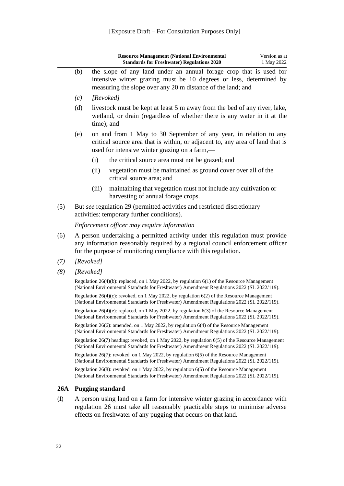|     |           |                                                                                                                                                                                                                                 | <b>Resource Management (National Environmental</b><br><b>Standards for Freshwater) Regulations 2020</b>                                                                                                 | Version as at<br>1 May 2022 |
|-----|-----------|---------------------------------------------------------------------------------------------------------------------------------------------------------------------------------------------------------------------------------|---------------------------------------------------------------------------------------------------------------------------------------------------------------------------------------------------------|-----------------------------|
|     | (b)       |                                                                                                                                                                                                                                 | the slope of any land under an annual forage crop that is used for<br>intensive winter grazing must be 10 degrees or less, determined by<br>measuring the slope over any 20 m distance of the land; and |                             |
|     | (c)       | [Revoked]                                                                                                                                                                                                                       |                                                                                                                                                                                                         |                             |
|     | (d)       | time); and                                                                                                                                                                                                                      | livestock must be kept at least 5 m away from the bed of any river, lake,<br>wetland, or drain (regardless of whether there is any water in it at the                                                   |                             |
|     | (e)       |                                                                                                                                                                                                                                 | on and from 1 May to 30 September of any year, in relation to any<br>critical source area that is within, or adjacent to, any area of land that is<br>used for intensive winter grazing on a farm,—     |                             |
|     |           | (i)                                                                                                                                                                                                                             | the critical source area must not be grazed; and                                                                                                                                                        |                             |
|     |           | (ii)                                                                                                                                                                                                                            | vegetation must be maintained as ground cover over all of the<br>critical source area; and                                                                                                              |                             |
|     |           | (iii)                                                                                                                                                                                                                           | maintaining that vegetation must not include any cultivation or<br>harvesting of annual forage crops.                                                                                                   |                             |
| (5) |           |                                                                                                                                                                                                                                 | But see regulation 29 (permitted activities and restricted discretionary<br>activities: temporary further conditions).                                                                                  |                             |
|     |           |                                                                                                                                                                                                                                 | Enforcement officer may require information                                                                                                                                                             |                             |
| (6) |           | A person undertaking a permitted activity under this regulation must provide<br>any information reasonably required by a regional council enforcement officer<br>for the purpose of monitoring compliance with this regulation. |                                                                                                                                                                                                         |                             |
| (7) | [Revoked] |                                                                                                                                                                                                                                 |                                                                                                                                                                                                         |                             |
| (8) | [Revoked] |                                                                                                                                                                                                                                 |                                                                                                                                                                                                         |                             |
|     |           |                                                                                                                                                                                                                                 | Regulation 26(4)(b): replaced, on 1 May 2022, by regulation $6(1)$ of the Resource Management<br>(National Environmental Standards for Freshwater) Amendment Regulations 2022 (SL 2022/119).            |                             |
|     |           |                                                                                                                                                                                                                                 | Regulation $26(4)(c)$ : revoked, on 1 May 2022, by regulation $6(2)$ of the Resource Management<br>(National Environmental Standards for Freshwater) Amendment Regulations 2022 (SL 2022/119).          |                             |
|     |           |                                                                                                                                                                                                                                 | Regulation 26(4)(e): replaced, on 1 May 2022, by regulation 6(3) of the Resource Management<br>(National Environmental Standards for Freshwater) Amendment Regulations 2022 (SL 2022/119).              |                             |
|     |           |                                                                                                                                                                                                                                 | Regulation 26(6): amended, on 1 May 2022, by regulation 6(4) of the Resource Management<br>(National Environmental Standards for Freshwater) Amendment Regulations 2022 (SL 2022/119).                  |                             |
|     |           |                                                                                                                                                                                                                                 | Regulation 26(7) heading: revoked, on 1 May 2022, by regulation 6(5) of the Resource Management<br>(National Environmental Standards for Freshwater) Amendment Regulations 2022 (SL 2022/119).          |                             |
|     |           |                                                                                                                                                                                                                                 | Regulation 26(7): revoked, on 1 May 2022, by regulation 6(5) of the Resource Management<br>(National Environmental Standards for Freshwater) Amendment Regulations 2022 (SL 2022/119).                  |                             |
|     |           |                                                                                                                                                                                                                                 | Regulation 26(8): revoked, on 1 May 2022, by regulation 6(5) of the Resource Management<br>(National Environmental Standards for Freshwater) Amendment Regulations 2022 (SL 2022/119).                  |                             |
| 26A |           | <b>Pugging standard</b>                                                                                                                                                                                                         |                                                                                                                                                                                                         |                             |
| (1) |           |                                                                                                                                                                                                                                 | A person using land on a farm for intensive winter grazing in accordance with<br>regulation 26 must take all reasonably practicable steps to minimise adverse                                           |                             |

<span id="page-22-0"></span>[regulation 26](#page-21-3) must take all reasonably practicable steps to minimise adverse effects on freshwater of any pugging that occurs on that land.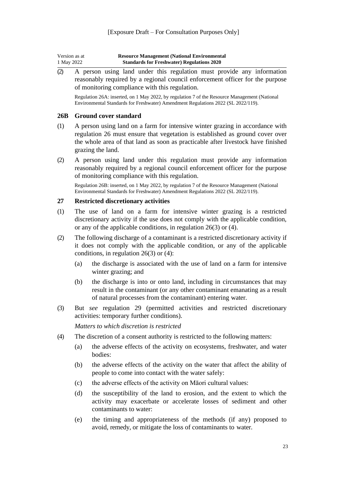| Version as at | <b>Resource Management (National Environmental</b> |
|---------------|----------------------------------------------------|
| 1 May 2022    | <b>Standards for Freshwater) Regulations 2020</b>  |

(2) A person using land under this regulation must provide any information reasonably required by a regional council enforcement officer for the purpose of monitoring compliance with this regulation.

Regulation 26A: inserted, on 1 May 2022, b[y regulation 7](http://legislation.govt.nz/pdflink.aspx?id=LMS674180) of the Resource Management (National Environmental Standards for Freshwater) Amendment Regulations 2022 (SL 2022/119).

#### <span id="page-23-0"></span>**26B Ground cover standard**

- (1) A person using land on a farm for intensive winter grazing in accordance with [regulation 26](#page-21-3) must ensure that vegetation is established as ground cover over the whole area of that land as soon as practicable after livestock have finished grazing the land.
- (2) A person using land under this regulation must provide any information reasonably required by a regional council enforcement officer for the purpose of monitoring compliance with this regulation.

Regulation 26B: inserted, on 1 May 2022, by [regulation 7](http://legislation.govt.nz/pdflink.aspx?id=LMS674180) of the Resource Management (National Environmental Standards for Freshwater) Amendment Regulations 2022 (SL 2022/119).

#### <span id="page-23-1"></span>**27 Restricted discretionary activities**

- (1) The use of land on a farm for intensive winter grazing is a restricted discretionary activity if the use does not comply with the applicable condition, or any of the applicable conditions, in [regulation 26\(3\) or](#page-21-3) (4).
- (2) The following discharge of a contaminant is a restricted discretionary activity if it does not comply with the applicable condition, or any of the applicable conditions, in [regulation 26\(3\) or](#page-21-3) (4):
	- (a) the discharge is associated with the use of land on a farm for intensive winter grazing; and
	- (b) the discharge is into or onto land, including in circumstances that may result in the contaminant (or any other contaminant emanating as a result of natural processes from the contaminant) entering water.
- (3) But *see* [regulation 29](#page-24-2) (permitted activities and restricted discretionary activities: temporary further conditions).

*Matters to which discretion is restricted*

- (4) The discretion of a consent authority is restricted to the following matters:
	- (a) the adverse effects of the activity on ecosystems, freshwater, and water bodies:
	- (b) the adverse effects of the activity on the water that affect the ability of people to come into contact with the water safely:
	- (c) the adverse effects of the activity on Māori cultural values:
	- (d) the susceptibility of the land to erosion, and the extent to which the activity may exacerbate or accelerate losses of sediment and other contaminants to water:
	- (e) the timing and appropriateness of the methods (if any) proposed to avoid, remedy, or mitigate the loss of contaminants to water.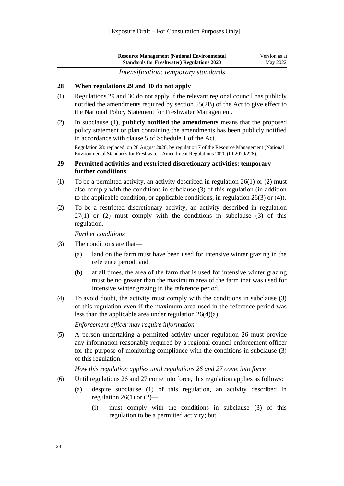| <b>Resource Management (National Environmental</b> | Version as at |
|----------------------------------------------------|---------------|
| <b>Standards for Freshwater) Regulations 2020</b>  | 1 May 2022    |

*Intensification: temporary standards*

#### <span id="page-24-1"></span><span id="page-24-0"></span>**28 When regulations 29 and 30 do not apply**

- (1) [Regulations 29](#page-24-2) and [30](#page-25-0) do not apply if the relevant regional council has publicly notified the amendments required by [section 55\(2B\)](http://legislation.govt.nz/pdflink.aspx?id=DLM233372) of the Act to give effect to the National Policy Statement for Freshwater Management.
- (2) In subclause (1), **publicly notified the amendments** means that the proposed policy statement or plan containing the amendments has been publicly notified in accordance with [clause 5](http://legislation.govt.nz/pdflink.aspx?id=DLM241213) of Schedule 1 of the Act.

Regulation 28: replaced, on 28 August 2020, by [regulation 7](http://legislation.govt.nz/pdflink.aspx?id=LMS395965) of the Resource Management (National Environmental Standards for Freshwater) Amendment Regulations 2020 (LI 2020/228).

#### <span id="page-24-2"></span>**29 Permitted activities and restricted discretionary activities: temporary further conditions**

- (1) To be a permitted activity, an activity described in [regulation 26\(1\) or \(2\)](#page-21-3) must also comply with the conditions in subclause (3) of this regulation (in addition to the applicable condition, or applicable conditions, in [regulation 26\(3\) or](#page-21-3) (4)).
- (2) To be a restricted discretionary activity, an activity described in [regulation](#page-23-1)   $27(1)$  or (2) must comply with the conditions in subclause (3) of this regulation.

*Further conditions*

- (3) The conditions are that—
	- (a) land on the farm must have been used for intensive winter grazing in the reference period; and
	- (b) at all times, the area of the farm that is used for intensive winter grazing must be no greater than the maximum area of the farm that was used for intensive winter grazing in the reference period.
- (4) To avoid doubt, the activity must comply with the conditions in subclause (3) of this regulation even if the maximum area used in the reference period was less than the applicable area under [regulation](#page-21-3) 26(4)(a).

*Enforcement officer may require information*

(5) A person undertaking a permitted activity under [regulation 26](#page-21-3) must provide any information reasonably required by a regional council enforcement officer for the purpose of monitoring compliance with the conditions in subclause (3) of this regulation.

*How this regulation applies until regulations 26 and 27 come into force*

- (6) Until [regulations 26](#page-21-3) and [27](#page-23-1) come into force, this regulation applies as follows:
	- (a) despite subclause (1) of this regulation, an activity described in [regulation 26\(1\) or](#page-21-3)  $(2)$ —
		- (i) must comply with the conditions in subclause (3) of this regulation to be a permitted activity; but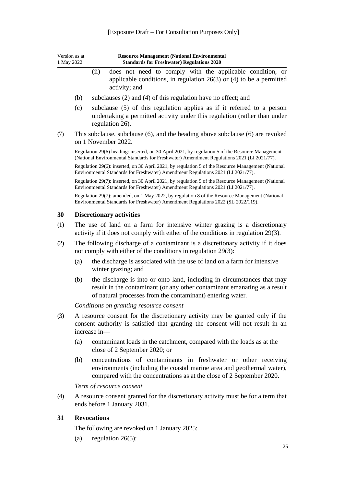<span id="page-25-0"></span>

| Version as at<br>1 May 2022 |                                                                                                                                                                | <b>Resource Management (National Environmental</b><br><b>Standards for Freshwater) Regulations 2020</b>                                                                                                            |
|-----------------------------|----------------------------------------------------------------------------------------------------------------------------------------------------------------|--------------------------------------------------------------------------------------------------------------------------------------------------------------------------------------------------------------------|
|                             |                                                                                                                                                                | does not need to comply with the applicable condition, or<br>(ii)<br>applicable conditions, in regulation $26(3)$ or (4) to be a permitted<br>activity; and                                                        |
|                             | (b)                                                                                                                                                            | subclauses (2) and (4) of this regulation have no effect; and                                                                                                                                                      |
|                             | (c)                                                                                                                                                            | subclause (5) of this regulation applies as if it referred to a person<br>undertaking a permitted activity under this regulation (rather than under<br>regulation 26).                                             |
| (7)                         |                                                                                                                                                                | This subclause, subclause (6), and the heading above subclause (6) are revoked<br>on 1 November 2022.                                                                                                              |
|                             |                                                                                                                                                                | Regulation 29(6) heading: inserted, on 30 April 2021, by regulation 5 of the Resource Management<br>(National Environmental Standards for Freshwater) Amendment Regulations 2021 (LI 2021/77).                     |
|                             |                                                                                                                                                                | Regulation 29(6): inserted, on 30 April 2021, by regulation 5 of the Resource Management (National<br>Environmental Standards for Freshwater) Amendment Regulations 2021 (LI 2021/77).                             |
|                             |                                                                                                                                                                | Regulation 29(7): inserted, on 30 April 2021, by regulation 5 of the Resource Management (National<br>Environmental Standards for Freshwater) Amendment Regulations 2021 (LI 2021/77).                             |
|                             |                                                                                                                                                                | Regulation 29(7): amended, on 1 May 2022, by regulation 8 of the Resource Management (National<br>Environmental Standards for Freshwater) Amendment Regulations 2022 (SL 2022/119).                                |
| 30                          |                                                                                                                                                                | <b>Discretionary activities</b>                                                                                                                                                                                    |
| (1)                         | The use of land on a farm for intensive winter grazing is a discretionary<br>activity if it does not comply with either of the conditions in regulation 29(3). |                                                                                                                                                                                                                    |
| (2)                         | The following discharge of a contaminant is a discretionary activity if it does<br>not comply with either of the conditions in regulation 29(3):               |                                                                                                                                                                                                                    |
|                             | (a)                                                                                                                                                            | the discharge is associated with the use of land on a farm for intensive<br>winter grazing; and                                                                                                                    |
|                             | (b)                                                                                                                                                            | the discharge is into or onto land, including in circumstances that may<br>result in the contaminant (or any other contaminant emanating as a result<br>of natural processes from the contaminant) entering water. |
|                             |                                                                                                                                                                | Conditions on granting resource consent                                                                                                                                                                            |
| (3)                         |                                                                                                                                                                | A resource consent for the discretionary activity may be granted only if the<br>consent authority is satisfied that granting the consent will not result in an<br>increase in-                                     |
|                             | (a)                                                                                                                                                            | contaminant loads in the catchment, compared with the loads as at the<br>close of 2 September 2020; or                                                                                                             |
|                             | (b)                                                                                                                                                            | concentrations of contaminants in freshwater or other receiving<br>environments (including the coastal marine area and geothermal water),<br>compared with the concentrations as at the close of 2 September 2020. |
|                             |                                                                                                                                                                | Term of resource consent                                                                                                                                                                                           |
| (4)                         |                                                                                                                                                                | A resource consent granted for the discretionary activity must be for a term that<br>ends before 1 January 2031.                                                                                                   |
| 31                          |                                                                                                                                                                | <b>Revocations</b>                                                                                                                                                                                                 |
|                             |                                                                                                                                                                |                                                                                                                                                                                                                    |

<span id="page-25-1"></span>The following are revoked on 1 January 2025:

(a) [regulation](#page-21-3)  $26(5)$ :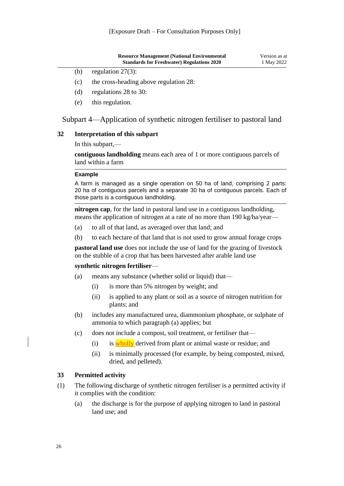|     | <b>Resource Management (National Environmental)</b> | Version as at |
|-----|-----------------------------------------------------|---------------|
|     | <b>Standards for Freshwater) Regulations 2020</b>   | 1 May 2022    |
| (b) | regulation $27(3)$ :                                |               |

- (c) the cross-heading above [regulation](#page-24-1) 28:
- (d) [regulations 28 to](#page-24-1) 30:
- (e) this regulation.

#### Subpart 4—Application of synthetic nitrogen fertiliser to pastoral land

#### <span id="page-26-0"></span>**32 Interpretation of this subpart**

In this subpart,—

**contiguous landholding** means each area of 1 or more contiguous parcels of land within a farm

#### **Example**

A farm is managed as a single operation on 50 ha of land, comprising 2 parts: 20 ha of contiguous parcels and a separate 30 ha of contiguous parcels. Each of those parts is a contiguous landholding.

**nitrogen cap**, for the land in pastoral land use in a contiguous landholding, means the application of nitrogen at a rate of no more than 190 kg/ha/year—

- (a) to all of that land, as averaged over that land; and
- (b) to each hectare of that land that is not used to grow annual forage crops

**pastoral land use** does not include the use of land for the grazing of livestock on the stubble of a crop that has been harvested after arable land use

#### **synthetic nitrogen fertiliser**—

- (a) means any substance (whether solid or liquid) that—
	- (i) is more than 5% nitrogen by weight; and
	- (ii) is applied to any plant or soil as a source of nitrogen nutrition for plants; and
- (b) includes any manufactured urea, diammonium phosphate, or sulphate of ammonia to which paragraph (a) applies; but
- (c) does not include a compost, soil treatment, or fertiliser that—
	- $(i)$  is wholly derived from plant or animal waste or residue; and
	- (ii) is minimally processed (for example, by being composted, mixed, dried, and pelleted).

#### <span id="page-26-1"></span>**33 Permitted activity**

- (1) The following discharge of synthetic nitrogen fertiliser is a permitted activity if it complies with the condition:
	- (a) the discharge is for the purpose of applying nitrogen to land in pastoral land use; and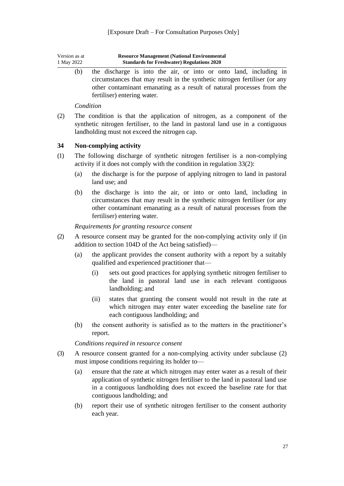| Version as at | <b>Resource Management (National Environmental</b> |
|---------------|----------------------------------------------------|
| 1 May 2022    | <b>Standards for Freshwater) Regulations 2020</b>  |

(b) the discharge is into the air, or into or onto land, including in circumstances that may result in the synthetic nitrogen fertiliser (or any other contaminant emanating as a result of natural processes from the fertiliser) entering water.

#### *Condition*

(2) The condition is that the application of nitrogen, as a component of the synthetic nitrogen fertiliser, to the land in pastoral land use in a contiguous landholding must not exceed the nitrogen cap.

#### <span id="page-27-0"></span>**34 Non-complying activity**

- (1) The following discharge of synthetic nitrogen fertiliser is a non-complying activity if it does not comply with the condition in [regulation](#page-26-1) 33(2):
	- (a) the discharge is for the purpose of applying nitrogen to land in pastoral land use; and
	- (b) the discharge is into the air, or into or onto land, including in circumstances that may result in the synthetic nitrogen fertiliser (or any other contaminant emanating as a result of natural processes from the fertiliser) entering water.

#### *Requirements for granting resource consent*

- (2) A resource consent may be granted for the non-complying activity only if (in addition to [section 104D](http://legislation.govt.nz/pdflink.aspx?id=DLM234370) of the Act being satisfied)—
	- (a) the applicant provides the consent authority with a report by a suitably qualified and experienced practitioner that—
		- (i) sets out good practices for applying synthetic nitrogen fertiliser to the land in pastoral land use in each relevant contiguous landholding; and
		- (ii) states that granting the consent would not result in the rate at which nitrogen may enter water exceeding the baseline rate for each contiguous landholding; and
	- (b) the consent authority is satisfied as to the matters in the practitioner's report.

#### *Conditions required in resource consent*

- (3) A resource consent granted for a non-complying activity under subclause (2) must impose conditions requiring its holder to—
	- (a) ensure that the rate at which nitrogen may enter water as a result of their application of synthetic nitrogen fertiliser to the land in pastoral land use in a contiguous landholding does not exceed the baseline rate for that contiguous landholding; and
	- (b) report their use of synthetic nitrogen fertiliser to the consent authority each year.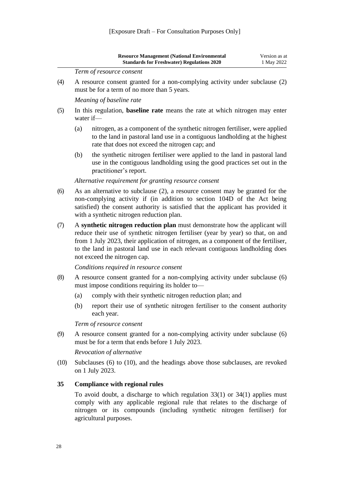<span id="page-28-0"></span>

|      |     | <b>Resource Management (National Environmental</b><br><b>Standards for Freshwater) Regulations 2020</b>                                                                                                                                                                                                                                                                | Version as at<br>1 May 2022 |
|------|-----|------------------------------------------------------------------------------------------------------------------------------------------------------------------------------------------------------------------------------------------------------------------------------------------------------------------------------------------------------------------------|-----------------------------|
|      |     | Term of resource consent                                                                                                                                                                                                                                                                                                                                               |                             |
| (4)  |     | A resource consent granted for a non-complying activity under subclause (2)<br>must be for a term of no more than 5 years.                                                                                                                                                                                                                                             |                             |
|      |     | Meaning of baseline rate                                                                                                                                                                                                                                                                                                                                               |                             |
| (5)  |     | In this regulation, <b>baseline rate</b> means the rate at which nitrogen may enter<br>water if-                                                                                                                                                                                                                                                                       |                             |
|      | (a) | nitrogen, as a component of the synthetic nitrogen fertiliser, were applied<br>to the land in pastoral land use in a contiguous landholding at the highest<br>rate that does not exceed the nitrogen cap; and                                                                                                                                                          |                             |
|      | (b) | the synthetic nitrogen fertiliser were applied to the land in pastoral land<br>use in the contiguous landholding using the good practices set out in the<br>practitioner's report.                                                                                                                                                                                     |                             |
|      |     | Alternative requirement for granting resource consent                                                                                                                                                                                                                                                                                                                  |                             |
| (6)  |     | As an alternative to subclause (2), a resource consent may be granted for the<br>non-complying activity if (in addition to section 104D of the Act being<br>satisfied) the consent authority is satisfied that the applicant has provided it<br>with a synthetic nitrogen reduction plan.                                                                              |                             |
| (7)  |     | A synthetic nitrogen reduction plan must demonstrate how the applicant will<br>reduce their use of synthetic nitrogen fertiliser (year by year) so that, on and<br>from 1 July 2023, their application of nitrogen, as a component of the fertiliser,<br>to the land in pastoral land use in each relevant contiguous landholding does<br>not exceed the nitrogen cap. |                             |
|      |     | Conditions required in resource consent                                                                                                                                                                                                                                                                                                                                |                             |
| (8)  |     | A resource consent granted for a non-complying activity under subclause (6)<br>must impose conditions requiring its holder to-                                                                                                                                                                                                                                         |                             |
|      | (a) | comply with their synthetic nitrogen reduction plan; and                                                                                                                                                                                                                                                                                                               |                             |
|      | (b) | report their use of synthetic nitrogen fertiliser to the consent authority<br>each year.                                                                                                                                                                                                                                                                               |                             |
|      |     | Term of resource consent                                                                                                                                                                                                                                                                                                                                               |                             |
| (9)  |     | A resource consent granted for a non-complying activity under subclause (6)<br>must be for a term that ends before 1 July 2023.                                                                                                                                                                                                                                        |                             |
|      |     | Revocation of alternative                                                                                                                                                                                                                                                                                                                                              |                             |
| (10) |     | Subclauses $(6)$ to $(10)$ , and the headings above those subclauses, are revoked<br>on 1 July 2023.                                                                                                                                                                                                                                                                   |                             |
| 35   |     | <b>Compliance with regional rules</b>                                                                                                                                                                                                                                                                                                                                  |                             |
|      |     | To avoid doubt, a discharge to which regulation $33(1)$ or $34(1)$ applies must<br>comply with any applicable regional rule that relates to the discharge of<br>nitrogen or its compounds (including synthetic nitrogen fertiliser) for<br>agricultural purposes.                                                                                                      |                             |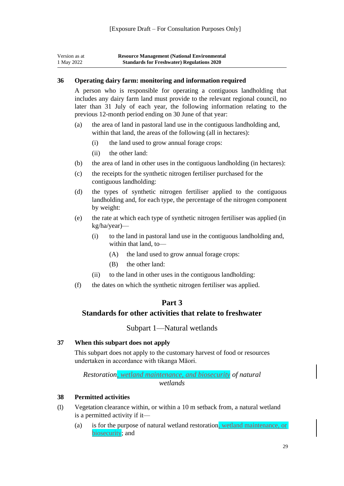| Version as at | <b>Resource Management (National Environmental</b> |
|---------------|----------------------------------------------------|
| 1 May 2022    | <b>Standards for Freshwater) Regulations 2020</b>  |

#### <span id="page-29-0"></span>**36 Operating dairy farm: monitoring and information required**

A person who is responsible for operating a contiguous landholding that includes any dairy farm land must provide to the relevant regional council, no later than 31 July of each year, the following information relating to the previous 12-month period ending on 30 June of that year:

- (a) the area of land in pastoral land use in the contiguous landholding and, within that land, the areas of the following (all in hectares):
	- (i) the land used to grow annual forage crops:
	- (ii) the other land:
- (b) the area of land in other uses in the contiguous landholding (in hectares):
- (c) the receipts for the synthetic nitrogen fertiliser purchased for the contiguous landholding:
- (d) the types of synthetic nitrogen fertiliser applied to the contiguous landholding and, for each type, the percentage of the nitrogen component by weight:
- (e) the rate at which each type of synthetic nitrogen fertiliser was applied (in kg/ha/year)—
	- (i) to the land in pastoral land use in the contiguous landholding and, within that land, to—
		- (A) the land used to grow annual forage crops:
		- (B) the other land:
	- (ii) to the land in other uses in the contiguous landholding:
- <span id="page-29-1"></span>(f) the dates on which the synthetic nitrogen fertiliser was applied.

# **Part 3**

## **Standards for other activities that relate to freshwater**

#### Subpart 1—Natural wetlands

#### <span id="page-29-4"></span><span id="page-29-3"></span><span id="page-29-2"></span>**37 When this subpart does not apply**

This subpart does not apply to the customary harvest of food or resources undertaken in accordance with tikanga Māori.

*Restoration, wetland maintenance, and biosecurity of natural wetlands*

#### <span id="page-29-5"></span>**38 Permitted activities**

- (1) Vegetation clearance within, or within a 10 m setback from, a natural wetland is a permitted activity if it—
	- (a) is for the purpose of natural wetland restoration, wetland maintenance, or biosecurity; and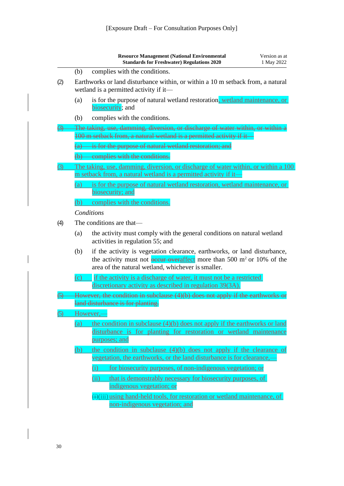|            |          | <b>Resource Management (National Environmental</b><br><b>Standards for Freshwater) Regulations 2020</b>                                                                                                              | Version as at<br>1 May 2022 |
|------------|----------|----------------------------------------------------------------------------------------------------------------------------------------------------------------------------------------------------------------------|-----------------------------|
|            | (b)      | complies with the conditions.                                                                                                                                                                                        |                             |
| (2)        |          | Earthworks or land disturbance within, or within a 10 m setback from, a natural<br>wetland is a permitted activity if it—                                                                                            |                             |
|            | (a)      | is for the purpose of natural wetland restoration, wetland maintenance, or<br>biosecurity; and                                                                                                                       |                             |
|            | (b)      | complies with the conditions.                                                                                                                                                                                        |                             |
|            |          | The taking, use, damming, diversion, or discharge of water within, or within a<br>100 m setback from, a natural wetland is a permitted activity if it                                                                |                             |
|            |          | (a) is for the purpose of natural wetland restoration; and                                                                                                                                                           |                             |
|            |          | (b) complies with the conditions.                                                                                                                                                                                    |                             |
| 3)         |          | The taking, use, damming, diversion, or discharge of water within, or within a 100                                                                                                                                   |                             |
|            |          | m setback from, a natural wetland is a permitted activity if it-                                                                                                                                                     |                             |
|            | (a)      | is for the purpose of natural wetland restoration, wetland maintenance, or<br>biosecurity; and                                                                                                                       |                             |
|            | (b)      | complies with the conditions.                                                                                                                                                                                        |                             |
|            |          | Conditions                                                                                                                                                                                                           |                             |
| (4)        |          | The conditions are that-                                                                                                                                                                                             |                             |
|            | (a)      | the activity must comply with the general conditions on natural wetland<br>activities in regulation 55; and                                                                                                          |                             |
|            | (b)      | if the activity is vegetation clearance, earthworks, or land disturbance,<br>the activity must not <b>example overaffect</b> more than 500 $m^2$ or 10% of the<br>area of the natural wetland, whichever is smaller. |                             |
|            | $\rm(c)$ | if the activity is a discharge of water, it must not be a restricted<br>discretionary activity as described in regulation 39(3A).                                                                                    |                             |
|            |          | However, the condition in subclause (4)(b) does not apply if the earthworks or<br>land disturbance is for planting.                                                                                                  |                             |
| <u>(5)</u> |          | However,-                                                                                                                                                                                                            |                             |
|            | (a)      | the condition in subclause $(4)(b)$ does not apply if the earthworks or land<br>disturbance is for planting for restoration or wetland maintenance<br>purposes; and                                                  |                             |
|            | (b)      | the condition in subclause $(4)(b)$ does not apply if the clearance of<br>vegetation, the earthworks, or the land disturbance is for clearance,-                                                                     |                             |
|            |          | for biosecurity purposes, of non-indigenous vegetation; or<br>(i)                                                                                                                                                    |                             |
|            |          | (i)<br>that is demonstrably necessary for biosecurity purposes, of                                                                                                                                                   |                             |
|            |          | indigenous vegetation; or                                                                                                                                                                                            |                             |
|            |          | $\overline{(+)}$ (iii) using hand-held tools, for restoration or wetland maintenance, of                                                                                                                             |                             |
|            |          | non-indigenous vegetation; and                                                                                                                                                                                       |                             |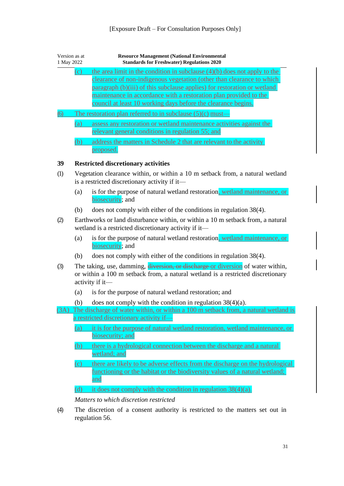<span id="page-31-0"></span>

| Version as at<br>1 May 2022 |            | <b>Resource Management (National Environmental</b><br><b>Standards for Freshwater) Regulations 2020</b>                                                                                                                                                                                                                                                                |
|-----------------------------|------------|------------------------------------------------------------------------------------------------------------------------------------------------------------------------------------------------------------------------------------------------------------------------------------------------------------------------------------------------------------------------|
|                             | (c)        | the area limit in the condition in subclause $(4)(b)$ does not apply to the<br>clearance of non-indigenous vegetation (other than clearance to which<br>paragraph (b)(iii) of this subclause applies) for restoration or wetland<br>maintenance in accordance with a restoration plan provided to the<br>council at least 10 working days before the clearance begins. |
| (6)                         | (a)<br>(b) | The restoration plan referred to in subclause $(5)(c)$ must-<br>assess any restoration or wetland maintenance activities against the<br>relevant general conditions in regulation 55; and<br>address the matters in Schedule 2 that are relevant to the activity<br>proposed.                                                                                          |
| 39                          |            | <b>Restricted discretionary activities</b>                                                                                                                                                                                                                                                                                                                             |
| (1)                         |            | Vegetation clearance within, or within a 10 m setback from, a natural wetland<br>is a restricted discretionary activity if it—                                                                                                                                                                                                                                         |
|                             | (a)        | is for the purpose of natural wetland restoration, wetland maintenance, or<br>biosecurity; and                                                                                                                                                                                                                                                                         |
|                             | (b)        | does not comply with either of the conditions in regulation 38(4).                                                                                                                                                                                                                                                                                                     |
| (2)                         |            | Earthworks or land disturbance within, or within a 10 m setback from, a natural<br>wetland is a restricted discretionary activity if it—                                                                                                                                                                                                                               |
|                             | (a)        | is for the purpose of natural wetland restoration, wetland maintenance, or<br>biosecurity; and                                                                                                                                                                                                                                                                         |
|                             | (b)        | does not comply with either of the conditions in regulation 38(4).                                                                                                                                                                                                                                                                                                     |
| (3)                         |            | The taking, use, damming, diversion, or discharge or diversion of water within,<br>or within a 100 m setback from, a natural wetland is a restricted discretionary<br>activity if it—                                                                                                                                                                                  |
|                             | (a)        | is for the purpose of natural wetland restoration; and                                                                                                                                                                                                                                                                                                                 |
|                             | (b)        | does not comply with the condition in regulation $38(4)(a)$ .                                                                                                                                                                                                                                                                                                          |
|                             |            | (3A) The discharge of water within, or within a 100 m setback from, a natural wetland is                                                                                                                                                                                                                                                                               |
|                             | (a)        | a restricted discretionary activity if-<br>it is for the purpose of natural wetland restoration, wetland maintenance, or<br>biosecurity; and                                                                                                                                                                                                                           |
|                             | (b)        | there is a hydrological connection between the discharge and a natural<br>wetland; and                                                                                                                                                                                                                                                                                 |
|                             | (c)        | there are likely to be adverse effects from the discharge on the hydrological<br>functioning or the habitat or the biodiversity values of a natural wetland;<br>and                                                                                                                                                                                                    |
|                             | (d)        | it does not comply with the condition in regulation $38(4)(a)$ .                                                                                                                                                                                                                                                                                                       |
|                             |            | Matters to which discretion restricted                                                                                                                                                                                                                                                                                                                                 |
| (4)                         |            | The discretion of a consent authority is restricted to the matters set out in<br>regulation 56.                                                                                                                                                                                                                                                                        |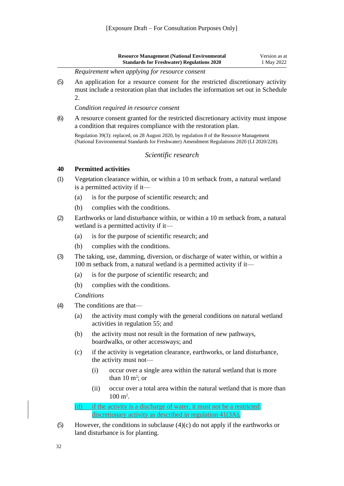| <b>Resource Management (National Environmental</b> | Version as at |
|----------------------------------------------------|---------------|
| <b>Standards for Freshwater) Regulations 2020</b>  | 1 May 2022    |

*Requirement when applying for resource consent*

(5) An application for a resource consent for the restricted discretionary activity must include a restoration plan that includes the information set out in [Schedule](#page-61-0) [2.](#page-61-0)

*Condition required in resource consent*

(6) A resource consent granted for the restricted discretionary activity must impose a condition that requires compliance with the restoration plan.

Regulation 39(3): replaced, on 28 August 2020, b[y regulation 8](http://legislation.govt.nz/pdflink.aspx?id=LMS395966) of the Resource Management (National Environmental Standards for Freshwater) Amendment Regulations 2020 (LI 2020/228).

#### *Scientific research*

#### <span id="page-32-1"></span><span id="page-32-0"></span>**40 Permitted activities**

- (1) Vegetation clearance within, or within a 10 m setback from, a natural wetland is a permitted activity if it—
	- (a) is for the purpose of scientific research; and
	- (b) complies with the conditions.
- (2) Earthworks or land disturbance within, or within a 10 m setback from, a natural wetland is a permitted activity if it—
	- (a) is for the purpose of scientific research; and
	- (b) complies with the conditions.
- (3) The taking, use, damming, diversion, or discharge of water within, or within a 100 m setback from, a natural wetland is a permitted activity if it—
	- (a) is for the purpose of scientific research; and
	- (b) complies with the conditions.

*Conditions*

- (4) The conditions are that—
	- (a) the activity must comply with the general conditions on natural wetland activities in [regulation 55;](#page-46-1) and
	- (b) the activity must not result in the formation of new pathways, boardwalks, or other accessways; and
	- (c) if the activity is vegetation clearance, earthworks, or land disturbance, the activity must not—
		- (i) occur over a single area within the natural wetland that is more than  $10 \text{ m}^2$ ; or
		- (ii) occur over a total area within the natural wetland that is more than  $100 \text{ m}^2$ .

(d) if the activity is a discharge of water, it must not be a restricted discretionary activity as described in regulation 41(3A).

(5) However, the conditions in subclause  $(4)(c)$  do not apply if the earthworks or land disturbance is for planting.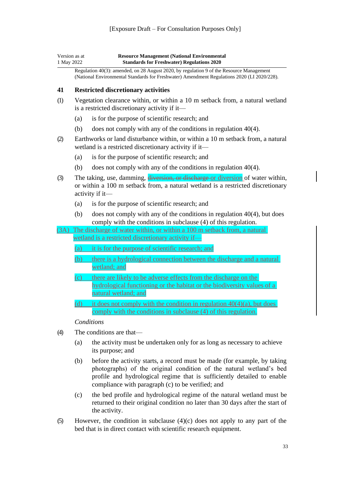| Version as at | <b>Resource Management (National Environmental)</b> |
|---------------|-----------------------------------------------------|
| 1 May 2022    | <b>Standards for Freshwater) Regulations 2020</b>   |

Regulation 40(3): amended, on 28 August 2020, b[y regulation 9](http://legislation.govt.nz/pdflink.aspx?id=LMS395967) of the Resource Management (National Environmental Standards for Freshwater) Amendment Regulations 2020 (LI 2020/228).

#### <span id="page-33-0"></span>**41 Restricted discretionary activities**

- (1) Vegetation clearance within, or within a 10 m setback from, a natural wetland is a restricted discretionary activity if it—
	- (a) is for the purpose of scientific research; and
	- (b) does not comply with any of the conditions in [regulation](#page-32-1) 40(4).
- (2) Earthworks or land disturbance within, or within a 10 m setback from, a natural wetland is a restricted discretionary activity if it—
	- (a) is for the purpose of scientific research; and
	- (b) does not comply with any of the conditions in [regulation](#page-32-1) 40(4).
- (3) The taking, use, damming, diversion, or discharge or diversion of water within, or within a 100 m setback from, a natural wetland is a restricted discretionary activity if it—
	- (a) is for the purpose of scientific research; and
	- (b) does not comply with any of the conditions in [regulation 40\(4\),](#page-32-1) but does comply with the conditions in subclause (4) of this regulation.
- (3A) The discharge of water within, or within a 100 m setback from, a natural wetland is a restricted discretionary activity if—
	- (a) it is for the purpose of scientific research; and
	- (b) there is a hydrological connection between the discharge and a natural wetland; and
	- (c) there are likely to be adverse effects from the discharge on the hydrological functioning or the habitat or the biodiversity values of a natural wetland; and
	- (d) it does not comply with the condition in regulation  $40(4)(a)$ , but does comply with the conditions in subclause (4) of this regulation.

#### *Conditions*

- (4) The conditions are that—
	- (a) the activity must be undertaken only for as long as necessary to achieve its purpose; and
	- (b) before the activity starts, a record must be made (for example, by taking photographs) of the original condition of the natural wetland's bed profile and hydrological regime that is sufficiently detailed to enable compliance with paragraph (c) to be verified; and
	- (c) the bed profile and hydrological regime of the natural wetland must be returned to their original condition no later than 30 days after the start of the activity.
- (5) However, the condition in subclause  $(4)(c)$  does not apply to any part of the bed that is in direct contact with scientific research equipment.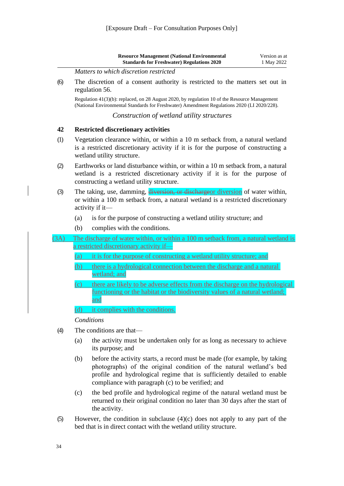<span id="page-34-1"></span><span id="page-34-0"></span>

|      | <b>Resource Management (National Environmental</b><br>Version as at<br><b>Standards for Freshwater) Regulations 2020</b><br>1 May 2022                                                                                                                                                  |
|------|-----------------------------------------------------------------------------------------------------------------------------------------------------------------------------------------------------------------------------------------------------------------------------------------|
|      | Matters to which discretion restricted                                                                                                                                                                                                                                                  |
| (6)  | The discretion of a consent authority is restricted to the matters set out in<br>regulation 56.                                                                                                                                                                                         |
|      | Regulation 41(3)(b): replaced, on 28 August 2020, by regulation 10 of the Resource Management<br>(National Environmental Standards for Freshwater) Amendment Regulations 2020 (LI 2020/228).                                                                                            |
|      | Construction of wetland utility structures                                                                                                                                                                                                                                              |
| 42   | <b>Restricted discretionary activities</b>                                                                                                                                                                                                                                              |
| (1)  | Vegetation clearance within, or within a 10 m setback from, a natural wetland<br>is a restricted discretionary activity if it is for the purpose of constructing a<br>wetland utility structure.                                                                                        |
| (2)  | Earthworks or land disturbance within, or within a 10 m setback from, a natural<br>wetland is a restricted discretionary activity if it is for the purpose of<br>constructing a wetland utility structure.                                                                              |
| (3)  | The taking, use, damming, diversion, or dischargeor diversion of water within,<br>or within a 100 m setback from, a natural wetland is a restricted discretionary<br>activity if it—                                                                                                    |
|      | is for the purpose of constructing a wetland utility structure; and<br>(a)                                                                                                                                                                                                              |
|      | complies with the conditions.<br>(b)                                                                                                                                                                                                                                                    |
| (3A) | The discharge of water within, or within a 100 m setback from, a natural wetland is                                                                                                                                                                                                     |
|      | a restricted discretionary activity if—                                                                                                                                                                                                                                                 |
|      | it is for the purpose of constructing a wetland utility structure; and<br>(a)                                                                                                                                                                                                           |
|      | there is a hydrological connection between the discharge and a natural<br>(b)<br>wetland; and                                                                                                                                                                                           |
|      | there are likely to be adverse effects from the discharge on the hydrological<br>(c)<br>functioning or the habitat or the biodiversity values of a natural wetland;                                                                                                                     |
|      | and                                                                                                                                                                                                                                                                                     |
|      | it complies with the conditions.<br>(d)                                                                                                                                                                                                                                                 |
|      | Conditions                                                                                                                                                                                                                                                                              |
| (4)  | The conditions are that-                                                                                                                                                                                                                                                                |
|      | the activity must be undertaken only for as long as necessary to achieve<br>(a)<br>its purpose; and                                                                                                                                                                                     |
|      | before the activity starts, a record must be made (for example, by taking<br>(b)<br>photographs) of the original condition of the natural wetland's bed<br>profile and hydrological regime that is sufficiently detailed to enable<br>compliance with paragraph (c) to be verified; and |
|      | the bed profile and hydrological regime of the natural wetland must be<br>(c)<br>returned to their original condition no later than 30 days after the start of                                                                                                                          |

the activity. (5) However, the condition in subclause (4)(c) does not apply to any part of the bed that is in direct contact with the wetland utility structure.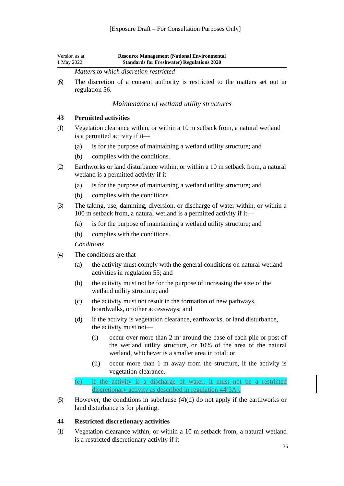| Version as at | <b>Resource Management (National Environmental)</b> |
|---------------|-----------------------------------------------------|
| 1 May 2022    | <b>Standards for Freshwater) Regulations 2020</b>   |

*Matters to which discretion restricted*

(6) The discretion of a consent authority is restricted to the matters set out in [regulation 56.](#page-50-0)

*Maintenance of wetland utility structures*

#### <span id="page-35-1"></span><span id="page-35-0"></span>**43 Permitted activities**

- (1) Vegetation clearance within, or within a 10 m setback from, a natural wetland is a permitted activity if it—
	- (a) is for the purpose of maintaining a wetland utility structure; and
	- (b) complies with the conditions.
- (2) Earthworks or land disturbance within, or within a 10 m setback from, a natural wetland is a permitted activity if it—
	- (a) is for the purpose of maintaining a wetland utility structure; and
	- (b) complies with the conditions.
- (3) The taking, use, damming, diversion, or discharge of water within, or within a 100 m setback from, a natural wetland is a permitted activity if it—
	- (a) is for the purpose of maintaining a wetland utility structure; and
	- (b) complies with the conditions.

*Conditions*

- (4) The conditions are that—
	- (a) the activity must comply with the general conditions on natural wetland activities in [regulation 55;](#page-46-1) and
	- (b) the activity must not be for the purpose of increasing the size of the wetland utility structure; and
	- (c) the activity must not result in the formation of new pathways, boardwalks, or other accessways; and
	- (d) if the activity is vegetation clearance, earthworks, or land disturbance, the activity must not—
		- (i) occur over more than  $2 \text{ m}^2$  around the base of each pile or post of the wetland utility structure, or 10% of the area of the natural wetland, whichever is a smaller area in total; or
		- (ii) occur more than 1 m away from the structure, if the activity is vegetation clearance.

(e) if the activity is a discharge of water, it must not be a restricted discretionary activity as described in regulation 44(3A).

(5) However, the conditions in subclause (4)(d) do not apply if the earthworks or land disturbance is for planting.

#### <span id="page-35-2"></span>**44 Restricted discretionary activities**

(1) Vegetation clearance within, or within a 10 m setback from, a natural wetland is a restricted discretionary activity if it—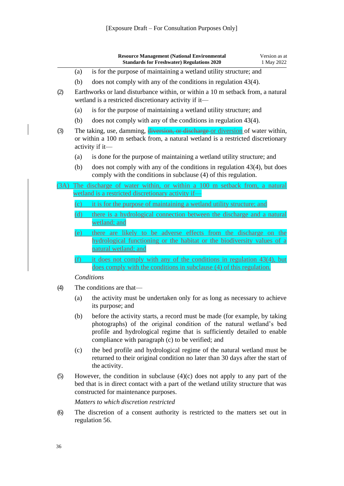|     |     | <b>Resource Management (National Environmental</b><br><b>Standards for Freshwater) Regulations 2020</b>                                                                                                                                                                          | Version as at<br>1 May 2022 |
|-----|-----|----------------------------------------------------------------------------------------------------------------------------------------------------------------------------------------------------------------------------------------------------------------------------------|-----------------------------|
|     | (a) | is for the purpose of maintaining a wetland utility structure; and                                                                                                                                                                                                               |                             |
|     | (b) | does not comply with any of the conditions in regulation $43(4)$ .                                                                                                                                                                                                               |                             |
| (2) |     | Earthworks or land disturbance within, or within a 10 m setback from, a natural<br>wetland is a restricted discretionary activity if it-                                                                                                                                         |                             |
|     | (a) | is for the purpose of maintaining a wetland utility structure; and                                                                                                                                                                                                               |                             |
|     | (b) | does not comply with any of the conditions in regulation $43(4)$ .                                                                                                                                                                                                               |                             |
| (3) |     | The taking, use, damming, diversion, or discharge or diversion of water within,<br>or within a 100 m setback from, a natural wetland is a restricted discretionary<br>activity if it—                                                                                            |                             |
|     | (a) | is done for the purpose of maintaining a wetland utility structure; and                                                                                                                                                                                                          |                             |
|     | (b) | does not comply with any of the conditions in regulation $43(4)$ , but does<br>comply with the conditions in subclause (4) of this regulation.                                                                                                                                   |                             |
| 3A) |     | The discharge of water within, or within a 100 m setback from, a natural<br>wetland is a restricted discretionary activity if-                                                                                                                                                   |                             |
|     | (c) | it is for the purpose of maintaining a wetland utility structure; and                                                                                                                                                                                                            |                             |
|     | (d) | there is a hydrological connection between the discharge and a natural<br>wetland; and                                                                                                                                                                                           |                             |
|     | (e) | there are likely to be adverse effects from the discharge on the<br>hydrological functioning or the habitat or the biodiversity values of a<br>natural wetland; and                                                                                                              |                             |
|     | (f) | it does not comply with any of the conditions in regulation 43(4), but                                                                                                                                                                                                           |                             |
|     |     | does comply with the conditions in subclause (4) of this regulation.                                                                                                                                                                                                             |                             |
|     |     | Conditions                                                                                                                                                                                                                                                                       |                             |
| (4) |     | The conditions are that—                                                                                                                                                                                                                                                         |                             |
|     | (a) | the activity must be undertaken only for as long as necessary to achieve<br>its purpose; and                                                                                                                                                                                     |                             |
|     | (b) | before the activity starts, a record must be made (for example, by taking<br>photographs) of the original condition of the natural wetland's bed<br>profile and hydrological regime that is sufficiently detailed to enable<br>compliance with paragraph (c) to be verified; and |                             |
|     | (c) | the bed profile and hydrological regime of the natural wetland must be<br>returned to their original condition no later than 30 days after the start of<br>the activity.                                                                                                         |                             |
|     |     | $\mu_{\text{OWON}}$ the condition in subglause $\Lambda(\alpha)$ does not engly to env pert of the                                                                                                                                                                               |                             |

(5) However, the condition in subclause (4)(c) does not apply to any part of the bed that is in direct contact with a part of the wetland utility structure that was constructed for maintenance purposes.

*Matters to which discretion restricted*

(6) The discretion of a consent authority is restricted to the matters set out in [regulation](#page-50-0) 56.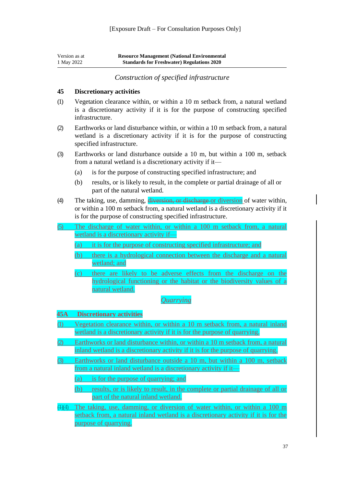| Version as at | <b>Resource Management (National Environmental</b> |
|---------------|----------------------------------------------------|
| 1 May 2022    | <b>Standards for Freshwater) Regulations 2020</b>  |

*Construction of specified infrastructure*

#### <span id="page-37-1"></span><span id="page-37-0"></span>**45 Discretionary activities**

- (1) Vegetation clearance within, or within a 10 m setback from, a natural wetland is a discretionary activity if it is for the purpose of constructing specified infrastructure.
- (2) Earthworks or land disturbance within, or within a 10 m setback from, a natural wetland is a discretionary activity if it is for the purpose of constructing specified infrastructure.
- (3) Earthworks or land disturbance outside a 10 m, but within a 100 m, setback from a natural wetland is a discretionary activity if it—
	- (a) is for the purpose of constructing specified infrastructure; and
	- (b) results, or is likely to result, in the complete or partial drainage of all or part of the natural wetland.
- (4) The taking, use, damming, diversion, or discharge or diversion of water within, or within a 100 m setback from, a natural wetland is a discretionary activity if it is for the purpose of constructing specified infrastructure.
- (5) The discharge of water within, or within a 100 m setback from, a natural wetland is a discretionary activity if—
	- (a) it is for the purpose of constructing specified infrastructure; and
	- (b) there is a hydrological connection between the discharge and a natural wetland; and
	- (c) there are likely to be adverse effects from the discharge on the hydrological functioning or the habitat or the biodiversity values of a natural wetland.

#### *Quarrying*

#### **45A Discretionary activities**

- (1) Vegetation clearance within, or within a 10 m setback from, a natural inland wetland is a discretionary activity if it is for the purpose of quarrying.
- (2) Earthworks or land disturbance within, or within a 10 m setback from, a natural inland wetland is a discretionary activity if it is for the purpose of quarrying.
- (3) Earthworks or land disturbance outside a 10 m, but within a 100 m, setback from a natural inland wetland is a discretionary activity if it—
	- (a) is for the purpose of quarrying; and
	- (b) results, or is likely to result, in the complete or partial drainage of all or part of the natural inland wetland.
- (1)(4) The taking, use, damming, or diversion of water within, or within a 100 m setback from, a natural inland wetland is a discretionary activity if it is for the purpose of quarrying.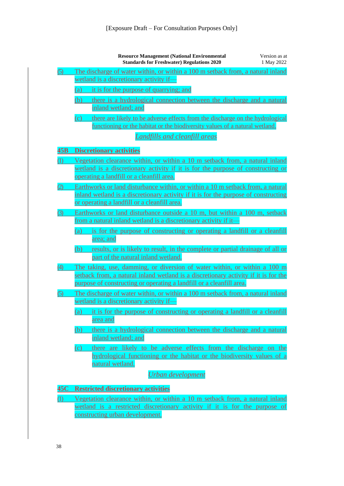|     | <b>Resource Management (National Environmental</b><br>Version as at<br><b>Standards for Freshwater) Regulations 2020</b><br>1 May 2022                                                                                                   |
|-----|------------------------------------------------------------------------------------------------------------------------------------------------------------------------------------------------------------------------------------------|
| (5) | The discharge of water within, or within a 100 m setback from, a natural inland<br>wetland is a discretionary activity if-                                                                                                               |
|     | it is for the purpose of quarrying; and<br>(a)                                                                                                                                                                                           |
|     | there is a hydrological connection between the discharge and a natural<br>(b)<br>inland wetland; and                                                                                                                                     |
|     | (c)<br>there are likely to be adverse effects from the discharge on the hydrological<br>functioning or the habitat or the biodiversity values of a natural wetland.                                                                      |
|     | <b>Landfills and cleanfill areas</b>                                                                                                                                                                                                     |
| 45B | <b>Discretionary activities</b>                                                                                                                                                                                                          |
| (1) | Vegetation clearance within, or within a 10 m setback from, a natural inland<br>wetland is a discretionary activity if it is for the purpose of constructing or<br>operating a landfill or a cleanfill area.                             |
|     | Earthworks or land disturbance within, or within a 10 m setback from, a natural<br>inland wetland is a discretionary activity if it is for the purpose of constructing<br>or operating a landfill or a cleanfill area.                   |
| (3) | Earthworks or land disturbance outside a 10 m, but within a 100 m, setback<br>from a natural inland wetland is a discretionary activity if it—                                                                                           |
|     | is for the purpose of constructing or operating a landfill or a cleanfill<br>(a)<br>area; and                                                                                                                                            |
|     | results, or is likely to result, in the complete or partial drainage of all or<br>(b)<br>part of the natural inland wetland.                                                                                                             |
| 4)  | The taking, use, damming, or diversion of water within, or within a 100 m<br>setback from, a natural inland wetland is a discretionary activity if it is for the<br>purpose of constructing or operating a landfill or a cleanfill area. |
| 5)  | The discharge of water within, or within a 100 m setback from, a natural inland                                                                                                                                                          |
|     | wetland is a discretionary activity if<br>(a) it is for the purpose of constructing or operating a landfill or a cleanfill<br>area and                                                                                                   |
|     | there is a hydrological connection between the discharge and a natural<br>(b)<br>inland wetland; and                                                                                                                                     |
|     | there are likely to be adverse effects from the discharge on the<br>(c)<br>hydrological functioning or the habitat or the biodiversity values of a<br>natural wetland.                                                                   |
|     | Urban development                                                                                                                                                                                                                        |
| 45C | <b>Restricted discretionary activities</b>                                                                                                                                                                                               |

(1) Vegetation clearance within, or within a 10 m setback from, a natural inland wetland is a restricted discretionary activity if it is for the purpose of constructing urban development.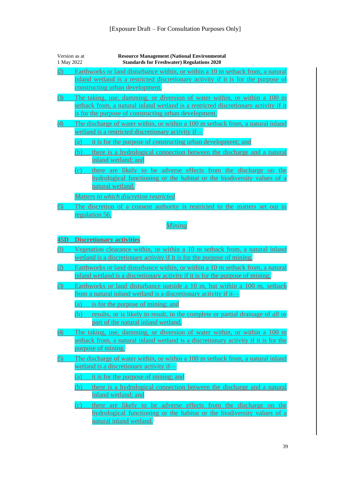| Version as at<br>1 May 2022 | <b>Resource Management (National Environmental</b><br><b>Standards for Freshwater) Regulations 2020</b>                                                                                                                                                                                                                                                      |
|-----------------------------|--------------------------------------------------------------------------------------------------------------------------------------------------------------------------------------------------------------------------------------------------------------------------------------------------------------------------------------------------------------|
|                             | Earthworks or land disturbance within, or within a 10 m setback from, a natural<br>inland wetland is a restricted discretionary activity if it is for the purpose of<br>constructing urban development.                                                                                                                                                      |
| (3)                         | The taking, use, damming, or diversion of water within, or within a 100 m<br>setback from, a natural inland wetland is a restricted discretionary activity if it<br>is for the purpose of constructing urban development.                                                                                                                                    |
| (4)                         | The discharge of water within, or within a 100 m setback from, a natural inland<br>wetland is a restricted discretionary activity if-<br>it is for the purpose of constructing urban development; and<br>(a)<br>there is a hydrological connection between the discharge and a natural<br>(b)                                                                |
|                             | inland wetland; and<br>there are likely to be adverse effects from the discharge on the<br>(c)<br>hydrological functioning or the habitat or the biodiversity values of a<br>natural wetland.                                                                                                                                                                |
| (5)                         | Matters to which discretion restricted<br>The discretion of a consent authority is restricted to the matters set out in                                                                                                                                                                                                                                      |
|                             | regulation 56.                                                                                                                                                                                                                                                                                                                                               |
|                             | <b>Mining</b>                                                                                                                                                                                                                                                                                                                                                |
| 45D                         | <b>Discretionary activities</b>                                                                                                                                                                                                                                                                                                                              |
| (1)                         | Vegetation clearance within, or within a 10 m setback from, a natural inland<br>wetland is a discretionary activity if it is for the purpose of mining.                                                                                                                                                                                                      |
| (2)                         | Earthworks or land disturbance within, or within a 10 m setback from, a natural<br>inland wetland is a discretionary activity if it is for the purpose of mining.                                                                                                                                                                                            |
| (3)                         | Earthworks or land disturbance outside a 10 m, but within a 100 m, setback<br>from a natural inland wetland is a discretionary activity if it-                                                                                                                                                                                                               |
|                             | is for the purpose of mining; and<br>(a)<br>results, or is likely to result, in the complete or partial drainage of all or<br>(b)<br>part of the natural inland wetland.                                                                                                                                                                                     |
| (4)                         | The taking, use, damming, or diversion of water within, or within a 100 m<br>setback from, a natural inland wetland is a discretionary activity if it is for the<br>purpose of mining.                                                                                                                                                                       |
| (5)                         | The discharge of water within, or within a 100 m setback from, a natural inland<br>wetland is a discretionary activity if-<br>it is for the purpose of mining; and<br>(a)<br>(b)<br>there is a hydrological connection between the discharge and a natural<br>inland wetland; and<br>there are likely to be adverse effects from the discharge on the<br>(c) |
|                             | hydrological functioning or the habitat or the biodiversity values of a<br>natural inland wetland.                                                                                                                                                                                                                                                           |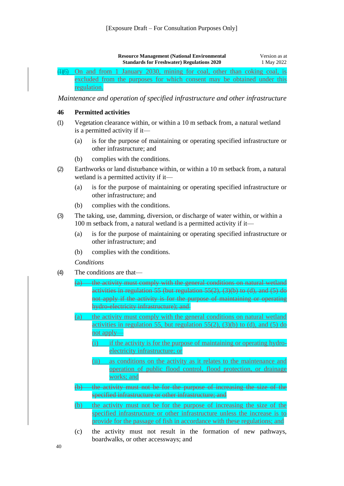| <b>Resource Management (National Environmental</b> | Version as at |
|----------------------------------------------------|---------------|
| <b>Standards for Freshwater) Regulations 2020</b>  | 1 May 2022    |

#### (1)(6) On and from 1 January 2030, mining for coal, other than coking coal, is excluded from the purposes for which consent may be obtained under this regulation.

<span id="page-40-0"></span>*Maintenance and operation of specified infrastructure and other infrastructure*

#### <span id="page-40-1"></span>**46 Permitted activities**

- (1) Vegetation clearance within, or within a 10 m setback from, a natural wetland is a permitted activity if it—
	- (a) is for the purpose of maintaining or operating specified infrastructure or other infrastructure; and
	- (b) complies with the conditions.
- (2) Earthworks or land disturbance within, or within a 10 m setback from, a natural wetland is a permitted activity if it—
	- (a) is for the purpose of maintaining or operating specified infrastructure or other infrastructure; and
	- (b) complies with the conditions.
- (3) The taking, use, damming, diversion, or discharge of water within, or within a 100 m setback from, a natural wetland is a permitted activity if it—
	- (a) is for the purpose of maintaining or operating specified infrastructure or other infrastructure; and
	- (b) complies with the conditions.

*Conditions*

- (4) The conditions are that—
	- (a) the activity must comply with the general conditions on natural wetland activities in regulation 55 (but regulation 55(2), (3)(b) to (d), and (5) do not apply if the activity is for the purpose of maintaining or operating hydro-electricity infrastructure); and
	- (a) the activity must comply with the general conditions on natural wetland activities in regulation 55, but regulation  $55(2)$ ,  $(3)(b)$  to  $(d)$ , and  $(5)$  do not apply—
		- (i) if the activity is for the purpose of maintaining or operating hydroelectricity infrastructure; or
		- (ii) as conditions on the activity as it relates to the maintenance and operation of public flood control, flood protection, or drainage works; and
	- (b) the activity must not be for the purpose of increasing the size of the specified infrastructure or other infrastructure; and
	- (b) the activity must not be for the purpose of increasing the size of the specified infrastructure or other infrastructure unless the increase is to provide for the passage of fish in accordance with these regulations; and
	- (c) the activity must not result in the formation of new pathways, boardwalks, or other accessways; and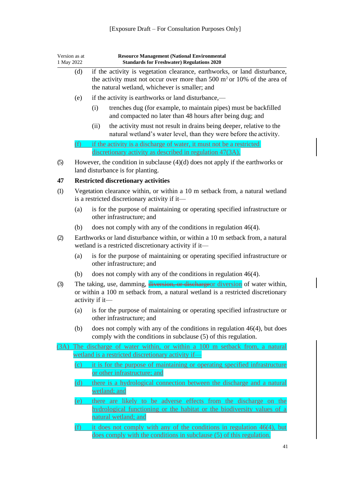<span id="page-41-0"></span>

| Version as at<br>1 May 2022 |     | <b>Resource Management (National Environmental</b><br><b>Standards for Freshwater) Regulations 2020</b>                                                                                                  |  |  |
|-----------------------------|-----|----------------------------------------------------------------------------------------------------------------------------------------------------------------------------------------------------------|--|--|
|                             | (d) | if the activity is vegetation clearance, earthworks, or land disturbance,<br>the activity must not occur over more than 500 $m2$ or 10% of the area of<br>the natural wetland, whichever is smaller; and |  |  |
|                             | (e) | if the activity is earthworks or land disturbance,—                                                                                                                                                      |  |  |
|                             |     | (i)<br>trenches dug (for example, to maintain pipes) must be backfilled<br>and compacted no later than 48 hours after being dug; and                                                                     |  |  |
|                             |     | the activity must not result in drains being deeper, relative to the<br>(ii)<br>natural wetland's water level, than they were before the activity.                                                       |  |  |
|                             | (f) | if the activity is a discharge of water, it must not be a restricted<br>discretionary activity as described in regulation 47(3A).                                                                        |  |  |
| (5)                         |     | However, the condition in subclause $(4)(d)$ does not apply if the earthworks or<br>land disturbance is for planting.                                                                                    |  |  |
| 47                          |     | <b>Restricted discretionary activities</b>                                                                                                                                                               |  |  |
| (1)                         |     | Vegetation clearance within, or within a 10 m setback from, a natural wetland<br>is a restricted discretionary activity if it-                                                                           |  |  |
|                             | (a) | is for the purpose of maintaining or operating specified infrastructure or<br>other infrastructure; and                                                                                                  |  |  |
|                             | (b) | does not comply with any of the conditions in regulation 46(4).                                                                                                                                          |  |  |
| (2)                         |     | Earthworks or land disturbance within, or within a 10 m setback from, a natural<br>wetland is a restricted discretionary activity if it-                                                                 |  |  |
|                             | (a) | is for the purpose of maintaining or operating specified infrastructure or<br>other infrastructure; and                                                                                                  |  |  |
|                             | (b) | does not comply with any of the conditions in regulation $46(4)$ .                                                                                                                                       |  |  |
| (3)                         |     | The taking, use, damming, diversion, or dischargeor diversion of water within,<br>or within a 100 m setback from, a natural wetland is a restricted discretionary<br>activity if it-                     |  |  |
|                             |     | (a) is for the purpose of maintaining or operating specified infrastructure or<br>other infrastructure; and                                                                                              |  |  |
|                             | (b) | does not comply with any of the conditions in regulation $46(4)$ , but does<br>comply with the conditions in subclause (5) of this regulation.                                                           |  |  |
|                             |     | (3A) The discharge of water within, or within a 100 m setback from, a natural                                                                                                                            |  |  |
|                             |     | wetland is a restricted discretionary activity if-                                                                                                                                                       |  |  |
|                             | (c) | it is for the purpose of maintaining or operating specified infrastructure<br>or other infrastructure; and                                                                                               |  |  |
|                             | (d) | there is a hydrological connection between the discharge and a natural<br>wetland; and                                                                                                                   |  |  |
|                             | (e) | there are likely to be adverse effects from the discharge on the<br>hydrological functioning or the habitat or the biodiversity values of a<br>natural wetland; and                                      |  |  |
|                             | f)  | it does not comply with any of the conditions in regulation $46(4)$ , but                                                                                                                                |  |  |

does comply with the conditions in subclause (5) of this regulation.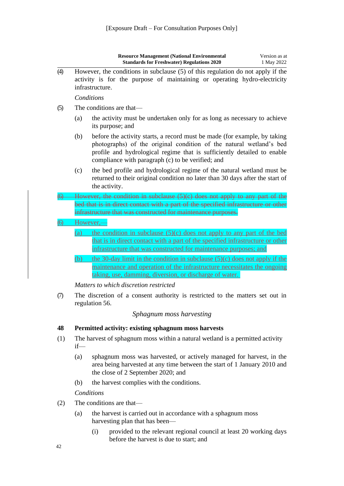|                |        | Version as at<br><b>Resource Management (National Environmental</b><br><b>Standards for Freshwater) Regulations 2020</b><br>1 May 2022                                                                                                                                           |
|----------------|--------|----------------------------------------------------------------------------------------------------------------------------------------------------------------------------------------------------------------------------------------------------------------------------------|
| (4)            |        | However, the conditions in subclause (5) of this regulation do not apply if the<br>activity is for the purpose of maintaining or operating hydro-electricity<br>infrastructure.                                                                                                  |
|                |        | Conditions                                                                                                                                                                                                                                                                       |
| (5)            |        | The conditions are that-                                                                                                                                                                                                                                                         |
|                | (a)    | the activity must be undertaken only for as long as necessary to achieve<br>its purpose; and                                                                                                                                                                                     |
|                | (b)    | before the activity starts, a record must be made (for example, by taking<br>photographs) of the original condition of the natural wetland's bed<br>profile and hydrological regime that is sufficiently detailed to enable<br>compliance with paragraph (c) to be verified; and |
|                | (c)    | the bed profile and hydrological regime of the natural wetland must be<br>returned to their original condition no later than 30 days after the start of<br>the activity.                                                                                                         |
| <del>6)</del>  |        | However, the condition in subclause $(5)(c)$ does not apply to any part of the                                                                                                                                                                                                   |
|                |        | bed that is in direct contact with a part of the specified infrastructure or other                                                                                                                                                                                               |
|                |        | infrastructure that was constructed for maintenance purposes.                                                                                                                                                                                                                    |
| $\overline{6}$ |        | However,-                                                                                                                                                                                                                                                                        |
|                | (a)    | the condition in subclause (5)(c) does not apply to any part of the bed<br>that is in direct contact with a part of the specified infrastructure or other<br>infrastructure that was constructed for maintenance purposes; and                                                   |
|                | (b)    | the 30-day limit in the condition in subclause $(5)(c)$ does not apply if the                                                                                                                                                                                                    |
|                |        | maintenance and operation of the infrastructure necessitates the ongoing<br>taking, use, damming, diversion, or discharge of water.                                                                                                                                              |
|                |        | Matters to which discretion restricted                                                                                                                                                                                                                                           |
| (7)            |        | The discretion of a consent authority is restricted to the matters set out in<br>regulation 56.                                                                                                                                                                                  |
|                |        | Sphagnum moss harvesting                                                                                                                                                                                                                                                         |
| 48             |        | Permitted activity: existing sphagnum moss harvests                                                                                                                                                                                                                              |
| (1)            | $if$ — | The harvest of sphagnum moss within a natural wetland is a permitted activity                                                                                                                                                                                                    |

- <span id="page-42-1"></span><span id="page-42-0"></span>(a) sphagnum moss was harvested, or actively managed for harvest, in the area being harvested at any time between the start of 1 January 2010 and the close of 2 September 2020; and
- (b) the harvest complies with the conditions.

*Conditions*

- (2) The conditions are that—
	- (a) the harvest is carried out in accordance with a sphagnum moss harvesting plan that has been—
		- (i) provided to the relevant regional council at least 20 working days before the harvest is due to start; and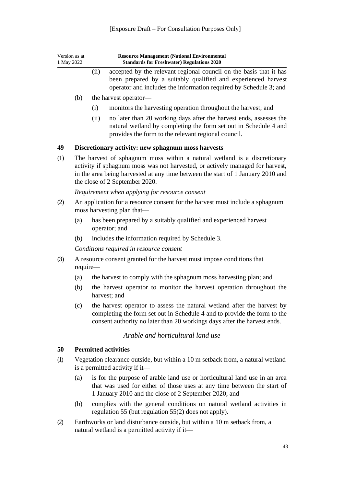<span id="page-43-0"></span>

| Version as at<br>1 May 2022 |                                                                                                             | <b>Resource Management (National Environmental</b><br><b>Standards for Freshwater) Regulations 2020</b>                                                                                                                                                                        |  |
|-----------------------------|-------------------------------------------------------------------------------------------------------------|--------------------------------------------------------------------------------------------------------------------------------------------------------------------------------------------------------------------------------------------------------------------------------|--|
|                             |                                                                                                             | (ii)<br>accepted by the relevant regional council on the basis that it has<br>been prepared by a suitably qualified and experienced harvest<br>operator and includes the information required by Schedule 3; and                                                               |  |
|                             | (b)                                                                                                         | the harvest operator—                                                                                                                                                                                                                                                          |  |
|                             |                                                                                                             | monitors the harvesting operation throughout the harvest; and<br>(i)                                                                                                                                                                                                           |  |
|                             |                                                                                                             | no later than 20 working days after the harvest ends, assesses the<br>(ii)<br>natural wetland by completing the form set out in Schedule 4 and<br>provides the form to the relevant regional council.                                                                          |  |
| 49                          |                                                                                                             | Discretionary activity: new sphagnum moss harvests                                                                                                                                                                                                                             |  |
| (1)                         |                                                                                                             | The harvest of sphagnum moss within a natural wetland is a discretionary<br>activity if sphagnum moss was not harvested, or actively managed for harvest,<br>in the area being harvested at any time between the start of 1 January 2010 and<br>the close of 2 September 2020. |  |
|                             | Requirement when applying for resource consent                                                              |                                                                                                                                                                                                                                                                                |  |
| (2)                         | An application for a resource consent for the harvest must include a sphagnum<br>moss harvesting plan that— |                                                                                                                                                                                                                                                                                |  |
|                             | (a)                                                                                                         | has been prepared by a suitably qualified and experienced harvest<br>operator; and                                                                                                                                                                                             |  |
|                             | (b)                                                                                                         | includes the information required by Schedule 3.                                                                                                                                                                                                                               |  |
|                             | Conditions required in resource consent                                                                     |                                                                                                                                                                                                                                                                                |  |
| (3)                         | require-                                                                                                    | A resource consent granted for the harvest must impose conditions that                                                                                                                                                                                                         |  |
|                             | (a)                                                                                                         | the harvest to comply with the sphagnum moss harvesting plan; and                                                                                                                                                                                                              |  |
|                             | (b)                                                                                                         | the harvest operator to monitor the harvest operation throughout the<br>harvest; and                                                                                                                                                                                           |  |
|                             | (c)                                                                                                         | the harvest operator to assess the natural wetland after the harvest by<br>completing the form set out in Schedule 4 and to provide the form to the<br>consent authority no later than 20 workings days after the harvest ends.                                                |  |
|                             |                                                                                                             | Arable and horticultural land use                                                                                                                                                                                                                                              |  |
| 50                          |                                                                                                             | <b>Permitted activities</b>                                                                                                                                                                                                                                                    |  |
| (1)                         |                                                                                                             | Vegetation clearance outside, but within a 10 m setback from, a natural wetland<br>is a permitted activity if it-                                                                                                                                                              |  |

- <span id="page-43-2"></span><span id="page-43-1"></span>(a) is for the purpose of arable land use or horticultural land use in an area that was used for either of those uses at any time between the start of 1 January 2010 and the close of 2 September 2020; and
- (b) complies with the general conditions on natural wetland activities in [regulation 55](#page-46-1) (but [regulation 55\(2\)](#page-46-1) does not apply).
- (2) Earthworks or land disturbance outside, but within a 10 m setback from, a natural wetland is a permitted activity if it—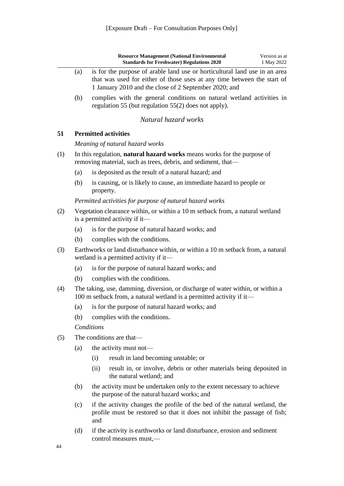<span id="page-44-1"></span><span id="page-44-0"></span>

|     |                                                                                                                 | <b>Resource Management (National Environmental</b><br>Version as at<br><b>Standards for Freshwater) Regulations 2020</b><br>1 May 2022                                                                         |  |
|-----|-----------------------------------------------------------------------------------------------------------------|----------------------------------------------------------------------------------------------------------------------------------------------------------------------------------------------------------------|--|
|     | (a)                                                                                                             | is for the purpose of arable land use or horticultural land use in an area<br>that was used for either of those uses at any time between the start of<br>1 January 2010 and the close of 2 September 2020; and |  |
|     | (b)                                                                                                             | complies with the general conditions on natural wetland activities in<br>regulation 55 (but regulation 55(2) does not apply).                                                                                  |  |
|     |                                                                                                                 | Natural hazard works                                                                                                                                                                                           |  |
| 51  |                                                                                                                 | <b>Permitted activities</b>                                                                                                                                                                                    |  |
|     |                                                                                                                 | Meaning of natural hazard works                                                                                                                                                                                |  |
| (1) |                                                                                                                 | In this regulation, <b>natural hazard works</b> means works for the purpose of<br>removing material, such as trees, debris, and sediment, that—                                                                |  |
|     | (a)                                                                                                             | is deposited as the result of a natural hazard; and                                                                                                                                                            |  |
|     | (b)                                                                                                             | is causing, or is likely to cause, an immediate hazard to people or<br>property.                                                                                                                               |  |
|     |                                                                                                                 | Permitted activities for purpose of natural hazard works                                                                                                                                                       |  |
| (2) | Vegetation clearance within, or within a 10 m setback from, a natural wetland<br>is a permitted activity if it— |                                                                                                                                                                                                                |  |
|     | (a)                                                                                                             | is for the purpose of natural hazard works; and                                                                                                                                                                |  |
|     | (b)                                                                                                             | complies with the conditions.                                                                                                                                                                                  |  |
| (3) |                                                                                                                 | Earthworks or land disturbance within, or within a 10 m setback from, a natural<br>wetland is a permitted activity if it—                                                                                      |  |
|     | (a)                                                                                                             | is for the purpose of natural hazard works; and                                                                                                                                                                |  |
|     | (b)                                                                                                             | complies with the conditions.                                                                                                                                                                                  |  |
| (4) |                                                                                                                 | The taking, use, damming, diversion, or discharge of water within, or within a<br>100 m setback from, a natural wetland is a permitted activity if it-                                                         |  |
|     |                                                                                                                 | (a) is for the purpose of natural hazard works; and                                                                                                                                                            |  |
|     | (b)                                                                                                             | complies with the conditions.                                                                                                                                                                                  |  |
|     |                                                                                                                 | Conditions                                                                                                                                                                                                     |  |
| (5) |                                                                                                                 | The conditions are that-                                                                                                                                                                                       |  |
|     | (a)                                                                                                             | the activity must not-                                                                                                                                                                                         |  |

- (i) result in land becoming unstable; or
- (ii) result in, or involve, debris or other materials being deposited in the natural wetland; and
- (b) the activity must be undertaken only to the extent necessary to achieve the purpose of the natural hazard works; and
- (c) if the activity changes the profile of the bed of the natural wetland, the profile must be restored so that it does not inhibit the passage of fish; and
- (d) if the activity is earthworks or land disturbance, erosion and sediment control measures must,—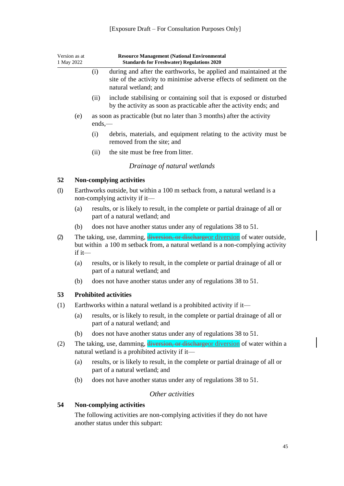<span id="page-45-1"></span><span id="page-45-0"></span>

| Version as at<br>1 May 2022                                                |     | <b>Resource Management (National Environmental</b><br><b>Standards for Freshwater) Regulations 2020</b>                                                           |                                                                                                                                                                  |  |
|----------------------------------------------------------------------------|-----|-------------------------------------------------------------------------------------------------------------------------------------------------------------------|------------------------------------------------------------------------------------------------------------------------------------------------------------------|--|
|                                                                            |     | (i)                                                                                                                                                               | during and after the earthworks, be applied and maintained at the<br>site of the activity to minimise adverse effects of sediment on the<br>natural wetland; and |  |
|                                                                            |     | (ii)                                                                                                                                                              | include stabilising or containing soil that is exposed or disturbed<br>by the activity as soon as practicable after the activity ends; and                       |  |
|                                                                            | (e) | $ends, -$                                                                                                                                                         | as soon as practicable (but no later than 3 months) after the activity                                                                                           |  |
|                                                                            |     | (i)                                                                                                                                                               | debris, materials, and equipment relating to the activity must be<br>removed from the site; and                                                                  |  |
|                                                                            |     | (ii)                                                                                                                                                              | the site must be free from litter.                                                                                                                               |  |
|                                                                            |     |                                                                                                                                                                   | Drainage of natural wetlands                                                                                                                                     |  |
| 52                                                                         |     |                                                                                                                                                                   | Non-complying activities                                                                                                                                         |  |
| (1)                                                                        |     |                                                                                                                                                                   | Earthworks outside, but within a 100 m setback from, a natural wetland is a<br>non-complying activity if it—                                                     |  |
|                                                                            | (a) |                                                                                                                                                                   | results, or is likely to result, in the complete or partial drainage of all or<br>part of a natural wetland; and                                                 |  |
|                                                                            | (b) |                                                                                                                                                                   | does not have another status under any of regulations 38 to 51.                                                                                                  |  |
| (2)<br>$if it$ —                                                           |     | The taking, use, damming, diversion, or dischargeor diversion of water outside,<br>but within a 100 m setback from, a natural wetland is a non-complying activity |                                                                                                                                                                  |  |
|                                                                            | (a) |                                                                                                                                                                   | results, or is likely to result, in the complete or partial drainage of all or<br>part of a natural wetland; and                                                 |  |
|                                                                            | (b) |                                                                                                                                                                   | does not have another status under any of regulations 38 to 51.                                                                                                  |  |
| 53                                                                         |     |                                                                                                                                                                   | <b>Prohibited activities</b>                                                                                                                                     |  |
| (1)<br>Earthworks within a natural wetland is a prohibited activity if it— |     |                                                                                                                                                                   |                                                                                                                                                                  |  |
|                                                                            | (a) |                                                                                                                                                                   | results, or is likely to result, in the complete or partial drainage of all or<br>part of a natural wetland; and                                                 |  |
|                                                                            | (b) |                                                                                                                                                                   | does not have another status under any of regulations 38 to 51.                                                                                                  |  |
| (2)                                                                        |     | The taking, use, damming, diversion, or discharge or diversion of water within a<br>natural wetland is a prohibited activity if it-                               |                                                                                                                                                                  |  |
|                                                                            | (a) |                                                                                                                                                                   | results, or is likely to result, in the complete or partial drainage of all or<br>part of a natural wetland; and                                                 |  |
|                                                                            | (b) |                                                                                                                                                                   | does not have another status under any of regulations 38 to 51.                                                                                                  |  |
|                                                                            |     |                                                                                                                                                                   | Other activities                                                                                                                                                 |  |
| 54                                                                         |     |                                                                                                                                                                   | <b>Non-complying activities</b>                                                                                                                                  |  |

<span id="page-45-4"></span><span id="page-45-3"></span><span id="page-45-2"></span>The following activities are non-complying activities if they do not have another status under this subpart: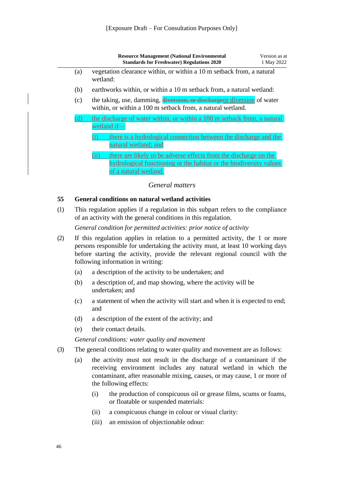|     | <b>Resource Management (National Environmental</b><br><b>Standards for Freshwater) Regulations 2020</b>                                                                 | Version as at<br>1 May 2022 |
|-----|-------------------------------------------------------------------------------------------------------------------------------------------------------------------------|-----------------------------|
| (a) | vegetation clearance within, or within a 10 m setback from, a natural<br>wetland:                                                                                       |                             |
| (b) | earthworks within, or within a 10 m setback from, a natural wetland:                                                                                                    |                             |
| (c) | the taking, use, damming, diversion, or dischargeor diversion of water<br>within, or within a 100 m setback from, a natural wetland.                                    |                             |
|     | the discharge of water within, or within a 100 m setback from, a natural<br>wetland if-                                                                                 |                             |
|     | there is a hydrological connection between the discharge and the<br>natural wetland; and                                                                                |                             |
|     | (ii)<br>there are likely to be adverse effects from the discharge on the<br>hydrological functioning or the habitat or the biodiversity values<br>of a natural wetland. |                             |

#### *General matters*

#### <span id="page-46-1"></span><span id="page-46-0"></span>**55 General conditions on natural wetland activities**

(1) This regulation applies if a regulation in this subpart refers to the compliance of an activity with the general conditions in this regulation.

*General condition for permitted activities: prior notice of activity*

- (2) If this regulation applies in relation to a permitted activity, the 1 or more persons responsible for undertaking the activity must, at least 10 working days before starting the activity, provide the relevant regional council with the following information in writing:
	- (a) a description of the activity to be undertaken; and
	- (b) a description of, and map showing, where the activity will be undertaken; and
	- (c) a statement of when the activity will start and when it is expected to end; and
	- (d) a description of the extent of the activity; and
	- (e) their contact details.

*General conditions: water quality and movement*

- (3) The general conditions relating to water quality and movement are as follows:
	- (a) the activity must not result in the discharge of a contaminant if the receiving environment includes any natural wetland in which the contaminant, after reasonable mixing, causes, or may cause, 1 or more of the following effects:
		- (i) the production of conspicuous oil or grease films, scums or foams, or floatable or suspended materials:
		- (ii) a conspicuous change in colour or visual clarity:
		- (iii) an emission of objectionable odour: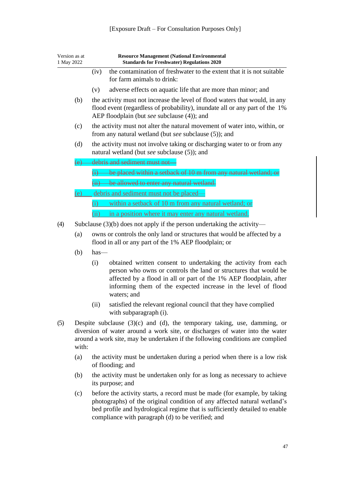| Version as at<br>1 May 2022 |                  | <b>Resource Management (National Environmental</b><br><b>Standards for Freshwater) Regulations 2020</b>                                                                                                                                                                                         |  |  |
|-----------------------------|------------------|-------------------------------------------------------------------------------------------------------------------------------------------------------------------------------------------------------------------------------------------------------------------------------------------------|--|--|
|                             |                  | the contamination of freshwater to the extent that it is not suitable<br>(iv)<br>for farm animals to drink:                                                                                                                                                                                     |  |  |
|                             |                  | adverse effects on aquatic life that are more than minor; and<br>(v)                                                                                                                                                                                                                            |  |  |
|                             | (b)              | the activity must not increase the level of flood waters that would, in any<br>flood event (regardless of probability), inundate all or any part of the 1%<br>AEP floodplain (but see subclause (4)); and                                                                                       |  |  |
|                             | (c)              | the activity must not alter the natural movement of water into, within, or<br>from any natural wetland (but see subclause (5)); and                                                                                                                                                             |  |  |
|                             | (d)              | the activity must not involve taking or discharging water to or from any<br>natural wetland (but see subclause (5)); and                                                                                                                                                                        |  |  |
|                             | $\left(e\right)$ | debris and sediment must not                                                                                                                                                                                                                                                                    |  |  |
|                             |                  | $(i)$ be placed within a setback of 10 m from any natural wetland; or                                                                                                                                                                                                                           |  |  |
|                             |                  | (ii) be allowed to enter any natural wetland.                                                                                                                                                                                                                                                   |  |  |
|                             | (e)              | debris and sediment must not be placed-                                                                                                                                                                                                                                                         |  |  |
|                             |                  | within a setback of 10 m from any natural wetland; or<br>(i)                                                                                                                                                                                                                                    |  |  |
|                             |                  | in a position where it may enter any natural wetland.<br>(ii)                                                                                                                                                                                                                                   |  |  |
| (4)                         |                  | Subclause $(3)(b)$ does not apply if the person undertaking the activity—                                                                                                                                                                                                                       |  |  |
|                             | (a)              | owns or controls the only land or structures that would be affected by a<br>flood in all or any part of the 1% AEP floodplain; or                                                                                                                                                               |  |  |
|                             | (b)              | $has-$                                                                                                                                                                                                                                                                                          |  |  |
|                             |                  | obtained written consent to undertaking the activity from each<br>(i)<br>person who owns or controls the land or structures that would be<br>affected by a flood in all or part of the 1% AEP floodplain, after<br>informing them of the expected increase in the level of flood<br>waters; and |  |  |
|                             |                  | satisfied the relevant regional council that they have complied<br>(ii)<br>with subparagraph (i).                                                                                                                                                                                               |  |  |
| (5)                         | with:            | Despite subclause $(3)(c)$ and $(d)$ , the temporary taking, use, damming, or<br>diversion of water around a work site, or discharges of water into the water<br>around a work site, may be undertaken if the following conditions are complied                                                 |  |  |
|                             | (a)              | the activity must be undertaken during a period when there is a low risk<br>of flooding; and                                                                                                                                                                                                    |  |  |
|                             | (b)              | the activity must be undertaken only for as long as necessary to achieve<br>its purpose; and                                                                                                                                                                                                    |  |  |
|                             | (c)              | before the activity starts, a record must be made (for example, by taking<br>photographs) of the original condition of any affected natural wetland's<br>bed profile and hydrological regime that is sufficiently detailed to enable<br>compliance with paragraph (d) to be verified; and       |  |  |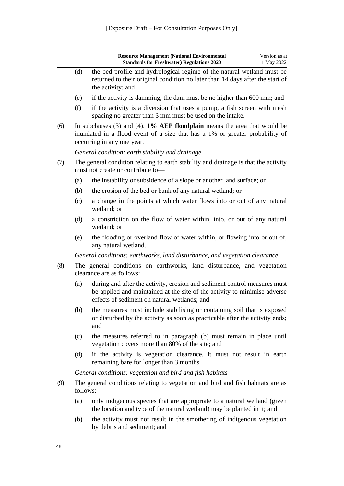|     |          | <b>Resource Management (National Environmental</b><br><b>Standards for Freshwater) Regulations 2020</b>                                                                                                | Version as at<br>1 May 2022 |
|-----|----------|--------------------------------------------------------------------------------------------------------------------------------------------------------------------------------------------------------|-----------------------------|
|     | (d)      | the bed profile and hydrological regime of the natural wetland must be<br>returned to their original condition no later than 14 days after the start of<br>the activity; and                           |                             |
|     | (e)      | if the activity is damming, the dam must be no higher than 600 mm; and                                                                                                                                 |                             |
|     | (f)      | if the activity is a diversion that uses a pump, a fish screen with mesh<br>spacing no greater than 3 mm must be used on the intake.                                                                   |                             |
| (6) |          | In subclauses $(3)$ and $(4)$ , 1% AEP floodplain means the area that would be<br>inundated in a flood event of a size that has a 1% or greater probability of<br>occurring in any one year.           |                             |
|     |          | General condition: earth stability and drainage                                                                                                                                                        |                             |
| (7) |          | The general condition relating to earth stability and drainage is that the activity<br>must not create or contribute to-                                                                               |                             |
|     | (a)      | the instability or subsidence of a slope or another land surface; or                                                                                                                                   |                             |
|     | (b)      | the erosion of the bed or bank of any natural wetland; or                                                                                                                                              |                             |
|     | (c)      | a change in the points at which water flows into or out of any natural<br>wetland; or                                                                                                                  |                             |
|     | (d)      | a constriction on the flow of water within, into, or out of any natural<br>wetland; or                                                                                                                 |                             |
|     | (e)      | the flooding or overland flow of water within, or flowing into or out of,<br>any natural wetland.                                                                                                      |                             |
|     |          | General conditions: earthworks, land disturbance, and vegetation clearance                                                                                                                             |                             |
| (8) |          | The general conditions on earthworks, land disturbance, and vegetation<br>clearance are as follows:                                                                                                    |                             |
|     | (a)      | during and after the activity, erosion and sediment control measures must<br>be applied and maintained at the site of the activity to minimise adverse<br>effects of sediment on natural wetlands; and |                             |
|     |          | (b) the measures must include stabilising or containing soil that is exposed<br>or disturbed by the activity as soon as practicable after the activity ends;<br>and                                    |                             |
|     | (c)      | the measures referred to in paragraph (b) must remain in place until<br>vegetation covers more than 80% of the site; and                                                                               |                             |
|     | (d)      | if the activity is vegetation clearance, it must not result in earth<br>remaining bare for longer than 3 months.                                                                                       |                             |
|     |          | General conditions: vegetation and bird and fish habitats                                                                                                                                              |                             |
| (9) | follows: | The general conditions relating to vegetation and bird and fish habitats are as                                                                                                                        |                             |
|     | (a)      | only indigenous species that are appropriate to a natural wetland (given<br>the location and type of the natural wetland) may be planted in it; and                                                    |                             |
|     | (b)      | the activity must not result in the smothering of indigenous vegetation<br>by debris and sediment; and                                                                                                 |                             |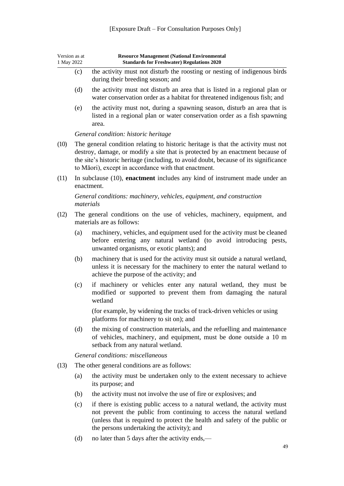| Version as at<br>1 May 2022 |           | <b>Resource Management (National Environmental</b><br><b>Standards for Freshwater) Regulations 2020</b>                                                                                                                                                                                                             |  |  |  |
|-----------------------------|-----------|---------------------------------------------------------------------------------------------------------------------------------------------------------------------------------------------------------------------------------------------------------------------------------------------------------------------|--|--|--|
|                             | (c)       | the activity must not disturb the roosting or nesting of indigenous birds<br>during their breeding season; and                                                                                                                                                                                                      |  |  |  |
|                             | (d)       | the activity must not disturb an area that is listed in a regional plan or<br>water conservation order as a habitat for threatened indigenous fish; and                                                                                                                                                             |  |  |  |
|                             | (e)       | the activity must not, during a spawning season, disturb an area that is<br>listed in a regional plan or water conservation order as a fish spawning<br>area.                                                                                                                                                       |  |  |  |
|                             |           | General condition: historic heritage                                                                                                                                                                                                                                                                                |  |  |  |
| (10)                        |           | The general condition relating to historic heritage is that the activity must not<br>destroy, damage, or modify a site that is protected by an enactment because of<br>the site's historic heritage (including, to avoid doubt, because of its significance<br>to Māori), except in accordance with that enactment. |  |  |  |
| (11)                        |           | In subclause (10), enactment includes any kind of instrument made under an<br>enactment.                                                                                                                                                                                                                            |  |  |  |
|                             | materials | General conditions: machinery, vehicles, equipment, and construction                                                                                                                                                                                                                                                |  |  |  |
| (12)                        |           | The general conditions on the use of vehicles, machinery, equipment, and<br>materials are as follows:                                                                                                                                                                                                               |  |  |  |
|                             | (a)       | machinery, vehicles, and equipment used for the activity must be cleaned<br>before entering any natural wetland (to avoid introducing pests,<br>unwanted organisms, or exotic plants); and                                                                                                                          |  |  |  |
|                             | (b)       | machinery that is used for the activity must sit outside a natural wetland,<br>unless it is necessary for the machinery to enter the natural wetland to<br>achieve the purpose of the activity; and                                                                                                                 |  |  |  |
|                             | (c)       | if machinery or vehicles enter any natural wetland, they must be<br>modified or supported to prevent them from damaging the natural<br>wetland                                                                                                                                                                      |  |  |  |
|                             |           | (for example, by widening the tracks of track-driven vehicles or using<br>platforms for machinery to sit on); and                                                                                                                                                                                                   |  |  |  |
|                             | (d)       | the mixing of construction materials, and the refuelling and maintenance<br>of vehicles, machinery, and equipment, must be done outside a 10 m<br>setback from any natural wetland.                                                                                                                                 |  |  |  |
|                             |           | General conditions: miscellaneous                                                                                                                                                                                                                                                                                   |  |  |  |
| (13)                        |           | The other general conditions are as follows:                                                                                                                                                                                                                                                                        |  |  |  |
|                             | (a)       | the activity must be undertaken only to the extent necessary to achieve<br>its purpose; and                                                                                                                                                                                                                         |  |  |  |
|                             | (b)       | the activity must not involve the use of fire or explosives; and                                                                                                                                                                                                                                                    |  |  |  |
|                             | (c)       | if there is existing public access to a natural wetland, the activity must<br>not prevent the public from continuing to access the natural wetland<br>(unless that is required to protect the health and safety of the public or<br>the persons undertaking the activity); and                                      |  |  |  |

(d) no later than 5 days after the activity ends,—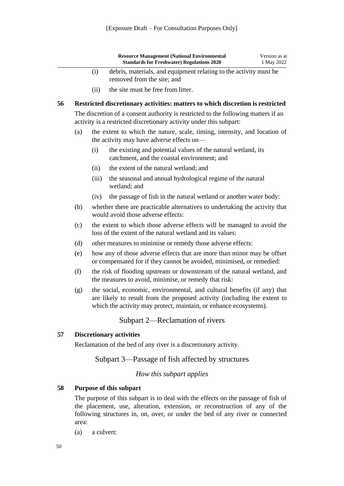<span id="page-50-0"></span>

|    |      | <b>Resource Management (National Environmental</b><br><b>Standards for Freshwater) Regulations 2020</b>                                                   | Version as at<br>1 May 2022 |
|----|------|-----------------------------------------------------------------------------------------------------------------------------------------------------------|-----------------------------|
|    | (1)  | debris, materials, and equipment relating to the activity must be<br>removed from the site; and                                                           |                             |
|    | (11) | the site must be free from litter.                                                                                                                        |                             |
| 56 |      | Restricted discretionary activities: matters to which discretion is restricted                                                                            |                             |
|    |      | The discretion of a consent authority is restricted to the following matters if an<br>activity is a restricted discretionary activity under this subpart: |                             |
|    | (a)  | the extent to which the nature, scale, timing intensity, and location of                                                                                  |                             |

- (a) the extent to which the nature, scale, timing, intensity, and location of the activity may have adverse effects on—
	- (i) the existing and potential values of the natural wetland, its catchment, and the coastal environment; and
	- (ii) the extent of the natural wetland; and
	- (iii) the seasonal and annual hydrological regime of the natural wetland; and
	- (iv) the passage of fish in the natural wetland or another water body:
- (b) whether there are practicable alternatives to undertaking the activity that would avoid those adverse effects:
- (c) the extent to which those adverse effects will be managed to avoid the loss of the extent of the natural wetland and its values:
- (d) other measures to minimise or remedy those adverse effects:
- (e) how any of those adverse effects that are more than minor may be offset or compensated for if they cannot be avoided, minimised, or remedied:
- (f) the risk of flooding upstream or downstream of the natural wetland, and the measures to avoid, minimise, or remedy that risk:
- (g) the social, economic, environmental, and cultural benefits (if any) that are likely to result from the proposed activity (including the extent to which the activity may protect, maintain, or enhance ecosystems).

#### Subpart 2—Reclamation of rivers

#### <span id="page-50-3"></span><span id="page-50-2"></span><span id="page-50-1"></span>**57 Discretionary activities**

Reclamation of the bed of any river is a discretionary activity.

#### Subpart 3—Passage of fish affected by structures

#### *How this subpart applies*

#### <span id="page-50-5"></span><span id="page-50-4"></span>**58 Purpose of this subpart**

The purpose of this subpart is to deal with the effects on the passage of fish of the placement, use, alteration, extension, or reconstruction of any of the following structures in, on, over, or under the bed of any river or connected area:

(a) a culvert: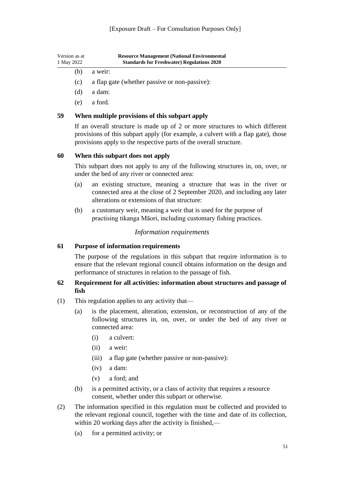| Version as at<br>1 May 2022 | <b>Resource Management (National Environmental</b><br><b>Standards for Freshwater) Regulations 2020</b> |
|-----------------------------|---------------------------------------------------------------------------------------------------------|
| (b)                         | a weir:                                                                                                 |
| (c)                         | a flap gate (whether passive or non-passive):                                                           |
| (d)                         | a dam:                                                                                                  |

(e) a ford.

#### <span id="page-51-0"></span>**59 When multiple provisions of this subpart apply**

If an overall structure is made up of 2 or more structures to which different provisions of this subpart apply (for example, a culvert with a flap gate), those provisions apply to the respective parts of the overall structure.

#### <span id="page-51-1"></span>**60 When this subpart does not apply**

This subpart does not apply to any of the following structures in, on, over, or under the bed of any river or connected area:

- (a) an existing structure, meaning a structure that was in the river or connected area at the close of 2 September 2020, and including any later alterations or extensions of that structure:
- (b) a customary weir, meaning a weir that is used for the purpose of practising tikanga Māori, including customary fishing practices.

#### *Information requirements*

#### <span id="page-51-3"></span><span id="page-51-2"></span>**61 Purpose of information requirements**

The purpose of the regulations in this subpart that require information is to ensure that the relevant regional council obtains information on the design and performance of structures in relation to the passage of fish.

#### <span id="page-51-4"></span>**62 Requirement for all activities: information about structures and passage of fish**

- (1) This regulation applies to any activity that—
	- (a) is the placement, alteration, extension, or reconstruction of any of the following structures in, on, over, or under the bed of any river or connected area:
		- (i) a culvert:
		- (ii) a weir:
		- (iii) a flap gate (whether passive or non-passive):
		- (iv) a dam:
		- (v) a ford; and
	- (b) is a permitted activity, or a class of activity that requires a resource consent, whether under this subpart or otherwise.
- (2) The information specified in this regulation must be collected and provided to the relevant regional council, together with the time and date of its collection, within 20 working days after the activity is finished,—
	- (a) for a permitted activity; or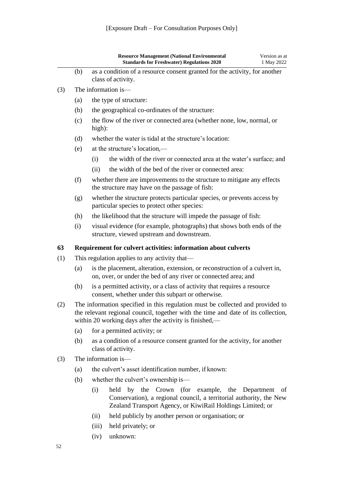<span id="page-52-0"></span>

|     |                     | <b>Resource Management (National Environmental</b><br>Version as at<br><b>Standards for Freshwater) Regulations 2020</b><br>1 May 2022                                                                                         |  |  |  |  |  |
|-----|---------------------|--------------------------------------------------------------------------------------------------------------------------------------------------------------------------------------------------------------------------------|--|--|--|--|--|
|     | (b)                 | as a condition of a resource consent granted for the activity, for another<br>class of activity.                                                                                                                               |  |  |  |  |  |
| (3) | The information is- |                                                                                                                                                                                                                                |  |  |  |  |  |
|     | (a)                 | the type of structure:                                                                                                                                                                                                         |  |  |  |  |  |
|     | (b)                 | the geographical co-ordinates of the structure:                                                                                                                                                                                |  |  |  |  |  |
|     | (c)                 | the flow of the river or connected area (whether none, low, normal, or<br>high):                                                                                                                                               |  |  |  |  |  |
|     | (d)                 | whether the water is tidal at the structure's location:                                                                                                                                                                        |  |  |  |  |  |
|     | (e)                 | at the structure's location,—                                                                                                                                                                                                  |  |  |  |  |  |
|     |                     | the width of the river or connected area at the water's surface; and<br>(i)                                                                                                                                                    |  |  |  |  |  |
|     |                     | the width of the bed of the river or connected area:<br>(ii)                                                                                                                                                                   |  |  |  |  |  |
|     | (f)                 | whether there are improvements to the structure to mitigate any effects<br>the structure may have on the passage of fish:                                                                                                      |  |  |  |  |  |
|     | (g)                 | whether the structure protects particular species, or prevents access by<br>particular species to protect other species:                                                                                                       |  |  |  |  |  |
|     | (h)                 | the likelihood that the structure will impede the passage of fish:                                                                                                                                                             |  |  |  |  |  |
|     | (i)                 | visual evidence (for example, photographs) that shows both ends of the<br>structure, viewed upstream and downstream.                                                                                                           |  |  |  |  |  |
| 63  |                     | Requirement for culvert activities: information about culverts                                                                                                                                                                 |  |  |  |  |  |
| (1) |                     | This regulation applies to any activity that—                                                                                                                                                                                  |  |  |  |  |  |
|     | (a)                 | is the placement, alteration, extension, or reconstruction of a culvert in,<br>on, over, or under the bed of any river or connected area; and                                                                                  |  |  |  |  |  |
|     | (b)                 | is a permitted activity, or a class of activity that requires a resource<br>consent, whether under this subpart or otherwise.                                                                                                  |  |  |  |  |  |
| (2) |                     | The information specified in this regulation must be collected and provided to<br>the relevant regional council, together with the time and date of its collection,<br>within 20 working days after the activity is finished,— |  |  |  |  |  |
|     | (a)                 | for a permitted activity; or                                                                                                                                                                                                   |  |  |  |  |  |
|     | (b)                 | as a condition of a resource consent granted for the activity, for another<br>class of activity.                                                                                                                               |  |  |  |  |  |
| (3) |                     | The information is—                                                                                                                                                                                                            |  |  |  |  |  |
|     | (a)                 | the culvert's asset identification number, if known:                                                                                                                                                                           |  |  |  |  |  |
|     | (b)                 | whether the culvert's ownership is—                                                                                                                                                                                            |  |  |  |  |  |
|     |                     | by the Crown (for example, the Department<br>(i)<br>held<br>of<br>Conservation), a regional council, a territorial authority, the New<br>Zealand Transport Agency, or KiwiRail Holdings Limited; or                            |  |  |  |  |  |
|     |                     | held publicly by another person or organisation; or<br>(ii)                                                                                                                                                                    |  |  |  |  |  |
|     |                     | (iii)<br>held privately; or                                                                                                                                                                                                    |  |  |  |  |  |

(iv) unknown: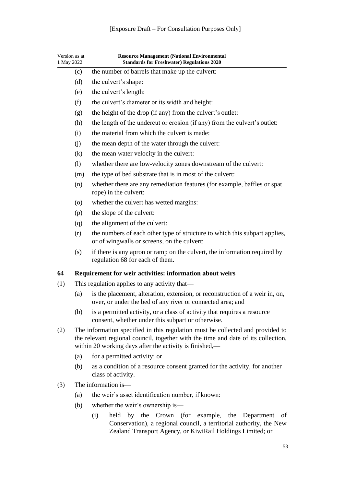<span id="page-53-0"></span>

| Version as at<br>1 May 2022 |                                                                                                                                                                                                                                | <b>Resource Management (National Environmental</b><br><b>Standards for Freshwater) Regulations 2020</b>                                                                                             |  |  |  |  |
|-----------------------------|--------------------------------------------------------------------------------------------------------------------------------------------------------------------------------------------------------------------------------|-----------------------------------------------------------------------------------------------------------------------------------------------------------------------------------------------------|--|--|--|--|
|                             | (c)                                                                                                                                                                                                                            | the number of barrels that make up the culvert:                                                                                                                                                     |  |  |  |  |
|                             | (d)                                                                                                                                                                                                                            | the culvert's shape:                                                                                                                                                                                |  |  |  |  |
|                             | (e)                                                                                                                                                                                                                            | the culvert's length:                                                                                                                                                                               |  |  |  |  |
|                             | (f)                                                                                                                                                                                                                            | the culvert's diameter or its width and height:                                                                                                                                                     |  |  |  |  |
|                             | (g)                                                                                                                                                                                                                            | the height of the drop (if any) from the culvert's outlet:                                                                                                                                          |  |  |  |  |
|                             | (h)                                                                                                                                                                                                                            | the length of the undercut or erosion (if any) from the culvert's outlet:                                                                                                                           |  |  |  |  |
|                             | (i)                                                                                                                                                                                                                            | the material from which the culvert is made:                                                                                                                                                        |  |  |  |  |
|                             | (i)                                                                                                                                                                                                                            | the mean depth of the water through the culvert:                                                                                                                                                    |  |  |  |  |
|                             | (k)                                                                                                                                                                                                                            | the mean water velocity in the culvert:                                                                                                                                                             |  |  |  |  |
|                             | (1)                                                                                                                                                                                                                            | whether there are low-velocity zones downstream of the culvert:                                                                                                                                     |  |  |  |  |
|                             | (m)                                                                                                                                                                                                                            | the type of bed substrate that is in most of the culvert:                                                                                                                                           |  |  |  |  |
|                             | (n)                                                                                                                                                                                                                            | whether there are any remediation features (for example, baffles or spat<br>rope) in the culvert:                                                                                                   |  |  |  |  |
|                             | (0)                                                                                                                                                                                                                            | whether the culvert has wetted margins:                                                                                                                                                             |  |  |  |  |
|                             | (p)                                                                                                                                                                                                                            | the slope of the culvert:                                                                                                                                                                           |  |  |  |  |
|                             | (q)                                                                                                                                                                                                                            | the alignment of the culvert:                                                                                                                                                                       |  |  |  |  |
|                             | (r)                                                                                                                                                                                                                            | the numbers of each other type of structure to which this subpart applies,<br>or of wingwalls or screens, on the culvert:                                                                           |  |  |  |  |
|                             | (s)                                                                                                                                                                                                                            | if there is any apron or ramp on the culvert, the information required by<br>regulation 68 for each of them.                                                                                        |  |  |  |  |
| 64                          |                                                                                                                                                                                                                                | Requirement for weir activities: information about weirs                                                                                                                                            |  |  |  |  |
| (1)                         |                                                                                                                                                                                                                                | This regulation applies to any activity that—                                                                                                                                                       |  |  |  |  |
|                             | (a)                                                                                                                                                                                                                            | is the placement, alteration, extension, or reconstruction of a weir in, on,<br>over, or under the bed of any river or connected area; and                                                          |  |  |  |  |
|                             | (b)                                                                                                                                                                                                                            | is a permitted activity, or a class of activity that requires a resource<br>consent, whether under this subpart or otherwise.                                                                       |  |  |  |  |
| (2)                         | The information specified in this regulation must be collected and provided to<br>the relevant regional council, together with the time and date of its collection,<br>within 20 working days after the activity is finished,— |                                                                                                                                                                                                     |  |  |  |  |
|                             | (a)                                                                                                                                                                                                                            | for a permitted activity; or                                                                                                                                                                        |  |  |  |  |
|                             | (b)                                                                                                                                                                                                                            | as a condition of a resource consent granted for the activity, for another<br>class of activity.                                                                                                    |  |  |  |  |
| (3)                         |                                                                                                                                                                                                                                | The information is-                                                                                                                                                                                 |  |  |  |  |
|                             | (a)                                                                                                                                                                                                                            | the weir's asset identification number, if known:                                                                                                                                                   |  |  |  |  |
|                             | (b)                                                                                                                                                                                                                            | whether the weir's ownership is—                                                                                                                                                                    |  |  |  |  |
|                             |                                                                                                                                                                                                                                | held<br>by the Crown (for example, the Department<br>(i)<br>οf<br>Conservation), a regional council, a territorial authority, the New<br>Zealand Transport Agency, or KiwiRail Holdings Limited; or |  |  |  |  |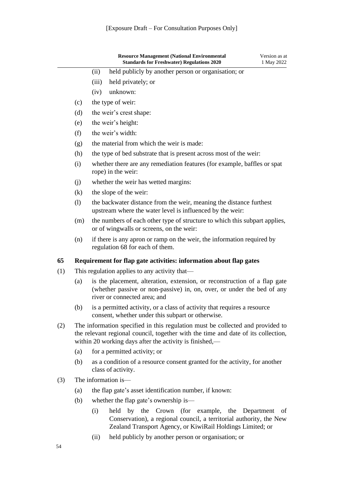|     |     |       | <b>Resource Management (National Environmental</b><br><b>Standards for Freshwater) Regulations 2020</b>                                                                                                                        | Version as at<br>1 May 2022 |
|-----|-----|-------|--------------------------------------------------------------------------------------------------------------------------------------------------------------------------------------------------------------------------------|-----------------------------|
|     |     | (ii)  | held publicly by another person or organisation; or                                                                                                                                                                            |                             |
|     |     | (iii) | held privately; or                                                                                                                                                                                                             |                             |
|     |     | (iv)  | unknown:                                                                                                                                                                                                                       |                             |
|     | (c) |       | the type of weir:                                                                                                                                                                                                              |                             |
|     | (d) |       | the weir's crest shape:                                                                                                                                                                                                        |                             |
|     | (e) |       | the weir's height:                                                                                                                                                                                                             |                             |
|     | (f) |       | the weir's width:                                                                                                                                                                                                              |                             |
|     | (g) |       | the material from which the weir is made:                                                                                                                                                                                      |                             |
|     | (h) |       | the type of bed substrate that is present across most of the weir:                                                                                                                                                             |                             |
|     | (i) |       | whether there are any remediation features (for example, baffles or spat<br>rope) in the weir:                                                                                                                                 |                             |
|     | (j) |       | whether the weir has wetted margins:                                                                                                                                                                                           |                             |
|     | (k) |       | the slope of the weir:                                                                                                                                                                                                         |                             |
|     | (1) |       | the backwater distance from the weir, meaning the distance furthest<br>upstream where the water level is influenced by the weir:                                                                                               |                             |
|     | (m) |       | the numbers of each other type of structure to which this subpart applies,<br>or of wingwalls or screens, on the weir:                                                                                                         |                             |
|     | (n) |       | if there is any apron or ramp on the weir, the information required by<br>regulation 68 for each of them.                                                                                                                      |                             |
| 65  |     |       | Requirement for flap gate activities: information about flap gates                                                                                                                                                             |                             |
| (1) |     |       | This regulation applies to any activity that—                                                                                                                                                                                  |                             |
|     | (a) |       | is the placement, alteration, extension, or reconstruction of a flap gate<br>(whether passive or non-passive) in, on, over, or under the bed of any<br>river or connected area; and                                            |                             |
|     | (b) |       | is a permitted activity, or a class of activity that requires a resource<br>consent, whether under this subpart or otherwise.                                                                                                  |                             |
| (2) |     |       | The information specified in this regulation must be collected and provided to<br>the relevant regional council, together with the time and date of its collection,<br>within 20 working days after the activity is finished,— |                             |
|     | (a) |       | for a permitted activity; or                                                                                                                                                                                                   |                             |
|     | (b) |       | as a condition of a resource consent granted for the activity, for another<br>class of activity.                                                                                                                               |                             |
| (3) |     |       | The information is-                                                                                                                                                                                                            |                             |
|     |     |       | the flan cote's exact identification number if lyne                                                                                                                                                                            |                             |

- <span id="page-54-0"></span>(a) the flap gate's asset identification number, if known:
- (b) whether the flap gate's ownership is—
	- (i) held by the Crown (for example, the Department of Conservation), a regional council, a territorial authority, the New Zealand Transport Agency, or KiwiRail Holdings Limited; or
	- (ii) held publicly by another person or organisation; or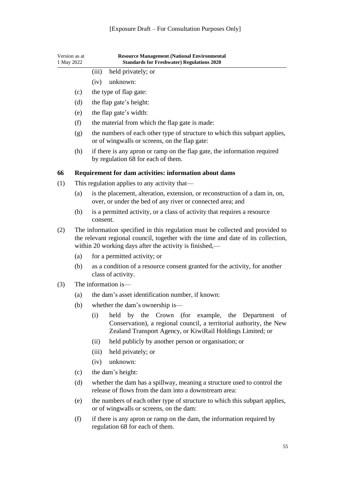<span id="page-55-0"></span>

| Version as at<br>1 May 2022 |     | <b>Resource Management (National Environmental</b><br><b>Standards for Freshwater) Regulations 2020</b>                                                                                                                        |
|-----------------------------|-----|--------------------------------------------------------------------------------------------------------------------------------------------------------------------------------------------------------------------------------|
|                             |     | held privately; or<br>(iii)                                                                                                                                                                                                    |
|                             |     | unknown:<br>(iv)                                                                                                                                                                                                               |
|                             | (c) | the type of flap gate:                                                                                                                                                                                                         |
|                             | (d) | the flap gate's height:                                                                                                                                                                                                        |
|                             | (e) | the flap gate's width:                                                                                                                                                                                                         |
|                             | (f) | the material from which the flap gate is made:                                                                                                                                                                                 |
|                             | (g) | the numbers of each other type of structure to which this subpart applies,<br>or of wingwalls or screens, on the flap gate:                                                                                                    |
|                             | (h) | if there is any apron or ramp on the flap gate, the information required<br>by regulation 68 for each of them.                                                                                                                 |
| 66                          |     | Requirement for dam activities: information about dams                                                                                                                                                                         |
| (1)                         |     | This regulation applies to any activity that—                                                                                                                                                                                  |
|                             | (a) | is the placement, alteration, extension, or reconstruction of a dam in, on,<br>over, or under the bed of any river or connected area; and                                                                                      |
|                             | (b) | is a permitted activity, or a class of activity that requires a resource<br>consent.                                                                                                                                           |
| (2)                         |     | The information specified in this regulation must be collected and provided to<br>the relevant regional council, together with the time and date of its collection,<br>within 20 working days after the activity is finished,— |
|                             | (a) | for a permitted activity; or                                                                                                                                                                                                   |
|                             | (b) | as a condition of a resource consent granted for the activity, for another<br>class of activity.                                                                                                                               |
| (3)                         |     | The information is—                                                                                                                                                                                                            |
|                             | (a) | the dam's asset identification number, if known:                                                                                                                                                                               |
|                             | (b) | whether the dam's ownership is—                                                                                                                                                                                                |
|                             |     | (i)<br>by the Crown (for example, the Department<br>held<br>of<br>Conservation), a regional council, a territorial authority, the New<br>Zealand Transport Agency, or KiwiRail Holdings Limited; or                            |
|                             |     | held publicly by another person or organisation; or<br>(ii)                                                                                                                                                                    |
|                             |     | (iii)<br>held privately; or                                                                                                                                                                                                    |
|                             |     | unknown:<br>(iv)                                                                                                                                                                                                               |
|                             | (c) | the dam's height:                                                                                                                                                                                                              |
|                             | (d) | whether the dam has a spillway, meaning a structure used to control the<br>release of flows from the dam into a downstream area:                                                                                               |
|                             | (e) | the numbers of each other type of structure to which this subpart applies,<br>or of wingwalls or screens, on the dam:                                                                                                          |
|                             | (f) | if there is any apron or ramp on the dam, the information required by<br>regulation 68 for each of them.                                                                                                                       |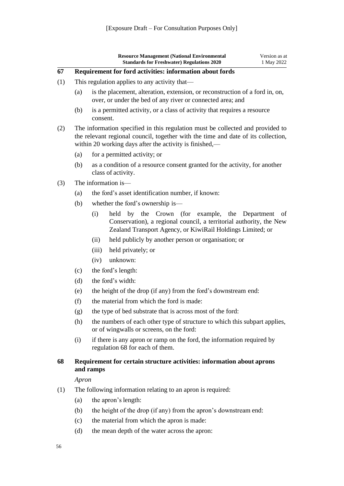<span id="page-56-0"></span>

|     |                                               | <b>Resource Management (National Environmental</b><br><b>Standards for Freshwater) Regulations 2020</b>                                                                                                                        | Version as at<br>1 May 2022 |  |  |  |
|-----|-----------------------------------------------|--------------------------------------------------------------------------------------------------------------------------------------------------------------------------------------------------------------------------------|-----------------------------|--|--|--|
| 67  |                                               | Requirement for ford activities: information about fords                                                                                                                                                                       |                             |  |  |  |
| (1) | This regulation applies to any activity that— |                                                                                                                                                                                                                                |                             |  |  |  |
|     | (a)                                           | is the placement, alteration, extension, or reconstruction of a ford in, on,<br>over, or under the bed of any river or connected area; and                                                                                     |                             |  |  |  |
|     | (b)                                           | is a permitted activity, or a class of activity that requires a resource<br>consent.                                                                                                                                           |                             |  |  |  |
| (2) |                                               | The information specified in this regulation must be collected and provided to<br>the relevant regional council, together with the time and date of its collection,<br>within 20 working days after the activity is finished,— |                             |  |  |  |
|     | (a)                                           | for a permitted activity; or                                                                                                                                                                                                   |                             |  |  |  |
|     | (b)                                           | as a condition of a resource consent granted for the activity, for another<br>class of activity.                                                                                                                               |                             |  |  |  |
| (3) |                                               | The information is—                                                                                                                                                                                                            |                             |  |  |  |
|     | (a)                                           | the ford's asset identification number, if known:                                                                                                                                                                              |                             |  |  |  |
|     | (b)                                           | whether the ford's ownership is—                                                                                                                                                                                               |                             |  |  |  |
|     |                                               | Crown (for example, the<br>(i)<br>held<br>by the<br>Conservation), a regional council, a territorial authority, the New<br>Zealand Transport Agency, or KiwiRail Holdings Limited; or                                          | Department<br>οf            |  |  |  |
|     |                                               | held publicly by another person or organisation; or<br>(ii)                                                                                                                                                                    |                             |  |  |  |
|     |                                               | held privately; or<br>(iii)                                                                                                                                                                                                    |                             |  |  |  |
|     |                                               | unknown:<br>(iv)                                                                                                                                                                                                               |                             |  |  |  |
|     | (c)                                           | the ford's length:                                                                                                                                                                                                             |                             |  |  |  |
|     | (d)                                           | the ford's width:                                                                                                                                                                                                              |                             |  |  |  |
|     | (e)                                           | the height of the drop (if any) from the ford's downstream end:                                                                                                                                                                |                             |  |  |  |
|     | (f)                                           | the material from which the ford is made:                                                                                                                                                                                      |                             |  |  |  |
|     | (g)                                           | the type of bed substrate that is across most of the ford:                                                                                                                                                                     |                             |  |  |  |
|     | (h)                                           | the numbers of each other type of structure to which this subpart applies,<br>or of wingwalls or screens, on the ford:                                                                                                         |                             |  |  |  |
|     | (i)                                           | if there is any apron or ramp on the ford, the information required by<br>regulation 68 for each of them.                                                                                                                      |                             |  |  |  |
| 68  |                                               | Requirement for certain structure activities: information about aprons<br>and ramps                                                                                                                                            |                             |  |  |  |
|     | Apron                                         |                                                                                                                                                                                                                                |                             |  |  |  |
| (1) |                                               | The following information relating to an apron is required:                                                                                                                                                                    |                             |  |  |  |
|     | (a)                                           | the apron's length:                                                                                                                                                                                                            |                             |  |  |  |
|     | (b)                                           | the height of the drop (if any) from the apron's downstream end:                                                                                                                                                               |                             |  |  |  |
|     | (c)                                           | the material from which the apron is made:                                                                                                                                                                                     |                             |  |  |  |

<span id="page-56-1"></span>(d) the mean depth of the water across the apron: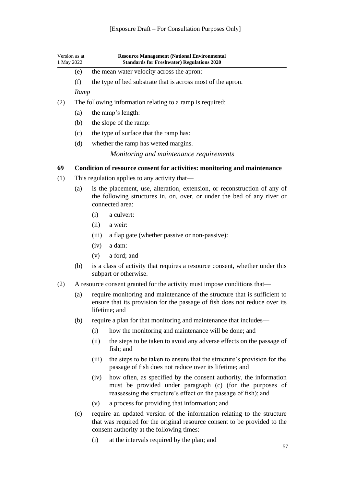<span id="page-57-1"></span><span id="page-57-0"></span>

| Version as at<br>1 May 2022 |                                                                          |                                                                                                                                                                          | <b>Resource Management (National Environmental</b><br><b>Standards for Freshwater) Regulations 2020</b>                                                                                           |  |  |  |
|-----------------------------|--------------------------------------------------------------------------|--------------------------------------------------------------------------------------------------------------------------------------------------------------------------|---------------------------------------------------------------------------------------------------------------------------------------------------------------------------------------------------|--|--|--|
|                             | (e)                                                                      |                                                                                                                                                                          | the mean water velocity across the apron:                                                                                                                                                         |  |  |  |
|                             | (f)                                                                      |                                                                                                                                                                          | the type of bed substrate that is across most of the apron.                                                                                                                                       |  |  |  |
|                             | Ramp                                                                     |                                                                                                                                                                          |                                                                                                                                                                                                   |  |  |  |
| (2)                         | The following information relating to a ramp is required:                |                                                                                                                                                                          |                                                                                                                                                                                                   |  |  |  |
|                             | (a)                                                                      |                                                                                                                                                                          | the ramp's length:                                                                                                                                                                                |  |  |  |
|                             | (b)                                                                      |                                                                                                                                                                          | the slope of the ramp:                                                                                                                                                                            |  |  |  |
|                             | (c)                                                                      |                                                                                                                                                                          | the type of surface that the ramp has:                                                                                                                                                            |  |  |  |
|                             | (d)                                                                      | whether the ramp has wetted margins.                                                                                                                                     |                                                                                                                                                                                                   |  |  |  |
|                             |                                                                          |                                                                                                                                                                          | Monitoring and maintenance requirements                                                                                                                                                           |  |  |  |
| 69                          |                                                                          |                                                                                                                                                                          | Condition of resource consent for activities: monitoring and maintenance                                                                                                                          |  |  |  |
| (1)                         |                                                                          |                                                                                                                                                                          | This regulation applies to any activity that—                                                                                                                                                     |  |  |  |
|                             | (a)                                                                      | is the placement, use, alteration, extension, or reconstruction of any of<br>the following structures in, on, over, or under the bed of any river or<br>connected area:  |                                                                                                                                                                                                   |  |  |  |
|                             |                                                                          | (i)                                                                                                                                                                      | a culvert:                                                                                                                                                                                        |  |  |  |
|                             |                                                                          | (ii)                                                                                                                                                                     | a weir:                                                                                                                                                                                           |  |  |  |
|                             |                                                                          | (iii)                                                                                                                                                                    | a flap gate (whether passive or non-passive):                                                                                                                                                     |  |  |  |
|                             |                                                                          | (iv)                                                                                                                                                                     | a dam:                                                                                                                                                                                            |  |  |  |
|                             |                                                                          | (v)                                                                                                                                                                      | a ford; and                                                                                                                                                                                       |  |  |  |
|                             | (b)                                                                      | is a class of activity that requires a resource consent, whether under this<br>subpart or otherwise.                                                                     |                                                                                                                                                                                                   |  |  |  |
| (2)                         | A resource consent granted for the activity must impose conditions that— |                                                                                                                                                                          |                                                                                                                                                                                                   |  |  |  |
|                             | (a)                                                                      | require monitoring and maintenance of the structure that is sufficient to<br>ensure that its provision for the passage of fish does not reduce over its<br>lifetime; and |                                                                                                                                                                                                   |  |  |  |
|                             | (b)                                                                      |                                                                                                                                                                          | require a plan for that monitoring and maintenance that includes—                                                                                                                                 |  |  |  |
|                             |                                                                          | (i)                                                                                                                                                                      | how the monitoring and maintenance will be done; and                                                                                                                                              |  |  |  |
|                             |                                                                          | (ii)                                                                                                                                                                     | the steps to be taken to avoid any adverse effects on the passage of<br>fish; and                                                                                                                 |  |  |  |
|                             |                                                                          | (iii)                                                                                                                                                                    | the steps to be taken to ensure that the structure's provision for the<br>passage of fish does not reduce over its lifetime; and                                                                  |  |  |  |
|                             |                                                                          | (iv)                                                                                                                                                                     | how often, as specified by the consent authority, the information<br>must be provided under paragraph (c) (for the purposes of<br>reassessing the structure's effect on the passage of fish); and |  |  |  |
|                             |                                                                          | (v)                                                                                                                                                                      | a process for providing that information; and                                                                                                                                                     |  |  |  |
|                             | (c)                                                                      |                                                                                                                                                                          | require an updated version of the information relating to the structure<br>that was required for the original resource consent to be provided to the<br>consent authority at the following times: |  |  |  |

(i) at the intervals required by the plan; and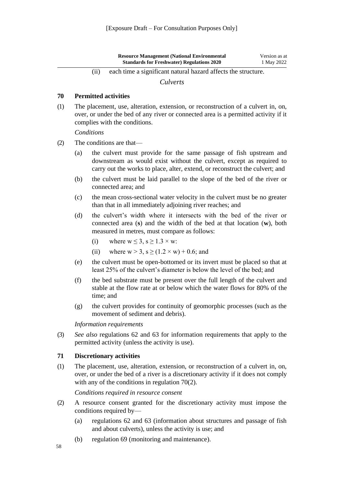| <b>Resource Management (National Environmental)</b> | Version as at |
|-----------------------------------------------------|---------------|
| <b>Standards for Freshwater) Regulations 2020</b>   | 1 May 2022    |

(ii) each time a significant natural hazard affects the structure.

*Culverts*

#### <span id="page-58-1"></span><span id="page-58-0"></span>**70 Permitted activities**

(1) The placement, use, alteration, extension, or reconstruction of a culvert in, on, over, or under the bed of any river or connected area is a permitted activity if it complies with the conditions.

*Conditions*

- (2) The conditions are that—
	- (a) the culvert must provide for the same passage of fish upstream and downstream as would exist without the culvert, except as required to carry out the works to place, alter, extend, or reconstruct the culvert; and
	- (b) the culvert must be laid parallel to the slope of the bed of the river or connected area; and
	- (c) the mean cross-sectional water velocity in the culvert must be no greater than that in all immediately adjoining river reaches; and
	- (d) the culvert's width where it intersects with the bed of the river or connected area (**s**) and the width of the bed at that location (**w**), both measured in metres, must compare as follows:
		- (i) where  $w \le 3$ ,  $s \ge 1.3 \times w$ :
		- (ii) where  $w > 3$ ,  $s \ge (1.2 \times w) + 0.6$ ; and
	- (e) the culvert must be open-bottomed or its invert must be placed so that at least 25% of the culvert's diameter is below the level of the bed; and
	- (f) the bed substrate must be present over the full length of the culvert and stable at the flow rate at or below which the water flows for 80% of the time; and
	- (g) the culvert provides for continuity of geomorphic processes (such as the movement of sediment and debris).

*Information requirements*

(3) *See also* [regulations 62](#page-51-4) and [63](#page-52-0) for information requirements that apply to the permitted activity (unless the activity is use).

#### <span id="page-58-2"></span>**71 Discretionary activities**

(1) The placement, use, alteration, extension, or reconstruction of a culvert in, on, over, or under the bed of a river is a discretionary activity if it does not comply with any of the conditions in [regulation](#page-58-1) 70(2).

*Conditions required in resource consent*

- (2) A resource consent granted for the discretionary activity must impose the conditions required by—
	- (a) [regulations 62](#page-51-4) and [63](#page-52-0) (information about structures and passage of fish and about culverts), unless the activity is use; and
	- (b) [regulation 69](#page-57-1) (monitoring and maintenance).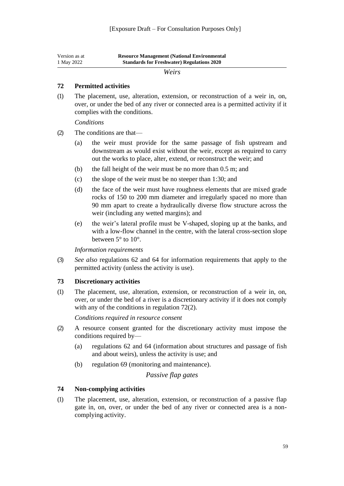<span id="page-59-0"></span>

| Version as at | <b>Resource Management (National Environmental)</b> |
|---------------|-----------------------------------------------------|
| 1 May 2022    | <b>Standards for Freshwater) Regulations 2020</b>   |

#### *Weirs*

#### <span id="page-59-1"></span>**72 Permitted activities**

(1) The placement, use, alteration, extension, or reconstruction of a weir in, on, over, or under the bed of any river or connected area is a permitted activity if it complies with the conditions.

*Conditions*

- (2) The conditions are that—
	- (a) the weir must provide for the same passage of fish upstream and downstream as would exist without the weir, except as required to carry out the works to place, alter, extend, or reconstruct the weir; and
	- (b) the fall height of the weir must be no more than 0.5 m; and
	- (c) the slope of the weir must be no steeper than 1:30; and
	- (d) the face of the weir must have roughness elements that are mixed grade rocks of 150 to 200 mm diameter and irregularly spaced no more than 90 mm apart to create a hydraulically diverse flow structure across the weir (including any wetted margins); and
	- (e) the weir's lateral profile must be V-shaped, sloping up at the banks, and with a low-flow channel in the centre, with the lateral cross-section slope between 5° to 10°.

*Information requirements*

(3) *See also* [regulations 62](#page-51-4) and [64](#page-53-0) for information requirements that apply to the permitted activity (unless the activity is use).

#### <span id="page-59-2"></span>**73 Discretionary activities**

(1) The placement, use, alteration, extension, or reconstruction of a weir in, on, over, or under the bed of a river is a discretionary activity if it does not comply with any of the conditions in [regulation](#page-59-1) 72(2).

*Conditions required in resource consent*

- (2) A resource consent granted for the discretionary activity must impose the conditions required by—
	- (a) [regulations 62](#page-51-4) and [64](#page-53-0) (information about structures and passage of fish and about weirs), unless the activity is use; and
	- (b) [regulation 69](#page-57-1) (monitoring and maintenance).

#### *Passive flap gates*

#### <span id="page-59-4"></span><span id="page-59-3"></span>**74 Non-complying activities**

(1) The placement, use, alteration, extension, or reconstruction of a passive flap gate in, on, over, or under the bed of any river or connected area is a noncomplying activity.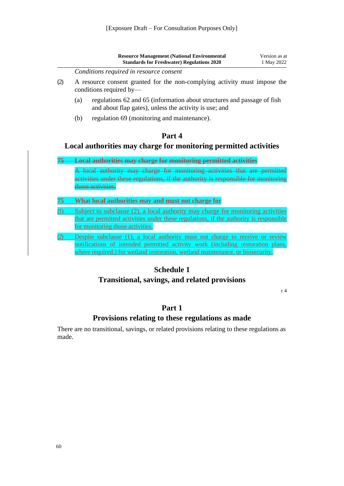<span id="page-60-1"></span><span id="page-60-0"></span>

|       |                                                                                                      | <b>Resource Management (National Environmental</b><br><b>Standards for Freshwater) Regulations 2020</b>                                                                                                                                            | Version as at<br>1 May 2022 |
|-------|------------------------------------------------------------------------------------------------------|----------------------------------------------------------------------------------------------------------------------------------------------------------------------------------------------------------------------------------------------------|-----------------------------|
|       |                                                                                                      | Conditions required in resource consent                                                                                                                                                                                                            |                             |
| (2)   | A resource consent granted for the non-complying activity must impose the<br>conditions required by- |                                                                                                                                                                                                                                                    |                             |
|       | (a)                                                                                                  | regulations 62 and 65 (information about structures and passage of fish<br>and about flap gates), unless the activity is use; and                                                                                                                  |                             |
|       | (b)                                                                                                  | regulation 69 (monitoring and maintenance).                                                                                                                                                                                                        |                             |
|       |                                                                                                      | Part 4                                                                                                                                                                                                                                             |                             |
|       |                                                                                                      | Local authorities may charge for monitoring permitted activities                                                                                                                                                                                   |                             |
| $75-$ |                                                                                                      | <b>Local authorities may charge for monitoring permitted activities</b>                                                                                                                                                                            |                             |
|       |                                                                                                      | A local authority may charge for monitoring activities that are permitted<br>activities under these regulations, if the authority is responsible for monitoring<br>those activities.                                                               |                             |
| 75    |                                                                                                      | What local authorities may and must not charge for                                                                                                                                                                                                 |                             |
| (1)   |                                                                                                      | Subject to subclause (2), a local authority may charge for monitoring activities                                                                                                                                                                   |                             |
|       |                                                                                                      | that are permitted activities under these regulations, if the authority is responsible<br>for monitoring those activities.                                                                                                                         |                             |
|       |                                                                                                      | Despite subclause (1), a local authority must not charge to receive or review<br>notifications of intended permitted activity work (including restoration plans,<br>where required,) for wetland restoration, wetland maintenance, or biosecurity. |                             |
|       |                                                                                                      | $C_2$ , $\lambda_2$ , $\lambda_3$ , $\lambda_4$                                                                                                                                                                                                    |                             |

# **Schedule 1**

# <span id="page-60-2"></span>**Transitional, savings, and related provisions**

[r 4](#page-13-0)

### **Part 1**

### **Provisions relating to these regulations as made**

There are no transitional, savings, or related provisions relating to these regulations as made.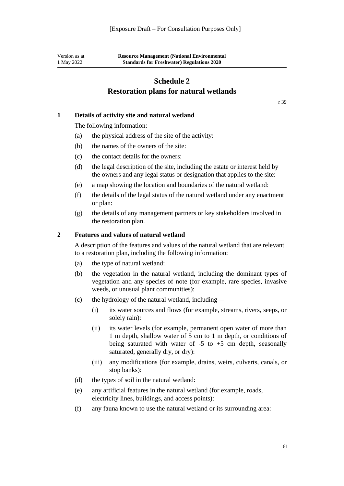<span id="page-61-0"></span>Version as at 1 May 2022

# **Schedule 2 Restoration plans for natural wetlands**

[r 39](#page-31-0)

#### **1 Details of activity site and natural wetland**

The following information:

- (a) the physical address of the site of the activity:
- (b) the names of the owners of the site:
- (c) the contact details for the owners:
- (d) the legal description of the site, including the estate or interest held by the owners and any legal status or designation that applies to the site:
- (e) a map showing the location and boundaries of the natural wetland:
- (f) the details of the legal status of the natural wetland under any enactment or plan:
- (g) the details of any management partners or key stakeholders involved in the restoration plan.

#### **2 Features and values of natural wetland**

A description of the features and values of the natural wetland that are relevant to a restoration plan, including the following information:

- (a) the type of natural wetland:
- (b) the vegetation in the natural wetland, including the dominant types of vegetation and any species of note (for example, rare species, invasive weeds, or unusual plant communities):
- (c) the hydrology of the natural wetland, including—
	- (i) its water sources and flows (for example, streams, rivers, seeps, or solely rain):
	- (ii) its water levels (for example, permanent open water of more than 1 m depth, shallow water of 5 cm to 1 m depth, or conditions of being saturated with water of  $-5$  to  $+5$  cm depth, seasonally saturated, generally dry, or dry):
	- (iii) any modifications (for example, drains, weirs, culverts, canals, or stop banks):
- (d) the types of soil in the natural wetland:
- (e) any artificial features in the natural wetland (for example, roads, electricity lines, buildings, and access points):
- (f) any fauna known to use the natural wetland or its surrounding area: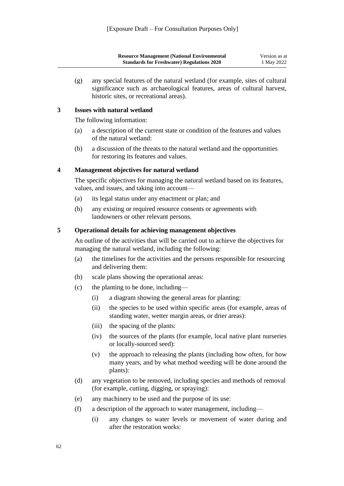| <b>Resource Management (National Environmental</b> | Version as at |
|----------------------------------------------------|---------------|
| <b>Standards for Freshwater) Regulations 2020</b>  | 1 May 2022    |

(g) any special features of the natural wetland (for example, sites of cultural significance such as archaeological features, areas of cultural harvest, historic sites, or recreational areas).

#### **3 Issues with natural wetland**

The following information:

- (a) a description of the current state or condition of the features and values of the natural wetland:
- (b) a discussion of the threats to the natural wetland and the opportunities for restoring its features and values.

#### **4 Management objectives for natural wetland**

The specific objectives for managing the natural wetland based on its features, values, and issues, and taking into account—

- (a) its legal status under any enactment or plan; and
- (b) any existing or required resource consents or agreements with landowners or other relevant persons.

#### **5 Operational details for achieving management objectives**

An outline of the activities that will be carried out to achieve the objectives for managing the natural wetland, including the following:

- (a) the timelines for the activities and the persons responsible for resourcing and delivering them:
- (b) scale plans showing the operational areas:
- (c) the planting to be done, including—
	- (i) a diagram showing the general areas for planting:
	- (ii) the species to be used within specific areas (for example, areas of standing water, wetter margin areas, or drier areas):
	- (iii) the spacing of the plants:
	- (iv) the sources of the plants (for example, local native plant nurseries or locally-sourced seed):
	- (v) the approach to releasing the plants (including how often, for how many years, and by what method weeding will be done around the plants):
- (d) any vegetation to be removed, including species and methods of removal (for example, cutting, digging, or spraying):
- (e) any machinery to be used and the purpose of its use:
- (f) a description of the approach to water management, including—
	- (i) any changes to water levels or movement of water during and after the restoration works: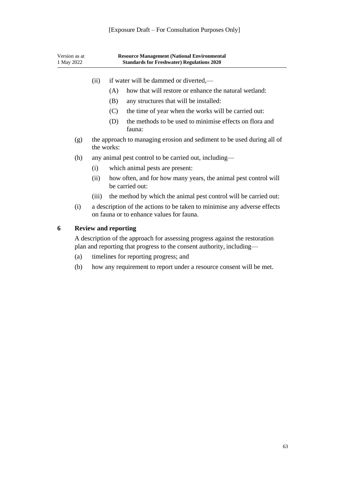| Version as at<br>1 May 2022 | <b>Resource Management (National Environmental</b><br><b>Standards for Freshwater) Regulations 2020</b>                                               |                             |                                                                                                                      |  |  |
|-----------------------------|-------------------------------------------------------------------------------------------------------------------------------------------------------|-----------------------------|----------------------------------------------------------------------------------------------------------------------|--|--|
|                             | (ii)                                                                                                                                                  |                             | if water will be dammed or diverted,—                                                                                |  |  |
|                             |                                                                                                                                                       | (A)                         | how that will restore or enhance the natural wetland:                                                                |  |  |
|                             |                                                                                                                                                       | (B)                         | any structures that will be installed:                                                                               |  |  |
|                             |                                                                                                                                                       | (C)                         | the time of year when the works will be carried out:                                                                 |  |  |
|                             |                                                                                                                                                       | (D)                         | the methods to be used to minimise effects on flora and<br>fauna:                                                    |  |  |
| (g)                         |                                                                                                                                                       | the works:                  | the approach to managing erosion and sediment to be used during all of                                               |  |  |
| (h)                         | any animal pest control to be carried out, including—                                                                                                 |                             |                                                                                                                      |  |  |
|                             | (i)                                                                                                                                                   |                             | which animal pests are present:                                                                                      |  |  |
|                             | (ii)                                                                                                                                                  |                             | how often, and for how many years, the animal pest control will<br>be carried out:                                   |  |  |
|                             | (iii)                                                                                                                                                 |                             | the method by which the animal pest control will be carried out:                                                     |  |  |
| (i)                         |                                                                                                                                                       |                             | a description of the actions to be taken to minimise any adverse effects<br>on fauna or to enhance values for fauna. |  |  |
| 6                           |                                                                                                                                                       | <b>Review and reporting</b> |                                                                                                                      |  |  |
|                             | A description of the approach for assessing progress against the restoration<br>plan and reporting that progress to the consent authority, including— |                             |                                                                                                                      |  |  |
| (a)                         |                                                                                                                                                       |                             | timelines for reporting progress; and                                                                                |  |  |
| (b)                         |                                                                                                                                                       |                             | how any requirement to report under a resource consent will be met.                                                  |  |  |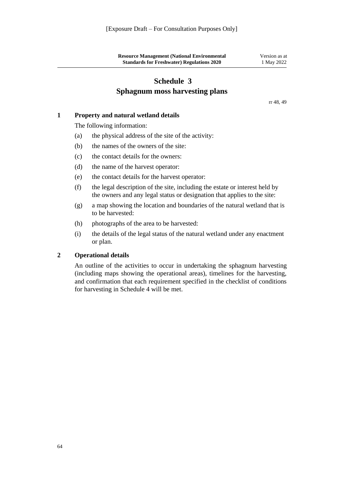| <b>Resource Management (National Environmental</b> | Version as at |
|----------------------------------------------------|---------------|
| <b>Standards for Freshwater) Regulations 2020</b>  | 1 May 2022    |

# **Schedule 3 Sphagnum moss harvesting plans**

[rr 48,](#page-42-1) [49](#page-43-0)

#### <span id="page-64-0"></span>**1 Property and natural wetland details**

The following information:

- (a) the physical address of the site of the activity:
- (b) the names of the owners of the site:
- (c) the contact details for the owners:
- (d) the name of the harvest operator:
- (e) the contact details for the harvest operator:
- (f) the legal description of the site, including the estate or interest held by the owners and any legal status or designation that applies to the site:
- (g) a map showing the location and boundaries of the natural wetland that is to be harvested:
- (h) photographs of the area to be harvested:
- (i) the details of the legal status of the natural wetland under any enactment or plan.

#### **2 Operational details**

An outline of the activities to occur in undertaking the sphagnum harvesting (including maps showing the operational areas), timelines for the harvesting, and confirmation that each requirement specified in the checklist of conditions for harvesting in [Schedule 4](#page-65-0) will be met.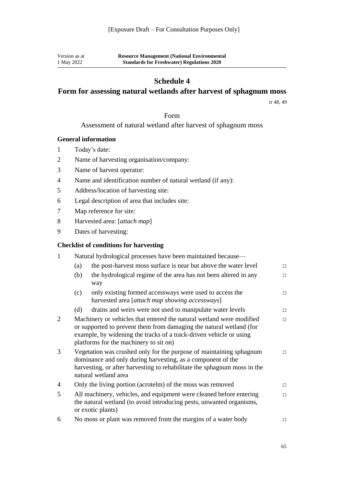Version as at 1 May 2022

## **Schedule 4**

# <span id="page-65-0"></span>**Form for assessing natural wetlands after harvest of sphagnum moss**

[rr 48,](#page-42-1) [49](#page-43-0)

#### Form

#### Assessment of natural wetland after harvest of sphagnum moss

#### **General information**

- 1 Today's date:
- 2 Name of harvesting organisation/company:
- 3 Name of harvest operator:
- 4 Name and identification number of natural wetland (if any):
- 5 Address/location of harvesting site:
- 6 Legal description of area that includes site:
- 7 Map reference for site:
- 8 Harvested area: [*attach map*]
- 9 Dates of harvesting:

#### **Checklist of conditions for harvesting**

| 1 | Natural hydrological processes have been maintained because— |                                                                                                                                                                                                                                                                       |        |  |
|---|--------------------------------------------------------------|-----------------------------------------------------------------------------------------------------------------------------------------------------------------------------------------------------------------------------------------------------------------------|--------|--|
|   | (a)                                                          | the post-harvest moss surface is near but above the water level                                                                                                                                                                                                       | $\Box$ |  |
|   | (b)                                                          | the hydrological regime of the area has not been altered in any<br>way                                                                                                                                                                                                | $\Box$ |  |
|   | (c)                                                          | only existing formed accessways were used to access the<br>harvested area [attach map showing accessways]                                                                                                                                                             | $\Box$ |  |
|   | (d)                                                          | drains and weirs were not used to manipulate water levels                                                                                                                                                                                                             | $\Box$ |  |
| 2 |                                                              | Machinery or vehicles that entered the natural wetland were modified<br>$\Box$<br>or supported to prevent them from damaging the natural wetland (for<br>example, by widening the tracks of a track-driven vehicle or using<br>platforms for the machinery to sit on) |        |  |
| 3 |                                                              | Vegetation was crushed only for the purpose of maintaining sphagnum<br>dominance and only during harvesting, as a component of the<br>harvesting, or after harvesting to rehabilitate the sphagnum moss in the<br>natural wetland area                                | $\Box$ |  |
| 4 |                                                              | Only the living portion (acrotelm) of the moss was removed                                                                                                                                                                                                            | $\Box$ |  |
| 5 |                                                              | All machinery, vehicles, and equipment were cleaned before entering<br>the natural wetland (to avoid introducing pests, unwanted organisms,<br>or exotic plants)                                                                                                      | $\Box$ |  |
| 6 |                                                              | No moss or plant was removed from the margins of a water body                                                                                                                                                                                                         | $\Box$ |  |
|   |                                                              |                                                                                                                                                                                                                                                                       |        |  |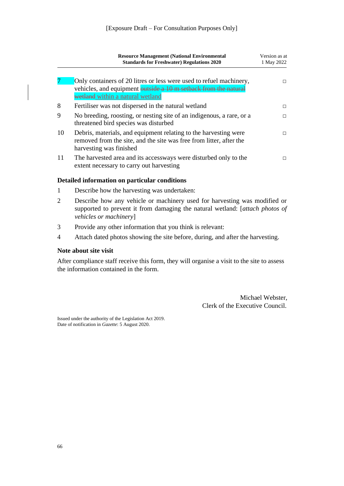|    | <b>Resource Management (National Environmental</b><br><b>Standards for Freshwater) Regulations 2020</b>                                                                    | Version as at<br>1 May 2022 |
|----|----------------------------------------------------------------------------------------------------------------------------------------------------------------------------|-----------------------------|
|    | Only containers of 20 litres or less were used to refuel machinery,<br>vehicles, and equipment outside a 10 m setback from the natural<br>wetland within a natural wetland | п                           |
| 8  | Fertiliser was not dispersed in the natural wetland                                                                                                                        | П                           |
| 9  | No breeding, roosting, or nesting site of an indigenous, a rare, or a<br>threatened bird species was disturbed                                                             | П                           |
| 10 | Debris, materials, and equipment relating to the harvesting were<br>removed from the site, and the site was free from litter, after the<br>harvesting was finished         | п                           |
|    | The harvested area and its accessways were disturbed only to the<br>extent necessary to carry out harvesting                                                               | п                           |

#### **Detailed information on particular conditions**

- 1 Describe how the harvesting was undertaken:
- 2 Describe how any vehicle or machinery used for harvesting was modified or supported to prevent it from damaging the natural wetland: [*attach photos of vehicles or machinery*]
- 3 Provide any other information that you think is relevant:
- 4 Attach dated photos showing the site before, during, and after the harvesting.

#### **Note about site visit**

After compliance staff receive this form, they will organise a visit to the site to assess the information contained in the form.

> Michael Webster, Clerk of the Executive Council.

Issued under the authority of th[e Legislation Act 2019.](http://legislation.govt.nz/pdflink.aspx?id=DLM7298104)  Date of notification in *Gazette*: 5 August 2020.